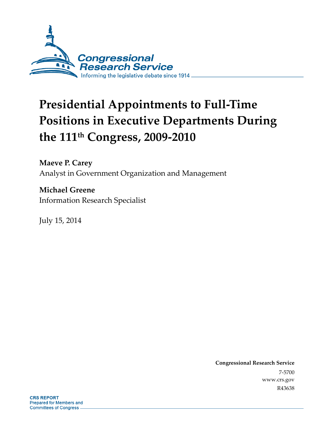

# **Presidential Appointments to Full-Time Positions in Executive Departments During the 111th Congress, 2009-2010**

**Maeve P. Carey**  Analyst in Government Organization and Management

**Michael Greene**  Information Research Specialist

July 15, 2014

**Congressional Research Service**  7-5700 www.crs.gov R43638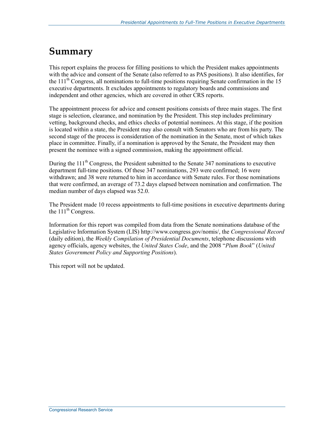## **Summary**

This report explains the process for filling positions to which the President makes appointments with the advice and consent of the Senate (also referred to as PAS positions). It also identifies, for the  $111<sup>th</sup>$  Congress, all nominations to full-time positions requiring Senate confirmation in the 15 executive departments. It excludes appointments to regulatory boards and commissions and independent and other agencies, which are covered in other CRS reports.

The appointment process for advice and consent positions consists of three main stages. The first stage is selection, clearance, and nomination by the President. This step includes preliminary vetting, background checks, and ethics checks of potential nominees. At this stage, if the position is located within a state, the President may also consult with Senators who are from his party. The second stage of the process is consideration of the nomination in the Senate, most of which takes place in committee. Finally, if a nomination is approved by the Senate, the President may then present the nominee with a signed commission, making the appointment official.

During the  $111<sup>th</sup>$  Congress, the President submitted to the Senate 347 nominations to executive department full-time positions. Of these 347 nominations, 293 were confirmed; 16 were withdrawn; and 38 were returned to him in accordance with Senate rules. For those nominations that were confirmed, an average of 73.2 days elapsed between nomination and confirmation. The median number of days elapsed was 52.0.

The President made 10 recess appointments to full-time positions in executive departments during the  $111<sup>th</sup>$  Congress.

Information for this report was compiled from data from the Senate nominations database of the Legislative Information System (LIS) http://www.congress.gov/nomis/, the *Congressional Record* (daily edition), the *Weekly Compilation of Presidential Documents*, telephone discussions with agency officials, agency websites, the *United States Code*, and the 2008 "*Plum Book*" (*United States Government Policy and Supporting Positions*).

This report will not be updated.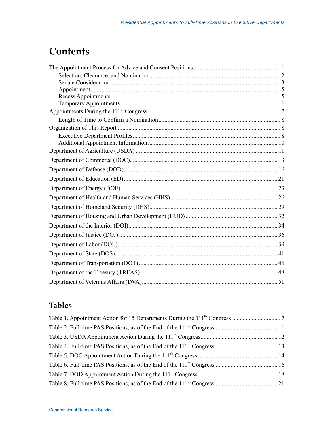## **Contents**

### **Tables**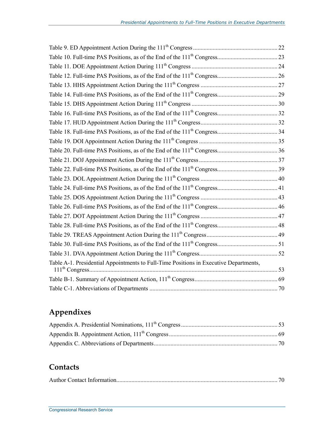| Table A-1. Presidential Appointments to Full-Time Positions in Executive Departments, |  |
|---------------------------------------------------------------------------------------|--|
|                                                                                       |  |
|                                                                                       |  |
|                                                                                       |  |

### **Appendixes**

### **Contacts**

|--|--|--|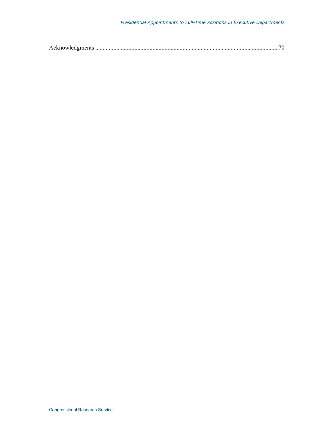|--|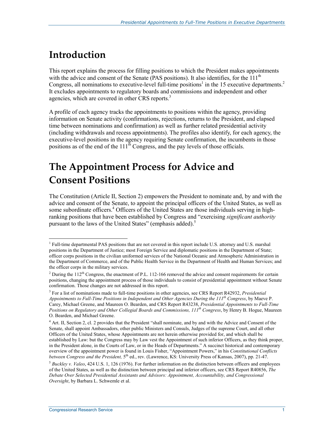## **Introduction**

1

This report explains the process for filling positions to which the President makes appointments with the advice and consent of the Senate (PAS positions). It also identifies, for the  $111<sup>th</sup>$ Congress, all nominations to executive-level full-time positions<sup>1</sup> in the 15 executive departments.<sup>2</sup> It excludes appointments to regulatory boards and commissions and independent and other agencies, which are covered in other CRS reports.<sup>3</sup>

A profile of each agency tracks the appointments to positions within the agency, providing information on Senate activity (confirmations, rejections, returns to the President, and elapsed time between nominations and confirmation) as well as further related presidential activity (including withdrawals and recess appointments). The profiles also identify, for each agency, the executive-level positions in the agency requiring Senate confirmation, the incumbents in those positions as of the end of the  $111^{th}$  Congress, and the pay levels of those officials.

## **The Appointment Process for Advice and Consent Positions**

The Constitution (Article II, Section 2) empowers the President to nominate and, by and with the advice and consent of the Senate, to appoint the principal officers of the United States, as well as some subordinate officers.<sup>4</sup> Officers of the United States are those individuals serving in highranking positions that have been established by Congress and "exercising *significant authority* pursuant to the laws of the United States" (emphasis added).<sup>5</sup>

<sup>&</sup>lt;sup>1</sup> Full-time departmental PAS positions that are not covered in this report include U.S. attorney and U.S. marshal positions in the Department of Justice; most Foreign Service and diplomatic positions in the Department of State; officer corps positions in the civilian uniformed services of the National Oceanic and Atmospheric Administration in the Department of Commerce, and of the Public Health Service in the Department of Health and Human Services; and the officer corps in the military services.

<sup>&</sup>lt;sup>2</sup> During the  $112<sup>th</sup>$  Congress, the enactment of P.L. 112-166 removed the advice and consent requirements for certain positions, changing the appointment process of those individuals to consist of presidential appointment without Senate confirmation. Those changes are not addressed in this report.

<sup>3</sup> For a list of nominations made to full-time positions in other agencies, see CRS Report R42932, *Presidential Appointments to Full-Time Positions in Independent and Other Agencies During the 111th Congress*, by Maeve P. Carey, Michael Greene, and Maureen O. Bearden, and CRS Report R43238, *Presidential Appointments to Full-Time Positions on Regulatory and Other Collegial Boards and Commissions, 111th Congress*, by Henry B. Hogue, Maureen O. Bearden, and Michael Greene.

<sup>&</sup>lt;sup>4</sup> Art. II, Section 2, cl. 2 provides that the President "shall nominate, and by and with the Advice and Consent of the Senate, shall appoint Ambassadors, other public Ministers and Consuls, Judges of the supreme Court, and all other Officers of the United States, whose Appointments are not herein otherwise provided for, and which shall be established by Law: but the Congress may by Law vest the Appointment of such inferior Officers, as they think proper, in the President alone, in the Courts of Law, or in the Heads of Departments." A succinct historical and contemporary overview of the appointment power is found in Louis Fisher, "Appointment Powers," in his *Constitutional Conflicts between Congress and the President,* 5th ed., rev. (Lawrence, KS: University Press of Kansas, 2007), pp. 21-47.

 $<sup>5</sup> Buckley v. Yaleo, 424 U.S. 1, 126 (1976). For further information on the distinction between officers and employees$ </sup> of the United States, as well as the distinction between principal and inferior officers, see CRS Report R40856, *The Debate Over Selected Presidential Assistants and Advisors: Appointment, Accountability, and Congressional Oversight*, by Barbara L. Schwemle et al.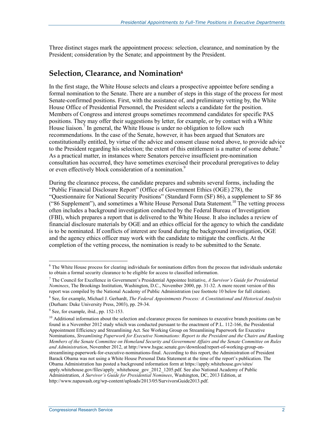Three distinct stages mark the appointment process: selection, clearance, and nomination by the President; consideration by the Senate; and appointment by the President.

#### **Selection, Clearance, and Nomination6**

In the first stage, the White House selects and clears a prospective appointee before sending a formal nomination to the Senate. There are a number of steps in this stage of the process for most Senate-confirmed positions. First, with the assistance of, and preliminary vetting by, the White House Office of Presidential Personnel, the President selects a candidate for the position. Members of Congress and interest groups sometimes recommend candidates for specific PAS positions. They may offer their suggestions by letter, for example, or by contact with a White House liaison.<sup>7</sup> In general, the White House is under no obligation to follow such recommendations. In the case of the Senate, however, it has been argued that Senators are constitutionally entitled, by virtue of the advice and consent clause noted above, to provide advice to the President regarding his selection; the extent of this entitlement is a matter of some debate.<sup>8</sup> As a practical matter, in instances where Senators perceive insufficient pre-nomination consultation has occurred, they have sometimes exercised their procedural prerogatives to delay or even effectively block consideration of a nomination.<sup>9</sup>

During the clearance process, the candidate prepares and submits several forms, including the "Public Financial Disclosure Report" (Office of Government Ethics (OGE) 278), the "Questionnaire for National Security Positions" (Standard Form (SF) 86), a supplement to SF 86 ("86 Supplement"), and sometimes a White House Personal Data Statement.<sup>10</sup> The vetting process often includes a background investigation conducted by the Federal Bureau of Investigation (FBI), which prepares a report that is delivered to the White House. It also includes a review of financial disclosure materials by OGE and an ethics official for the agency to which the candidate is to be nominated. If conflicts of interest are found during the background investigation, OGE and the agency ethics officer may work with the candidate to mitigate the conflicts. At the completion of the vetting process, the nomination is ready to be submitted to the Senate.

1

<sup>&</sup>lt;sup>6</sup> The White House process for clearing individuals for nominations differs from the process that individuals undertake to obtain a formal security clearance to be eligible for access to classified information.

<sup>7</sup> The Council for Excellence in Government's Presidential Appointee Initiative, *A Survivor's Guide for Presidential Nominees*, The Brookings Institution, Washington, D.C., November 2000, pp. 31-32. A more recent version of this report was compiled by the National Academy of Public Administration (see footnote 10 below for full citation).

<sup>8</sup> See, for example, Michael J. Gerhardt, *The Federal Appointments Process: A Constitutional and Historical Analysis* (Durham: Duke University Press, 2003), pp. 29-34.

<sup>&</sup>lt;sup>9</sup> See, for example, ibid., pp. 152-153.

<sup>&</sup>lt;sup>10</sup> Additional information about the selection and clearance process for nominees to executive branch positions can be found in a November 2012 study which was conducted pursuant to the enactment of P.L. 112-166, the Presidential Appointment Efficiency and Streamlining Act. See Working Group on Streamlining Paperwork for Executive Nominations, *Streamlining Paperwork for Executive Nominations: Report to the President and the Chairs and Ranking Members of the Senate Committee on Homeland Security and Government Affairs and the Senate Committee on Rules and Administration*, November 2012, at http://www.hsgac.senate.gov/download/report-of-working-group-onstreamlining-paperwork-for-executive-nominations-final. According to this report, the Administration of President Barack Obama was not using a White House Personal Data Statement at the time of the report's publication. The Obama Administration has posted a background information form at https://apply.whitehouse.gov/sites/ apply.whitehouse.gov/files/apply\_whitehouse\_gov\_2012\_1205.pdf. See also National Academy of Public Administration, *A Survivor's Guide for Presidential Nominees*, Washington, DC, 2013 Edition, at http://www.napawash.org/wp-content/uploads/2013/05/SurvivorsGuide2013.pdf.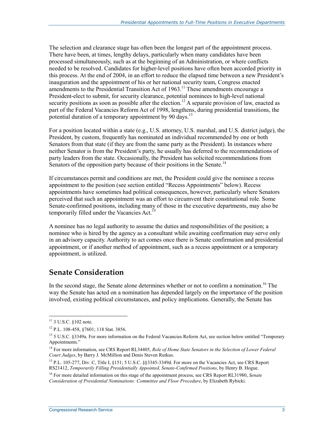The selection and clearance stage has often been the longest part of the appointment process. There have been, at times, lengthy delays, particularly when many candidates have been processed simultaneously, such as at the beginning of an Administration, or where conflicts needed to be resolved. Candidates for higher-level positions have often been accorded priority in this process. At the end of 2004, in an effort to reduce the elapsed time between a new President's inauguration and the appointment of his or her national security team, Congress enacted amendments to the Presidential Transition Act of  $1963$ .<sup>11</sup> These amendments encourage a President-elect to submit, for security clearance, potential nominees to high-level national security positions as soon as possible after the election.<sup>12</sup> A separate provision of law, enacted as part of the Federal Vacancies Reform Act of 1998, lengthens, during presidential transitions, the potential duration of a temporary appointment by 90 days.<sup>13</sup>

For a position located within a state (e.g., U.S. attorney, U.S. marshal, and U.S. district judge), the President, by custom, frequently has nominated an individual recommended by one or both Senators from that state (if they are from the same party as the President). In instances where neither Senator is from the President's party, he usually has deferred to the recommendations of party leaders from the state. Occasionally, the President has solicited recommendations from Senators of the opposition party because of their positions in the Senate.<sup>14</sup>

If circumstances permit and conditions are met, the President could give the nominee a recess appointment to the position (see section entitled "Recess Appointments" below). Recess appointments have sometimes had political consequences, however, particularly where Senators perceived that such an appointment was an effort to circumvent their constitutional role. Some Senate-confirmed positions, including many of those in the executive departments, may also be temporarily filled under the Vacancies Act.<sup>15</sup>

A nominee has no legal authority to assume the duties and responsibilities of the position; a nominee who is hired by the agency as a consultant while awaiting confirmation may serve only in an advisory capacity. Authority to act comes once there is Senate confirmation and presidential appointment, or if another method of appointment, such as a recess appointment or a temporary appointment, is utilized.

### **Senate Consideration**

In the second stage, the Senate alone determines whether or not to confirm a nomination.<sup>16</sup> The way the Senate has acted on a nomination has depended largely on the importance of the position involved, existing political circumstances, and policy implications. Generally, the Senate has

1

<sup>&</sup>lt;sup>11</sup> 3 U.S.C. §102 note.

<sup>12</sup> P.L. 108-458, §7601; 118 Stat. 3856.

<sup>&</sup>lt;sup>13</sup> 5 U.S.C. §3349a. For more information on the Federal Vacancies Reform Act, see section below entitled "Temporary Appointments."

<sup>14</sup> For more information, see CRS Report RL34405, *Role of Home State Senators in the Selection of Lower Federal Court Judges*, by Barry J. McMillion and Denis Steven Rutkus.

<sup>&</sup>lt;sup>15</sup> P.L. 105-277, Div. C, Title I, §151; 5 U.S.C. §§3345-3349d. For more on the Vacancies Act, see CRS Report RS21412, *Temporarily Filling Presidentially Appointed, Senate-Confirmed Positions*, by Henry B. Hogue.

<sup>16</sup> For more detailed information on this stage of the appointment process, see CRS Report RL31980, *Senate Consideration of Presidential Nominations: Committee and Floor Procedure*, by Elizabeth Rybicki.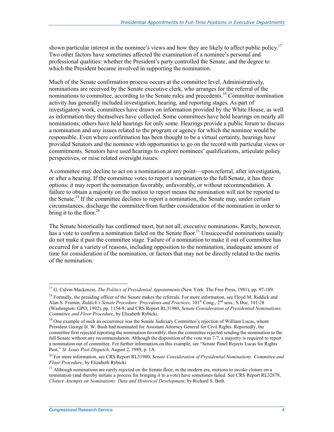shown particular interest in the nominee's views and how they are likely to affect public policy.<sup>17</sup> Two other factors have sometimes affected the examination of a nominee's personal and professional qualities: whether the President's party controlled the Senate, and the degree to which the President became involved in supporting the nomination.

Much of the Senate confirmation process occurs at the committee level. Administratively, nominations are received by the Senate executive clerk, who arranges for the referral of the nominations to committee, according to the Senate rules and precedents.<sup>18</sup> Committee nomination activity has generally included investigation, hearing, and reporting stages. As part of investigatory work, committees have drawn on information provided by the White House, as well as information they themselves have collected. Some committees have held hearings on nearly all nominations; others have held hearings for only some. Hearings provide a public forum to discuss a nomination and any issues related to the program or agency for which the nominee would be responsible. Even where confirmation has been thought to be a virtual certainty, hearings have provided Senators and the nominee with opportunities to go on the record with particular views or commitments. Senators have used hearings to explore nominees' qualifications, articulate policy perspectives, or raise related oversight issues.

A committee may decline to act on a nomination at any point—upon referral, after investigation, or after a hearing. If the committee votes to report a nomination to the full Senate, it has three options: it may report the nomination favorably, unfavorably, or without recommendation. A failure to obtain a majority on the motion to report means the nomination will not be reported to the Senate.<sup>19</sup> If the committee declines to report a nomination, the Senate may, under certain circumstances, discharge the committee from further consideration of the nomination in order to bring it to the floor.<sup>20</sup>

The Senate historically has confirmed most, but not all, executive nominations. Rarely, however, has a vote to confirm a nomination failed on the Senate floor.<sup>21</sup> Unsuccessful nominations usually do not make it past the committee stage. Failure of a nomination to make it out of committee has occurred for a variety of reasons, including opposition to the nomination, inadequate amount of time for consideration of the nomination, or factors that may not be directly related to the merits of the nomination.

<u>.</u>

<sup>17</sup> G. Calvin Mackenzie, *The Politics of Presidential Appointments* (New York: The Free Press, 1981), pp. 97-189.

<sup>&</sup>lt;sup>18</sup> Formally, the presiding officer of the Senate makes the referrals. For more information, see Floyd M. Riddick and Alan S. Frumin, *Riddick's Senate Procedure: Precedents and Practices*, 101<sup>st</sup> Cong., 2<sup>nd</sup> sess., S.Doc. 101-28 (Washington: GPO, 1992), pp. 1154-8; and CRS Report RL31980, *Senate Consideration of Presidential Nominations: Committee and Floor Procedure*, by Elizabeth Rybicki.

 $19$  One example of such an occurrence was the Senate Judiciary Committee's rejection of William Lucas, whom President George H. W. Bush had nominated for Assistant Attorney General for Civil Rights. Reportedly, the committee first rejected reporting the nomination favorably, then the committee rejected sending the nomination to the full Senate without any recommendation. Although the disposition of the vote was 7-7, a majority is required to report a nomination out of committee. For further information on this example, see "Senate Panel Rejects Lucas for Rights Post," *St. Louis Post-Dispatch*, August 2, 1989, p. 1A.

<sup>20</sup> For more information, see CRS Report RL31980, *Senate Consideration of Presidential Nominations: Committee and Floor Procedure*, by Elizabeth Rybicki.

<sup>&</sup>lt;sup>21</sup> Although nominations are rarely rejected on the Senate floor, in the modern era, motions to invoke cloture on a nomination (and thereby initiate a process for bringing it to a vote) have sometimes failed. See CRS Report RL32878, *Cloture Attempts on Nominations: Data and Historical Development*, by Richard S. Beth.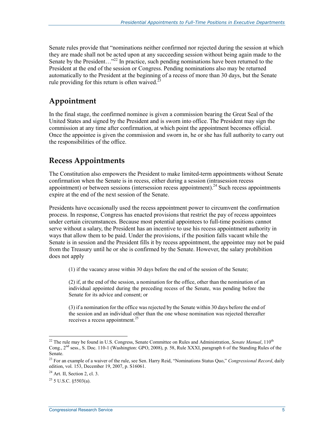Senate rules provide that "nominations neither confirmed nor rejected during the session at which they are made shall not be acted upon at any succeeding session without being again made to the Senate by the President..."<sup>22</sup> In practice, such pending nominations have been returned to the President at the end of the session or Congress. Pending nominations also may be returned automatically to the President at the beginning of a recess of more than 30 days, but the Senate rule providing for this return is often waived. $^{23}$ 

### **Appointment**

In the final stage, the confirmed nominee is given a commission bearing the Great Seal of the United States and signed by the President and is sworn into office. The President may sign the commission at any time after confirmation, at which point the appointment becomes official. Once the appointee is given the commission and sworn in, he or she has full authority to carry out the responsibilities of the office.

### **Recess Appointments**

The Constitution also empowers the President to make limited-term appointments without Senate confirmation when the Senate is in recess, either during a session (intrasession recess appointment) or between sessions (intersession recess appointment).<sup>24</sup> Such recess appointments expire at the end of the next session of the Senate.

Presidents have occasionally used the recess appointment power to circumvent the confirmation process. In response, Congress has enacted provisions that restrict the pay of recess appointees under certain circumstances. Because most potential appointees to full-time positions cannot serve without a salary, the President has an incentive to use his recess appointment authority in ways that allow them to be paid. Under the provisions, if the position falls vacant while the Senate is in session and the President fills it by recess appointment, the appointee may not be paid from the Treasury until he or she is confirmed by the Senate. However, the salary prohibition does not apply

(1) if the vacancy arose within 30 days before the end of the session of the Senate;

(2) if, at the end of the session, a nomination for the office, other than the nomination of an individual appointed during the preceding recess of the Senate, was pending before the Senate for its advice and consent; or

(3) if a nomination for the office was rejected by the Senate within 30 days before the end of the session and an individual other than the one whose nomination was rejected thereafter receives a recess appointment.<sup>25</sup>

<sup>1</sup> <sup>22</sup> The rule may be found in U.S. Congress, Senate Committee on Rules and Administration, *Senate Manual*, 110<sup>th</sup> Cong., 2nd sess., S. Doc. 110-1 (Washington: GPO, 2008), p. 58, Rule XXXI, paragraph 6 of the Standing Rules of the Senate.

<sup>23</sup> For an example of a waiver of the rule, see Sen. Harry Reid, "Nominations Status Quo," *Congressional Record*, daily edition, vol. 153, December 19, 2007, p. S16061.

 $^{24}$  Art. II, Section 2, cl. 3.

 $^{25}$  5 U.S.C. 85503(a).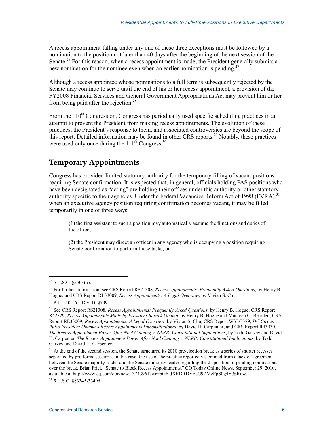A recess appointment falling under any one of these three exceptions must be followed by a nomination to the position not later than 40 days after the beginning of the next session of the Senate.<sup>26</sup> For this reason, when a recess appointment is made, the President generally submits a new nomination for the nominee even when an earlier nomination is pending.<sup>27</sup>

Although a recess appointee whose nominations to a full term is subsequently rejected by the Senate may continue to serve until the end of his or her recess appointment, a provision of the FY2008 Financial Services and General Government Appropriations Act may prevent him or her from being paid after the rejection.<sup>28</sup>

From the  $110<sup>th</sup>$  Congress on, Congress has periodically used specific scheduling practices in an attempt to prevent the President from making recess appointments. The evolution of these practices, the President's response to them, and associated controversies are beyond the scope of this report. Detailed information may be found in other CRS reports.29 Notably, these practices were used only once during the  $111<sup>th</sup>$  Congress.<sup>30</sup>

### **Temporary Appointments**

Congress has provided limited statutory authority for the temporary filling of vacant positions requiring Senate confirmation. It is expected that, in general, officials holding PAS positions who have been designated as "acting" are holding their offices under this authority or other statutory authority specific to their agencies. Under the Federal Vacancies Reform Act of 1998 (FVRA), $3$ when an executive agency position requiring confirmation becomes vacant, it may be filled temporarily in one of three ways:

(1) the first assistant to such a position may automatically assume the functions and duties of the office;

(2) the President may direct an officer in any agency who is occupying a position requiring Senate confirmation to perform those tasks; or

1

31 5 U.S.C. §§3345-3349d.

 $26$  5 U.S.C. §5503(b).

<sup>27</sup> For further information, see CRS Report RS21308, *Recess Appointments: Frequently Asked Questions*, by Henry B. Hogue; and CRS Report RL33009, *Recess Appointments: A Legal Overview*, by Vivian S. Chu.

 $^{28}$  P.L. 110-161, Div. D, §709.

<sup>29</sup> See CRS Report RS21308, *Recess Appointments: Frequently Asked Questions*, by Henry B. Hogue; CRS Report R42329, *Recess Appointments Made by President Barack Obama*, by Henry B. Hogue and Maureen O. Bearden; CRS Report RL33009, *Recess Appointments: A Legal Overview*, by Vivian S. Chu; CRS Report WSLG379, *DC Circuit Rules President Obama's Recess Appointments Unconstitutional*, by David H. Carpenter; and CRS Report R43030, *The Recess Appointment Power After Noel Canning v. NLRB: Constitutional Implications*, by Todd Garvey and David H. Carpenter, *The Recess Appointment Power After Noel Canning v. NLRB: Constitutional Implications*, by Todd Garvey and David H. Carpenter.

<sup>&</sup>lt;sup>30</sup> At the end of the second session, the Senate structured its 2010 pre-election break as a series of shorter recesses separated by pro forma sessions. In this case, the use of the practice reportedly stemmed from a lack of agreement between the Senate majority leader and the Senate minority leader regarding the disposition of pending nominations over the break. Brian Friel, "Senate to Block Recess Appointments," CQ Today Online News, September 29, 2010, available at http://www.cq.com/doc/news-3743961?wr=bGFldXRDRDVoeG9ZMzFpS0g4Y3pRdw.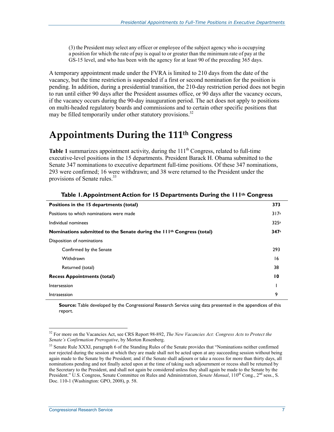(3) the President may select any officer or employee of the subject agency who is occupying a position for which the rate of pay is equal to or greater than the minimum rate of pay at the GS-15 level, and who has been with the agency for at least 90 of the preceding 365 days.

A temporary appointment made under the FVRA is limited to 210 days from the date of the vacancy, but the time restriction is suspended if a first or second nomination for the position is pending. In addition, during a presidential transition, the 210-day restriction period does not begin to run until either 90 days after the President assumes office, or 90 days after the vacancy occurs, if the vacancy occurs during the 90-day inauguration period. The act does not apply to positions on multi-headed regulatory boards and commissions and to certain other specific positions that may be filled temporarily under other statutory provisions.<sup>32</sup>

## **Appointments During the 111th Congress**

**Table 1** summarizes appointment activity, during the  $111<sup>th</sup>$  Congress, related to full-time executive-level positions in the 15 departments. President Barack H. Obama submitted to the Senate 347 nominations to executive department full-time positions. Of these 347 nominations, 293 were confirmed; 16 were withdrawn; and 38 were returned to the President under the provisions of Senate rules.<sup>33</sup>

| Positions in the 15 departments (total)                                           | 373             |
|-----------------------------------------------------------------------------------|-----------------|
| Positions to which nominations were made                                          | 317a            |
| Individual nominees                                                               | 325a            |
| Nominations submitted to the Senate during the 111 <sup>th</sup> Congress (total) | 347a            |
| Disposition of nominations                                                        |                 |
| Confirmed by the Senate                                                           | 293             |
| Withdrawn                                                                         | 16              |
| Returned (total)                                                                  | 38              |
| <b>Recess Appointments (total)</b>                                                | $\overline{10}$ |
| Intersession                                                                      |                 |
| Intrasession                                                                      | 9               |

#### **Table 1. Appointment Action for 15 Departments During the 111th Congress**

**Source:** Table developed by the Congressional Research Service using data presented in the appendices of this report.

1

<sup>32</sup> For more on the Vacancies Act, see CRS Report 98-892, *The New Vacancies Act: Congress Acts to Protect the Senate's Confirmation Prerogative*, by Morton Rosenberg.

 $33$  Senate Rule XXXI, paragraph 6 of the Standing Rules of the Senate provides that "Nominations neither confirmed nor rejected during the session at which they are made shall not be acted upon at any succeeding session without being again made to the Senate by the President; and if the Senate shall adjourn or take a recess for more than thirty days, all nominations pending and not finally acted upon at the time of taking such adjournment or recess shall be returned by the Secretary to the President, and shall not again be considered unless they shall again be made to the Senate by the President." U.S. Congress, Senate Committee on Rules and Administration, *Senate Manual*, 110<sup>th</sup> Cong., 2<sup>nd</sup> sess., S. Doc. 110-1 (Washington: GPO, 2008), p. 58.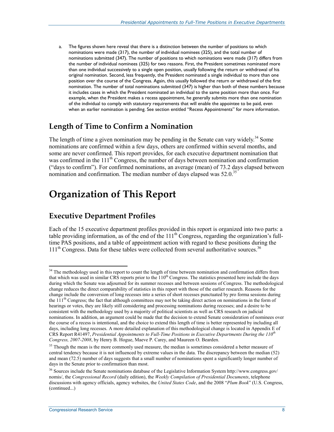a. The figures shown here reveal that there is a distinction between the number of positions to which nominations were made (317), the number of individual nominees (325), and the total number of nominations submitted (347). The number of positions to which nominations were made (317) differs from the number of individual nominees (325) for two reasons. First, the President sometimes nominated more than one individual successively to a single open position, usually following the return or withdrawal of his original nomination. Second, less frequently, the President nominated a single individual to more than one position over the course of the Congress. Again, this usually followed the return or withdrawal of the first nomination. The number of total nominations submitted (347) is higher than both of these numbers because it includes cases in which the President nominated an individual to the same position more than once. For example, when the President makes a recess appointment, he generally submits more than one nomination of the individual to comply with statutory requirements that will enable the appointee to be paid, even when an earlier nomination is pending. See section entitled "Recess Appointments" for more information.

### **Length of Time to Confirm a Nomination**

The length of time a given nomination may be pending in the Senate can vary widely.<sup>34</sup> Some nominations are confirmed within a few days, others are confirmed within several months, and some are never confirmed. This report provides, for each executive department nomination that was confirmed in the 111<sup>th</sup> Congress, the number of days between nomination and confirmation ("days to confirm"). For confirmed nominations, an average (mean) of 73.2 days elapsed between nomination and confirmation. The median number of days elapsed was  $52.0^{35}$ 

## **Organization of This Report**

### **Executive Department Profiles**

Each of the 15 executive department profiles provided in this report is organized into two parts: a table providing information, as of the end of the 111<sup>th</sup> Congress, regarding the organization's fulltime PAS positions, and a table of appointment action with regard to these positions during the  $111<sup>th</sup>$  Congress. Data for these tables were collected from several authoritative sources.<sup>36</sup>

1

<sup>&</sup>lt;sup>34</sup> The methodology used in this report to count the length of time between nomination and confirmation differs from that which was used in similar CRS reports prior to the  $110<sup>th</sup>$  Congress. The statistics presented here include the days during which the Senate was adjourned for its summer recesses and between sessions of Congress. The methodological change reduces the direct comparability of statistics in this report with those of the earlier research. Reasons for the change include the conversion of long recesses into a series of short recesses punctuated by pro forma sessions during the  $111<sup>th</sup>$  Congress; the fact that although committees may not be taking direct action on nominations in the form of hearings or votes, they are likely still considering and processing nominations during recesses; and a desire to be consistent with the methodology used by a majority of political scientists as well as CRS research on judicial nominations. In addition, an argument could be made that the decision to extend Senate consideration of nominees over the course of a recess is intentional, and the choice to extend this length of time is better represented by including all days, including long recesses. A more detailed explanation of this methodological change is located in Appendix E of CRS Report R41497, *Presidential Appointments to Full-Time Positions in Executive Departments During the 110th Congress, 2007-2008*, by Henry B. Hogue, Maeve P. Carey, and Maureen O. Bearden.

<sup>&</sup>lt;sup>35</sup> Though the mean is the more commonly used measure, the median is sometimes considered a better measure of central tendency because it is not influenced by extreme values in the data. The discrepancy between the median (52) and mean (72.5) number of days suggests that a small number of nominations spent a significantly longer number of days in the Senate prior to confirmation than most.

<sup>36</sup> Sources include the Senate nominations database of the Legislative Information System http://www.congress.gov/ nomis/, the *Congressional Record* (daily edition), the *Weekly Compilation of Presidential Documents*, telephone discussions with agency officials, agency websites, the *United States Code*, and the 2008 "*Plum Book*" (U.S. Congress, (continued...)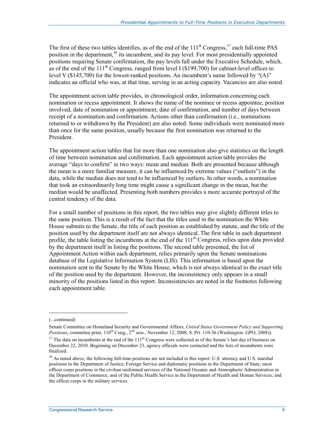The first of these two tables identifies, as of the end of the  $111<sup>th</sup>$  Congress,<sup>37</sup> each full-time PAS position in the department,<sup>38</sup> its incumbent, and its pay level. For most presidentially appointed positions requiring Senate confirmation, the pay levels fall under the Executive Schedule, which, as of the end of the  $111<sup>th</sup>$  Congress, ranged from level I (\$199,700) for cabinet-level offices to level V (\$145,700) for the lowest-ranked positions. An incumbent's name followed by "(A)" indicates an official who was, at that time, serving in an acting capacity. Vacancies are also noted.

The appointment action table provides, in chronological order, information concerning each nomination or recess appointment. It shows the name of the nominee or recess appointee, position involved, date of nomination or appointment, date of confirmation, and number of days between receipt of a nomination and confirmation. Actions other than confirmation (i.e., nominations returned to or withdrawn by the President) are also noted. Some individuals were nominated more than once for the same position, usually because the first nomination was returned to the President.

The appointment action tables that list more than one nomination also give statistics on the length of time between nomination and confirmation. Each appointment action table provides the average "days to confirm" in two ways: mean and median. Both are presented because although the mean is a more familiar measure, it can be influenced by extreme values ("outliers") in the data, while the median does not tend to be influenced by outliers. In other words, a nomination that took an extraordinarily long time might cause a significant change in the mean, but the median would be unaffected. Presenting both numbers provides a more accurate portrayal of the central tendency of the data.

For a small number of positions in this report, the two tables may give slightly different titles to the same position. This is a result of the fact that the titles used in the nomination the White House submits to the Senate, the title of each position as established by statute, and the title of the position used by the department itself are not always identical. The first table in each department profile, the table listing the incumbents at the end of the  $111<sup>th</sup>$  Congress, relies upon data provided by the department itself in listing the positions. The second table presented, the list of Appointment Action within each department, relies primarily upon the Senate nominations database of the Legislative Information System (LIS). This information is based upon the nomination sent to the Senate by the White House, which is not always identical to the exact title of the position used by the department. However, the inconsistency only appears in a small minority of the positions listed in this report. Inconsistencies are noted in the footnotes following each appointment table.

 $\overline{a}$ 

<sup>(...</sup>continued)

Senate Committee on Homeland Security and Governmental Affairs, *United States Government Policy and Supporting Positions*, committee print,  $110^{th}$  Cong.,  $2^{nd}$  sess., November 12, 2008, S. Prt. 110-36 (Washington: GPO, 2008)).

 $37$  The data on incumbents at the end of the  $111<sup>th</sup>$  Congress were collected as of the Senate's last day of business on December 22, 2010. Beginning on December 23, agency officials were contacted and the lists of incumbents were finalized.

 $38$  As noted above, the following full-time positions are not included in this report: U.S. attorney and U.S. marshal positions in the Department of Justice; Foreign Service and diplomatic positions in the Department of State; most officer corps positions in the civilian uniformed services of the National Oceanic and Atmospheric Administration in the Department of Commerce, and of the Public Health Service in the Department of Health and Human Services; and the officer corps in the military services.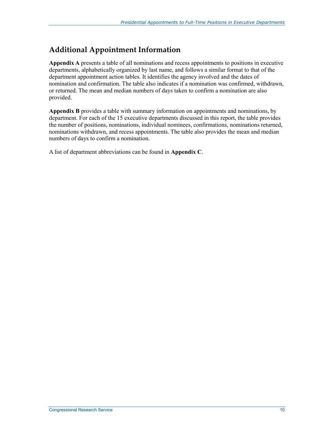### **Additional Appointment Information**

**Appendix A** presents a table of all nominations and recess appointments to positions in executive departments, alphabetically organized by last name, and follows a similar format to that of the department appointment action tables. It identifies the agency involved and the dates of nomination and confirmation. The table also indicates if a nomination was confirmed, withdrawn, or returned. The mean and median numbers of days taken to confirm a nomination are also provided.

**Appendix B** provides a table with summary information on appointments and nominations, by department. For each of the 15 executive departments discussed in this report, the table provides the number of positions, nominations, individual nominees, confirmations, nominations returned, nominations withdrawn, and recess appointments. The table also provides the mean and median numbers of days to confirm a nomination.

A list of department abbreviations can be found in **Appendix C**.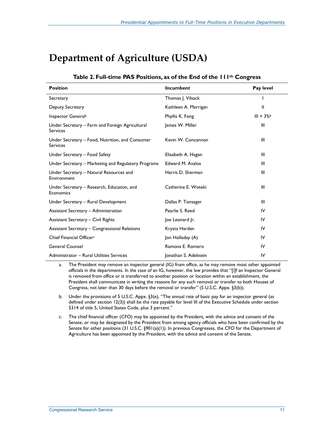## **Department of Agriculture (USDA)**

| Table 2. Full-time PAS Positions, as of the End of the 111 <sup>th</sup> Congress |  |  |  |  |
|-----------------------------------------------------------------------------------|--|--|--|--|
|-----------------------------------------------------------------------------------|--|--|--|--|

| <b>Position</b>                                                    | <b>Incumbent</b>      | Pay level  |
|--------------------------------------------------------------------|-----------------------|------------|
| Secretary                                                          | Thomas J. Vilsack     |            |
| Deputy Secretary                                                   | Kathleen A. Merrigan  | Ш          |
| Inspector General <sup>a</sup>                                     | Phyllis K. Fong       | $III + 3%$ |
| Under Secretary – Farm and Foreign Agricultural<br><b>Services</b> | James W. Miller       | Ш          |
| Under Secretary – Food, Nutrition, and Consumer<br><b>Services</b> | Kevin W. Concannon    | Ш          |
| Under Secretary - Food Safety                                      | Elisabeth A. Hagen    | Ш          |
| Under Secretary – Marketing and Regulatory Programs                | Edward M. Avalos      | Ш          |
| Under Secretary - Natural Resources and<br>Environment             | Harris D. Sherman     | Ш          |
| Under Secretary - Research, Education, and<br>Economics            | Catherine E. Woteki   | Ш          |
| Under Secretary - Rural Development                                | Dallas P. Tonsager    | Ш          |
| Assistant Secretary - Administration                               | Pearlie S. Reed       | IV         |
| <b>Assistant Secretary - Civil Rights</b>                          | Joe Leonard Jr.       | IV         |
| Assistant Secretary - Congressional Relations                      | Krysta Harden         | IV         |
| Chief Financial Officer <sup>c</sup>                               | Jon Holladay (A)      | IV         |
| <b>General Counsel</b>                                             | Ramona E. Romero      | IV         |
| Administrator - Rural Utilities Services                           | Jonathan S. Adelstein | IV         |

- a. The President may remove an inspector general (IG) from office, as he may remove most other appointed officials in the departments. In the case of an IG, however, the law provides that "[i]f an Inspector General is removed from office or is transferred to another position or location within an establishment, the President shall communicate in writing the reasons for any such removal or transfer to both Houses of Congress, not later than 30 days before the removal or transfer" (5 U.S.C. Appx. §3(b)).
- b. Under the provisions of 5 U.S.C. Appx. §3(e), "The annual rate of basic pay for an inspector general (as defined under section 12(3)) shall be the rate payable for level III of the Executive Schedule under section 5314 of title 5, United States Code, plus 3 percent."
- c. The chief financial officer (CFO) may be appointed by the President, with the advice and consent of the Senate, or may be designated by the President from among agency officials who have been confirmed by the Senate for other positions (31 U.S.C. §901(a)(1)). In previous Congresses, the CFO for the Department of Agriculture has been appointed by the President, with the advice and consent of the Senate.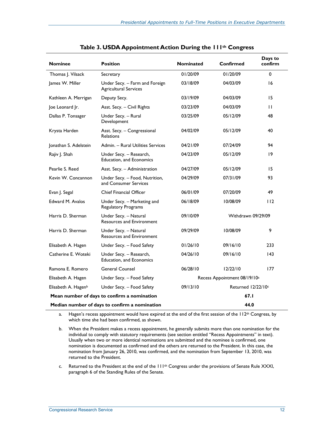| <b>Nominee</b>                                        | <b>Position</b>                                                | <b>Nominated</b>               | Confirmed                                | Days to<br>confirm |
|-------------------------------------------------------|----------------------------------------------------------------|--------------------------------|------------------------------------------|--------------------|
| Thomas J. Vilsack                                     | Secretary                                                      | 01/20/09                       | 01/20/09                                 | $\Omega$           |
| James W. Miller                                       | Under Secy. - Farm and Foreign<br><b>Agricultural Services</b> | 03/18/09                       | 04/03/09                                 | 16                 |
| Kathleen A. Merrigan                                  | Deputy Secy.                                                   | 03/19/09                       | 04/03/09                                 | 15                 |
| Joe Leonard Jr.                                       | Asst. Secy. - Civil Rights                                     | 03/23/09                       | 04/03/09                                 | $\mathbf{H}$       |
| Dallas P. Tonsager                                    | Under Secy. - Rural<br>Development                             | 03/25/09                       | 05/12/09                                 | 48                 |
| Krysta Harden                                         | Asst. Secy. - Congressional<br>Relations                       | 04/02/09                       | 05/12/09                                 | 40                 |
| Jonathan S. Adelstein                                 | Admin. - Rural Utilities Services                              | 04/21/09                       | 07/24/09                                 | 94                 |
| Rajiv J. Shah                                         | Under Secy. – Research,<br><b>Education, and Economics</b>     | 04/23/09                       | 05/12/09                                 | 19                 |
| Pearlie S. Reed                                       | Asst. Secy. - Administration                                   | 04/27/09                       | 05/12/09                                 | 15                 |
| Kevin W. Concannon                                    | Under Secy. - Food, Nutrition,<br>and Consumer Services        | 04/29/09                       | 07/31/09                                 | 93                 |
| Evan J. Segal                                         | <b>Chief Financial Officer</b>                                 | 06/01/09                       | 07/20/09                                 | 49                 |
| Edward M. Avalos                                      | Under Secy. - Marketing and<br>Regulatory Programs             | 06/18/09                       | 10/08/09                                 | 112                |
| Harris D. Sherman                                     | Under Secy. - Natural<br><b>Resources and Environment</b>      | 09/10/09                       | Withdrawn 09/29/09                       |                    |
| Harris D. Sherman                                     | Under Secy. - Natural<br><b>Resources and Environment</b>      | 09/29/09                       | 10/08/09                                 | 9                  |
| Elisabeth A. Hagen                                    | Under Secy. - Food Safety                                      | 01/26/10                       | 09/16/10                                 | 233                |
| Catherine E. Woteki                                   | Under Secy. - Research,<br>Education, and Economics            | 04/26/10                       | 09/16/10                                 | 43                 |
| Ramona E. Romero                                      | <b>General Counsel</b>                                         | 06/28/10                       | 12/22/10                                 | 177                |
| Elisabeth A. Hagen                                    | Under Secy. - Food Safety                                      |                                | Recess Appointment 08/19/10 <sup>a</sup> |                    |
| Elisabeth A. Hagen <sup>b</sup>                       | Under Secy. - Food Safety                                      | Returned 12/22/10c<br>09/13/10 |                                          |                    |
| Mean number of days to confirm a nomination<br>67.I   |                                                                |                                |                                          |                    |
| 44.0<br>Median number of days to confirm a nomination |                                                                |                                |                                          |                    |

| Table 3. USDA Appointment Action During the 111th Congress |  |  |  |
|------------------------------------------------------------|--|--|--|
|------------------------------------------------------------|--|--|--|

a. Hagen's recess appointment would have expired at the end of the first session of the 112<sup>th</sup> Congress, by which time she had been confirmed, as shown.

b. When the President makes a recess appointment, he generally submits more than one nomination for the individual to comply with statutory requirements (see section entitled "Recess Appointments" in text). Usually when two or more identical nominations are submitted and the nominee is confirmed, one nomination is documented as confirmed and the others are returned to the President. In this case, the nomination from January 26, 2010, was confirmed, and the nomination from September 13, 2010, was returned to the President.

c. Returned to the President at the end of the 111<sup>th</sup> Congress under the provisions of Senate Rule XXXI, paragraph 6 of the Standing Rules of the Senate.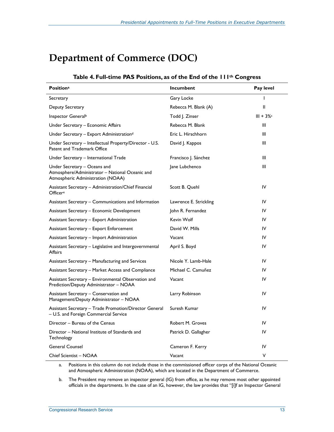## **Department of Commerce (DOC)**

#### **Table 4. Full-time PAS Positions, as of the End of the 111th Congress**

| <b>Positiona</b>                                                                                                     | Incumbent              | Pay level   |
|----------------------------------------------------------------------------------------------------------------------|------------------------|-------------|
| Secretary                                                                                                            | Gary Locke             | ı           |
| Deputy Secretary                                                                                                     | Rebecca M. Blank (A)   | Ш           |
| Inspector General <sup>b</sup>                                                                                       | Todd J. Zinser         | $III + 3\%$ |
| Under Secretary - Economic Affairs                                                                                   | Rebecca M. Blank       | Ш           |
| Under Secretary - Export Administrationd                                                                             | Eric L. Hirschhorn     | Ш           |
| Under Secretary - Intellectual Property/Director - U.S.<br>Patent and Trademark Office                               | David J. Kappos        | Ш           |
| Under Secretary – International Trade                                                                                | Francisco J. Sánchez   | Ш           |
| Under Secretary – Oceans and<br>Atmosphere/Administrator - National Oceanic and<br>Atmospheric Administration (NOAA) | Jane Lubchenco         | Ш           |
| Assistant Secretary - Administration/Chief Financial<br>Officere                                                     | Scott B. Quehl         | IV          |
| Assistant Secretary – Communications and Information                                                                 | Lawrence E. Strickling | IV          |
| Assistant Secretary – Economic Development                                                                           | John R. Fernandez      | IV          |
| Assistant Secretary – Export Administration                                                                          | Kevin Wolf             | IV          |
| Assistant Secretary - Export Enforcement                                                                             | David W. Mills         | IV          |
| Assistant Secretary - Import Administration                                                                          | Vacant                 | IV          |
| Assistant Secretary - Legislative and Intergovernmental<br>Affairs                                                   | April S. Boyd          | IV          |
| Assistant Secretary - Manufacturing and Services                                                                     | Nicole Y. Lamb-Hale    | IV          |
| Assistant Secretary - Market Access and Compliance                                                                   | Michael C. Camuñez     | IV          |
| Assistant Secretary – Environmental Observation and<br>Prediction/Deputy Administrator - NOAA                        | Vacant                 | IV          |
| Assistant Secretary - Conservation and<br>Management/Deputy Administrator - NOAA                                     | Larry Robinson         | IV          |
| Assistant Secretary – Trade Promotion/Director General<br>- U.S. and Foreign Commercial Service                      | Suresh Kumar           | IV          |
| Director - Bureau of the Census                                                                                      | Robert M. Groves       | IV          |
| Director - National Institute of Standards and<br>Technology                                                         | Patrick D. Gallagher   | IV          |
| <b>General Counsel</b>                                                                                               | Cameron F. Kerry       | IV          |
| Chief Scientist - NOAA                                                                                               | Vacant                 | ٧           |

a. Positions in this column do not include those in the commissioned officer corps of the National Oceanic and Atmospheric Administration (NOAA), which are located in the Department of Commerce.

b. The President may remove an inspector general (IG) from office, as he may remove most other appointed officials in the departments. In the case of an IG, however, the law provides that "[i]f an Inspector General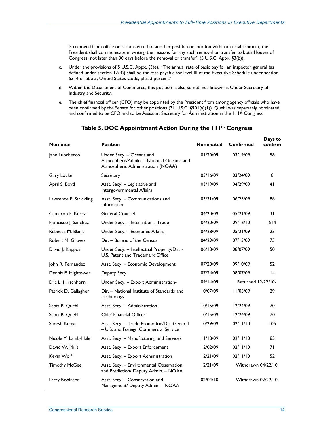is removed from office or is transferred to another position or location within an establishment, the President shall communicate in writing the reasons for any such removal or transfer to both Houses of Congress, not later than 30 days before the removal or transfer" (5 U.S.C. Appx. §3(b)).

- c. Under the provisions of 5 U.S.C. Appx. §3(e), "The annual rate of basic pay for an inspector general (as defined under section 12(3)) shall be the rate payable for level III of the Executive Schedule under section 5314 of title 5, United States Code, plus 3 percent."
- d. Within the Department of Commerce, this position is also sometimes known as Under Secretary of Industry and Security.
- e. The chief financial officer (CFO) may be appointed by the President from among agency officials who have been confirmed by the Senate for other positions (31 U.S.C. §901(a)(1)). Quehl was separately nominated and confirmed to be CFO and to be Assistant Secretary for Administration in the 111<sup>th</sup> Congress.

| <b>Nominee</b>         | <b>Position</b>                                                                                           | <b>Nominated</b> | Confirmed                      | Days to<br>confirm |
|------------------------|-----------------------------------------------------------------------------------------------------------|------------------|--------------------------------|--------------------|
| Jane Lubchenco         | Under Secy. - Oceans and<br>Atmosphere/Admin. - National Oceanic and<br>Atmospheric Administration (NOAA) | 01/20/09         | 03/19/09                       | 58                 |
| Gary Locke             | Secretary                                                                                                 | 03/16/09         | 03/24/09                       | 8                  |
| April S. Boyd          | Asst. Secy. - Legislative and<br>Intergovernmental Affairs                                                | 03/19/09         | 04/29/09                       | 41                 |
| Lawrence E. Strickling | Asst. Secy. - Communications and<br>Information                                                           | 03/31/09         | 06/25/09                       | 86                 |
| Cameron F. Kerry       | <b>General Counsel</b>                                                                                    | 04/20/09         | 05/21/09                       | 31                 |
| Francisco J. Sánchez   | Under Secy. - International Trade                                                                         | 04/20/09         | 09/16/10                       | 514                |
| Rebecca M. Blank       | Under Secy. - Economic Affairs                                                                            | 04/28/09         | 05/21/09                       | 23                 |
| Robert M. Groves       | Dir. - Bureau of the Census                                                                               | 04/29/09         | 07/13/09                       | 75                 |
| David J. Kappos        | Under Secy. - Intellectual Property/Dir. -<br>U.S. Patent and Trademark Office                            | 06/18/09         | 08/07/09                       | 50                 |
| John R. Fernandez      | Asst. Secy. - Economic Development                                                                        | 07/20/09         | 09/10/09                       | 52                 |
| Dennis F. Hightower    | Deputy Secy.                                                                                              | 07/24/09         | 08/07/09                       | 4                  |
| Eric L. Hirschhorn     | Under Secy. - Export Administration <sup>a</sup>                                                          | 09/14/09         | Returned 12/22/10 <sup>b</sup> |                    |
| Patrick D. Gallagher   | Dir. - National Institute of Standards and<br>Technology                                                  | 10/07/09         | 11/05/09                       | 29                 |
| Scott B. Quehl         | Asst. Secy. - Administration                                                                              | 10/15/09         | 12/24/09                       | 70                 |
| Scott B. Quehl         | <b>Chief Financial Officer</b>                                                                            | 10/15/09         | 12/24/09                       | 70                 |
| Suresh Kumar           | Asst. Secy. - Trade Promotion/Dir. General<br>- U.S. and Foreign Commercial Service                       | 10/29/09         | 02/11/10                       | 105                |
| Nicole Y. Lamb-Hale    | Asst. Secy. - Manufacturing and Services                                                                  | 11/18/09         | 02/11/10                       | 85                 |
| David W. Mills         | Asst. Secy. - Export Enforcement                                                                          | 12/02/09         | 02/11/10                       | 71                 |
| Kevin Wolf             | Asst. Secy. - Export Administration                                                                       | 12/21/09         | 02/11/10                       | 52                 |
| <b>Timothy McGee</b>   | Asst. Secy. - Environmental Observation<br>and Prediction/ Deputy Admin. - NOAA                           | 12/21/09         | Withdrawn 04/22/10             |                    |
| Larry Robinson         | Asst. Secy. - Conservation and<br>Management/ Deputy Admin. - NOAA                                        | 02/04/10         | Withdrawn 02/22/10             |                    |

#### **Table 5. DOC Appointment Action During the 111th Congress**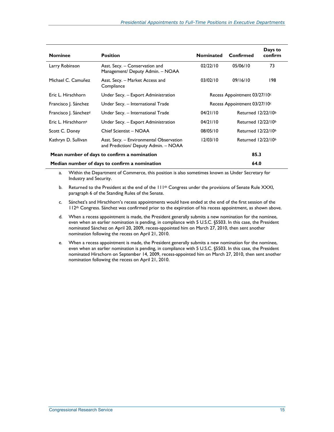| <b>Nominee</b>                                | <b>Position</b>                                                                 | <b>Nominated</b> | Confirmed                      | Days to<br>confirm |
|-----------------------------------------------|---------------------------------------------------------------------------------|------------------|--------------------------------|--------------------|
| Larry Robinson                                | Asst. Secy. - Conservation and<br>Management/ Deputy Admin. - NOAA              | 02/22/10         | 05/06/10                       | 73                 |
| Michael C. Camuñez                            | Asst. Secy. - Market Access and<br>Compliance                                   | 03/02/10         | 09/16/10                       | 198                |
| Eric L. Hirschhorn                            | Under Secy. - Export Administration                                             |                  | Recess Appointment 03/27/10c   |                    |
| Francisco J. Sánchez                          | Under Secy. - International Trade                                               |                  | Recess Appointment 03/27/10c   |                    |
| Francisco J. Sánchez <sup>d</sup>             | Under Secy. - International Trade                                               | 04/21/10         | Returned 12/22/10 <sup>b</sup> |                    |
| Eric L. Hirschhorne                           | Under Secy. - Export Administration                                             | 04/21/10         | Returned 12/22/10 <sup>b</sup> |                    |
| Scott C. Doney                                | Chief Scientist - NOAA                                                          | 08/05/10         | Returned $12/22/10b$           |                    |
| Kathryn D. Sullivan                           | Asst. Secy. - Environmental Observation<br>and Prediction/ Deputy Admin. - NOAA | 12/03/10         | Returned 12/22/10 <sup>b</sup> |                    |
| Mean number of days to confirm a nomination   |                                                                                 |                  | 85.3                           |                    |
| Median number of days to confirm a nomination |                                                                                 | 64.0             |                                |                    |

- a. Within the Department of Commerce, this position is also sometimes known as Under Secretary for Industry and Security.
- b. Returned to the President at the end of the 111<sup>th</sup> Congress under the provisions of Senate Rule XXXI, paragraph 6 of the Standing Rules of the Senate.
- c. Sánchez's and Hirschhorn's recess appointments would have ended at the end of the first session of the 112<sup>th</sup> Congress. Sánchez was confirmed prior to the expiration of his recess appointment, as shown above.
- d. When a recess appointment is made, the President generally submits a new nomination for the nominee, even when an earlier nomination is pending, in compliance with 5 U.S.C. §5503. In this case, the President nominated Sánchez on April 20, 2009, recess-appointed him on March 27, 2010, then sent another nomination following the recess on April 21, 2010.
- e. When a recess appointment is made, the President generally submits a new nomination for the nominee, even when an earlier nomination is pending, in compliance with 5 U.S.C. §5503. In this case, the President nominated Hirschorn on September 14, 2009, recess-appointed him on March 27, 2010, then sent another nomination following the recess on April 21, 2010.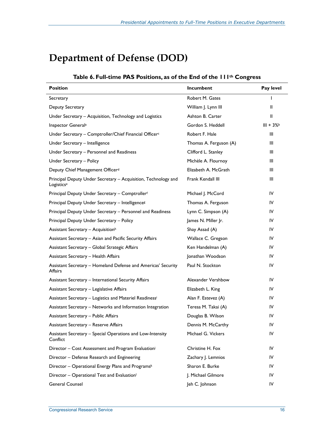## **Department of Defense (DOD)**

#### **Table 6. Full-time PAS Positions, as of the End of the 111th Congress**

| <b>Position</b>                                                                          | Incumbent              | Pay level  |
|------------------------------------------------------------------------------------------|------------------------|------------|
| Secretary                                                                                | Robert M. Gates        | ı          |
| Deputy Secretary                                                                         | William J. Lynn III    | Ш          |
| Under Secretary - Acquisition, Technology and Logistics                                  | Ashton B. Carter       | Ш          |
| Inspector General <sup>a</sup>                                                           | Gordon S. Heddell      | $III + 3%$ |
| Under Secretary - Comptroller/Chief Financial Officerc                                   | Robert F. Hale         | Ш          |
| Under Secretary - Intelligence                                                           | Thomas A. Ferguson (A) | Ш          |
| Under Secretary - Personnel and Readiness                                                | Clifford L. Stanley    | Ш          |
| Under Secretary - Policy                                                                 | Michèle A. Flournoy    | Ш          |
| Deputy Chief Management Officerd                                                         | Elizabeth A. McGrath   | Ш          |
| Principal Deputy Under Secretary - Acquisition, Technology and<br>Logistics <sup>e</sup> | Frank Kendall III      | Ш          |
| Principal Deputy Under Secretary - Comptrollerf                                          | Michael J. McCord      | IV         |
| Principal Deputy Under Secretary - Intelligences                                         | Thomas A. Ferguson     | IV         |
| Principal Deputy Under Secretary - Personnel and Readiness                               | Lynn C. Simpson (A)    | IV         |
| Principal Deputy Under Secretary - Policy                                                | James N. Miller Jr.    | IV         |
| Assistant Secretary - Acquisitionh                                                       | Shay Assad (A)         | IV         |
| Assistant Secretary - Asian and Pacific Security Affairs                                 | Wallace C. Gregson     | IV         |
| Assistant Secretary - Global Strategic Affairs                                           | Ken Handelman (A)      | IV         |
| Assistant Secretary - Health Affairs                                                     | Jonathan Woodson       | IV         |
| Assistant Secretary - Homeland Defense and Americas' Security<br>Affairs                 | Paul N. Stockton       | IV         |
| Assistant Secretary - International Security Affairs                                     | Alexander Vershbow     | IV         |
| Assistant Secretary - Legislative Affairs                                                | Elizabeth L. King      | IV         |
| Assistant Secretary - Logistics and Materiel Readinessi                                  | Alan F. Estevez (A)    | IV         |
| Assistant Secretary - Networks and Information Integration                               | Teresa M. Takai (A)    | IV         |
| <b>Assistant Secretary - Public Affairs</b>                                              | Douglas B. Wilson      | IV         |
| <b>Assistant Secretary - Reserve Affairs</b>                                             | Dennis M. McCarthy     | IV         |
| Assistant Secretary - Special Operations and Low-Intensity<br>Conflict                   | Michael G. Vickers     | IV         |
| Director - Cost Assessment and Program Evaluationi                                       | Christine H. Fox       | IV         |
| Director - Defense Research and Engineering                                              | Zachary J. Lemnios     | IV         |
| Director - Operational Energy Plans and Programsk                                        | Sharon E. Burke        | IV         |
| Director - Operational Test and Evaluation <sup>1</sup>                                  | J. Michael Gilmore     | IV         |
| General Counsel                                                                          | Jeh C. Johnson         | IV         |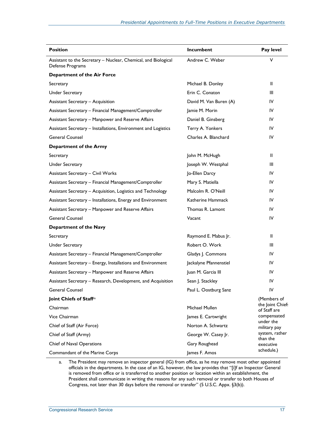| <b>Position</b>                                                                    | Incumbent              | Pay level                        |
|------------------------------------------------------------------------------------|------------------------|----------------------------------|
| Assistant to the Secretary - Nuclear, Chemical, and Biological<br>Defense Programs | Andrew C. Weber        | V                                |
| <b>Department of the Air Force</b>                                                 |                        |                                  |
| Secretary                                                                          | Michael B. Donley      | Ш                                |
| <b>Under Secretary</b>                                                             | Erin C. Conaton        | Ш                                |
| <b>Assistant Secretary - Acquisition</b>                                           | David M. Van Buren (A) | IV                               |
| Assistant Secretary - Financial Management/Comptroller                             | Jamie M. Morin         | IV                               |
| Assistant Secretary - Manpower and Reserve Affairs                                 | Daniel B. Ginsberg     | IV                               |
| Assistant Secretary - Installations, Environment and Logistics                     | Terry A. Yonkers       | IV                               |
| <b>General Counsel</b>                                                             | Charles A. Blanchard   | IV                               |
| Department of the Army                                                             |                        |                                  |
| Secretary                                                                          | John M. McHugh         | Ш                                |
| <b>Under Secretary</b>                                                             | Joseph W. Westphal     | Ш                                |
| <b>Assistant Secretary - Civil Works</b>                                           | Jo-Ellen Darcy         | IV                               |
| Assistant Secretary - Financial Management/Comptroller                             | Mary S. Matiella       | IV                               |
| Assistant Secretary - Acquisition, Logistics and Technology                        | Malcolm R. O'Neill     | IV                               |
| Assistant Secretary - Installations, Energy and Environment                        | Katherine Hammack      | IV                               |
| Assistant Secretary - Manpower and Reserve Affairs                                 | Thomas R. Lamont       | IV                               |
| <b>General Counsel</b>                                                             | Vacant                 | IV                               |
| Department of the Navy                                                             |                        |                                  |
| Secretary                                                                          | Raymond E. Mabus Jr.   | Ш                                |
| <b>Under Secretary</b>                                                             | Robert O. Work         | Ш                                |
| Assistant Secretary - Financial Management/Comptroller                             | Gladys J. Commons      | IV                               |
| Assistant Secretary – Energy, Installations and Environment                        | Jackalyne Pfannenstiel | IV                               |
| Assistant Secretary - Manpower and Reserve Affairs                                 | Juan M. Garcia III     | IV                               |
| Assistant Secretary - Research, Development, and Acquisition                       | Sean J. Stackley       | IV                               |
| General Counsel                                                                    | Paul L. Oostburg Sanz  | IV                               |
| Joint Chiefs of Staff <sup>m</sup>                                                 |                        | (Members of                      |
| Chairman                                                                           | Michael Mullen         | the Joint Chief:<br>of Staff are |
| Vice Chairman                                                                      | James E. Cartwright    | compensated                      |
| Chief of Staff (Air Force)                                                         | Norton A. Schwartz     | under the<br>military pay        |
| Chief of Staff (Army)                                                              | George W. Casey Jr.    | system, rather<br>than the       |
| Chief of Naval Operations                                                          | Gary Roughead          | executive                        |
| Commandant of the Marine Corps                                                     | James F. Amos          | schedule.)                       |

a. The President may remove an inspector general (IG) from office, as he may remove most other appointed officials in the departments. In the case of an IG, however, the law provides that "[i]f an Inspector General is removed from office or is transferred to another position or location within an establishment, the President shall communicate in writing the reasons for any such removal or transfer to both Houses of Congress, not later than 30 days before the removal or transfer" (5 U.S.C. Appx. §3(b)).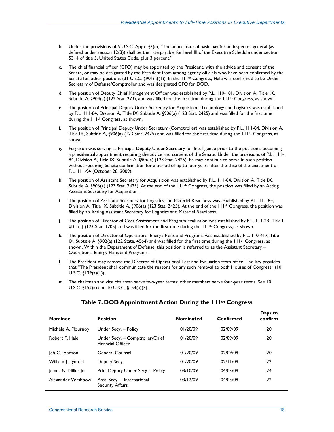- b. Under the provisions of 5 U.S.C. Appx. §3(e), "The annual rate of basic pay for an inspector general (as defined under section 12(3)) shall be the rate payable for level III of the Executive Schedule under section 5314 of title 5, United States Code, plus 3 percent."
- c. The chief financial officer (CFO) may be appointed by the President, with the advice and consent of the Senate, or may be designated by the President from among agency officials who have been confirmed by the Senate for other positions (31 U.S.C. §901(a)(1)). In the 111<sup>th</sup> Congress, Hale was confirmed to be Under Secretary of Defense/Comptroller and was designated CFO for DOD.
- d. The position of Deputy Chief Management Officer was established by P.L. 110-181, Division A, Title IX, Subtitle A, §904(a) (122 Stat. 273), and was filled for the first time during the 111<sup>th</sup> Congress, as shown.
- e. The position of Principal Deputy Under Secretary for Acquisition, Technology and Logistics was established by P.L. 111-84, Division A, Title IX, Subtitle A, §906(a) (123 Stat. 2425) and was filled for the first time during the 111th Congress, as shown.
- f. The position of Principal Deputy Under Secretary (Comptroller) was established by P.L. 111-84, Division A, Title IX, Subtitle A, §906(a) (123 Stat. 2425) and was filled for the first time during the 111th Congress, as shown.
- g. Ferguson was serving as Principal Deputy Under Secretary for Intelligence prior to the position's becoming a presidential appointment requiring the advice and consent of the Senate. Under the provisions of P.L. 111- 84, Division A, Title IX, Subtitle A, §906(a) (123 Stat. 2425), he may continue to serve in such position without requiring Senate confirmation for a period of up to four years after the date of the enactment of P.L. 111-94 (October 28, 2009).
- h. The position of Assistant Secretary for Acquisition was established by P.L. 111-84, Division A, Title IX, Subtitle A, §906(a) (123 Stat. 2425). At the end of the  $111<sup>th</sup>$  Congress, the position was filled by an Acting Assistant Secretary for Acquisition.
- i. The position of Assistant Secretary for Logistics and Materiel Readiness was established by P.L. 111-84, Division A, Title IX, Subtitle A, §906(a) (123 Stat. 2425). At the end of the 111th Congress, the position was filled by an Acting Assistant Secretary for Logistics and Materiel Readiness.
- j. The position of Director of Cost Assessment and Program Evaluation was established by P.L. 111-23, Title I,  $\S101(a)$  (123 Stat. 1705) and was filled for the first time during the 111<sup>th</sup> Congress, as shown.
- k. The position of Director of Operational Energy Plans and Programs was established by P.L. 110-417, Title IX, Subtitle A, §902(a) (122 State. 4564) and was filled for the first time during the  $111th$  Congress, as shown. Within the Department of Defense, this position is referred to as the Assistant Secretary – Operational Energy Plans and Programs.
- l. The President may remove the Director of Operational Test and Evaluation from office. The law provides that "The President shall communicate the reasons for any such removal to both Houses of Congress" (10 U.S.C. §139(a)(1)).
- m. The chairman and vice chairman serve two-year terms; other members serve four-year terms. See 10 U.S.C. §152(a) and 10 U.S.C. §154(a)(3).

| <b>Nominee</b>      | <b>Position</b>                                             | <b>Nominated</b> | Confirmed | Days to<br>confirm |
|---------------------|-------------------------------------------------------------|------------------|-----------|--------------------|
| Michèle A. Flournoy | Under Secy. - Policy                                        | 01/20/09         | 02/09/09  | 20                 |
| Robert F. Hale      | Under Secy. - Comptroller/Chief<br><b>Financial Officer</b> | 01/20/09         | 02/09/09  | 20                 |
| Jeh C. Johnson      | <b>General Counsel</b>                                      | 01/20/09         | 02/09/09  | 20                 |
| William J. Lynn III | Deputy Secy.                                                | 01/20/09         | 02/11/09  | 22                 |
| James N. Miller Jr. | Prin. Deputy Under Secy. - Policy                           | 03/10/09         | 04/03/09  | 24                 |
| Alexander Vershbow  | Asst. Secy. - International<br><b>Security Affairs</b>      | 03/12/09         | 04/03/09  | 22                 |

#### **Table 7. DOD Appointment Action During the 111th Congress**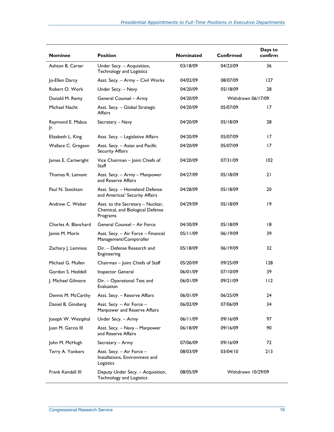| <b>Nominee</b>          | <b>Position</b>                                                                   | <b>Nominated</b> | <b>Confirmed</b>   | Days to<br>confirm |
|-------------------------|-----------------------------------------------------------------------------------|------------------|--------------------|--------------------|
| Ashton B. Carter        | Under Secy. - Acquisition,<br>Technology and Logistics                            | 03/18/09         | 04/23/09           | 36                 |
| Jo-Ellen Darcy          | Asst. Secy. - Army - Civil Works                                                  | 04/02/09         | 08/07/09           | 127                |
| Robert O. Work          | Under Secy. - Navy                                                                | 04/20/09         | 05/18/09           | 28                 |
| Donald M. Remy          | General Counsel - Army                                                            | 04/20/09         | Withdrawn 06/17/09 |                    |
| Michael Nacht           | Asst. Secy. - Global Strategic<br><b>Affairs</b>                                  | 04/20/09         | 05/07/09           | 17                 |
| Raymond E. Mabus<br>Jr. | Secretary - Navy                                                                  | 04/20/09         | 05/18/09           | 28                 |
| Elizabeth L. King       | Asst. Secy. - Legislative Affairs                                                 | 04/20/09         | 05/07/09           | 17                 |
| Wallace C. Gregson      | Asst. Secy. - Asian and Pacific<br><b>Security Affairs</b>                        | 04/20/09         | 05/07/09           | 17                 |
| James E. Cartwright     | Vice Chairman - Joint Chiefs of<br>Staff                                          | 04/20/09         | 07/31/09           | 102                |
| Thomas R. Lamont        | Asst. Secy. – Army – Manpower<br>and Reserve Affairs                              | 04/27/09         | 05/18/09           | 21                 |
| Paul N. Stockton        | Asst. Secy. - Homeland Defense<br>and Americas' Security Affairs                  | 04/28/09         | 05/18/09           | 20                 |
| Andrew C. Weber         | Asst. to the Secretary - Nuclear,<br>Chemical, and Biological Defense<br>Programs | 04/29/09         | 05/18/09           | 9                  |
| Charles A. Blanchard    | General Counsel - Air Force                                                       | 04/30/09         | 05/18/09           | 18                 |
| Jamie M. Morin          | Asst. Secy. - Air Force - Financial<br>Management/Comptroller                     | 05/11/09         | 06/19/09           | 39                 |
| Zachary J. Lemnios      | Dir. - Defense Research and<br>Engineering                                        | 05/18/09         | 06/19/09           | 32                 |
| Michael G. Mullen       | Chairman - Joint Chiefs of Staff                                                  | 05/20/09         | 09/25/09           | 128                |
| Gordon S. Heddell       | Inspector General                                                                 | 06/01/09         | 07/10/09           | 39                 |
| J. Michael Gilmore      | Dir. - Operational Test and<br>Evaluation                                         | 06/01/09         | 09/21/09           | 112                |
| Dennis M. McCarthy      | Asst. Secy. - Reserve Affairs                                                     | 06/01/09         | 06/25/09           | 24                 |
| Daniel B. Ginsberg      | Asst. Secy. - Air Force -<br>Manpower and Reserve Affairs                         | 06/02/09         | 07/06/09           | 34                 |
| Joseph W. Westphal      | Under Secy. - Army                                                                | 06/11/09         | 09/16/09           | 97                 |
| Juan M. Garcia III      | Asst. Secy. – Navy – Manpower<br>and Reserve Affairs                              | 06/18/09         | 09/16/09           | 90                 |
| John M. McHugh          | Secretary – Army                                                                  | 07/06/09         | 09/16/09           | 72                 |
| Terry A. Yonkers        | Asst. Secy. - Air Force -<br>Installations, Environment and<br>Logistics          | 08/03/09         | 03/04/10           | 213                |
| Frank Kendall III       | Deputy Under Secy. - Acquisition,<br>Technology and Logistics                     | 08/05/09         | Withdrawn 10/29/09 |                    |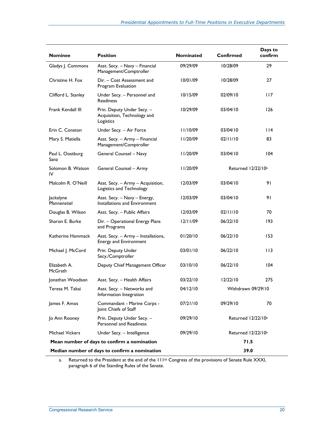| <b>Nominee</b>                                | <b>Position</b>                                                        | <b>Nominated</b> | Confirmed                      | Days to<br>confirm |
|-----------------------------------------------|------------------------------------------------------------------------|------------------|--------------------------------|--------------------|
| Gladys J. Commons                             | Asst. Secy. - Navy - Financial<br>Management/Comptroller               | 09/29/09         | 10/28/09                       | 29                 |
| Christine H. Fox                              | Dir. - Cost Assessment and<br>Program Evaluation                       | 10/01/09         | 10/28/09                       | 27                 |
| Clifford L. Stanley                           | Under Secy. - Personnel and<br><b>Readiness</b>                        | 10/15/09         | 02/09/10                       | 117                |
| Frank Kendall III                             | Prin. Deputy Under Secy. -<br>Acquisition, Technology and<br>Logistics | 10/29/09         | 03/04/10                       | 126                |
| Erin C. Conaton                               | Under Secy. - Air Force                                                | 11/10/09         | 03/04/10                       | 14                 |
| Mary S. Matiella                              | Asst. Secy. - Army - Financial<br>Management/Comptroller               | II/20/09         | 02/11/10                       | 83                 |
| Paul L. Oostburg<br>Sanz                      | General Counsel - Navy                                                 | 11/20/09         | 03/04/10                       | 104                |
| Solomon B. Watson<br>IV                       | General Counsel - Army                                                 | 11/20/09         | Returned 12/22/10 <sup>a</sup> |                    |
| Malcolm R. O'Neill                            | Asst. Secy. - Army - Acquisition,<br>Logistics and Technology          | 12/03/09         | 03/04/10                       | 91                 |
| Jackalyne<br>Pfannenstiel                     | Asst. Secy. - Navy - Energy,<br>Installations and Environment          | 12/03/09         | 03/04/10                       | 91                 |
| Douglas B. Wilson                             | Asst. Secy. - Public Affairs                                           | 12/03/09         | 02/11/10                       | 70                 |
| Sharon E. Burke                               | Dir. - Operational Energy Plans<br>and Programs                        | 12/11/09         | 06/22/10                       | 193                |
| Katherine Hammack                             | Asst. Secy. - Army - Installations,<br><b>Energy and Environment</b>   | 01/20/10         | 06/22/10                       | 153                |
| Michael J. McCord                             | Prin. Deputy Under<br>Secy./Comptroller                                | 03/01/10         | 06/22/10                       | 113                |
| Elizabeth A.<br>McGrath                       | Deputy Chief Management Officer                                        | 03/10/10         | 06/22/10                       | 104                |
| Jonathan Woodson                              | Asst. Secy. - Health Affairs                                           | 03/22/10         | 12/22/10                       | 275                |
| Teresa M. Takai                               | Asst. Secy. - Networks and<br>Information Integration                  | 04/12/10         | Withdrawn 09/29/10             |                    |
| James F. Amos                                 | Commandant - Marine Corps -<br>Joint Chiefs of Staff                   | 07/21/10         | 09/29/10                       | 70                 |
| Jo Ann Rooney                                 | Prin. Deputy Under Secy. -<br>Personnel and Readiness                  | 09/29/10         | Returned 12/22/10 <sup>a</sup> |                    |
| <b>Michael Vickers</b>                        | Under Secy. - Intelligence                                             | 09/29/10         | Returned 12/22/10 <sup>a</sup> |                    |
| Mean number of days to confirm a nomination   |                                                                        |                  | 71.5                           |                    |
| Median number of days to confirm a nomination |                                                                        | 39.0             |                                |                    |

a. Returned to the President at the end of the  $111^{th}$  Congress of the provisions of Senate Rule XXXI, paragraph 6 of the Standing Rules of the Senate.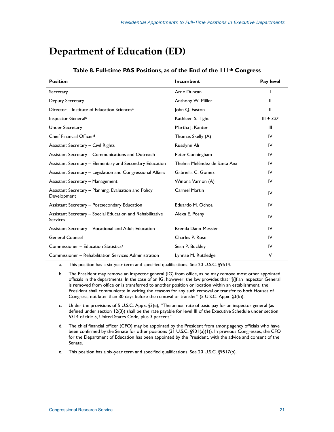## **Department of Education (ED)**

| <b>Position</b>                                                               | Incumbent                    | Pay level   |
|-------------------------------------------------------------------------------|------------------------------|-------------|
| Secretary                                                                     | Arne Duncan                  |             |
| Deputy Secretary                                                              | Anthony W. Miller            | Ш           |
| Director - Institute of Education Sciences <sup>a</sup>                       | John Q. Easton               | Ш           |
| Inspector General <sup>b</sup>                                                | Kathleen S. Tighe            | $III + 3\%$ |
| <b>Under Secretary</b>                                                        | Martha J. Kanter             | Ш           |
| Chief Financial Officer <sup>d</sup>                                          | Thomas Skelly (A)            | IV          |
| <b>Assistant Secretary - Civil Rights</b>                                     | Russlynn Ali                 | IV          |
| Assistant Secretary – Communications and Outreach                             | Peter Cunningham             | IV          |
| Assistant Secretary – Elementary and Secondary Education                      | Thelma Meléndez de Santa Ana | IV          |
| Assistant Secretary - Legislation and Congressional Affairs                   | Gabriella C. Gomez           | IV          |
| <b>Assistant Secretary - Management</b>                                       | Winona Varnon (A)            | IV          |
| Assistant Secretary - Planning, Evaluation and Policy<br>Development          | <b>Carmel Martin</b>         | IV          |
| Assistant Secretary - Postsecondary Education                                 | Eduardo M. Ochoa             | IV          |
| Assistant Secretary – Special Education and Rehabilitative<br><b>Services</b> | Alexa E. Posny               | IV          |
| Assistant Secretary - Vocational and Adult Education                          | Brenda Dann-Messier          | IV          |
| <b>General Counsel</b>                                                        | Charles P. Rose              | IV          |
| Commissioner - Education Statistics <sup>e</sup>                              | Sean P. Buckley              | IV          |
| Commissioner – Rehabilitation Services Administration                         | Lynnae M. Ruttledge          | V           |

#### **Table 8. Full-time PAS Positions, as of the End of the 111th Congress**

a. This position has a six-year term and specified qualifications. See 20 U.S.C. §9514.

- b. The President may remove an inspector general (IG) from office, as he may remove most other appointed officials in the departments. In the case of an IG, however, the law provides that "[i]f an Inspector General is removed from office or is transferred to another position or location within an establishment, the President shall communicate in writing the reasons for any such removal or transfer to both Houses of Congress, not later than 30 days before the removal or transfer" (5 U.S.C. Appx. §3(b)).
- c. Under the provisions of 5 U.S.C. Appx. §3(e), "The annual rate of basic pay for an inspector general (as defined under section 12(3)) shall be the rate payable for level III of the Executive Schedule under section 5314 of title 5, United States Code, plus 3 percent."
- d. The chief financial officer (CFO) may be appointed by the President from among agency officials who have been confirmed by the Senate for other positions (31 U.S.C. §901(a)(1)). In previous Congresses, the CFO for the Department of Education has been appointed by the President, with the advice and consent of the Senate.
- e. This position has a six-year term and specified qualifications. See 20 U.S.C. §9517(b).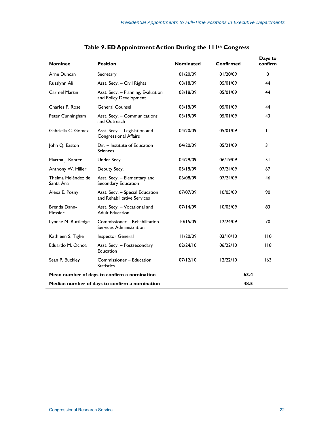| <b>Nominee</b>                                | <b>Position</b>                                                | <b>Nominated</b> | Confirmed | Days to<br>confirm |
|-----------------------------------------------|----------------------------------------------------------------|------------------|-----------|--------------------|
| Arne Duncan                                   | Secretary                                                      | 01/20/09         | 01/20/09  | $\mathbf 0$        |
| Russlynn Ali                                  | Asst. Secy. - Civil Rights                                     | 03/18/09         | 05/01/09  | 44                 |
| <b>Carmel Martin</b>                          | Asst. Secy. - Planning, Evaluation<br>and Policy Development   | 03/18/09         | 05/01/09  | 44                 |
| Charles P. Rose                               | <b>General Counsel</b>                                         | 03/18/09         | 05/01/09  | 44                 |
| Peter Cunningham                              | Asst. Secy. - Communications<br>and Outreach                   | 03/19/09         | 05/01/09  | 43                 |
| Gabriella C. Gomez                            | Asst. Secy. - Legislation and<br>Congressional Affairs         | 04/20/09         | 05/01/09  | $\mathbf{H}$       |
| John Q. Easton                                | Dir. - Institute of Education<br><b>Sciences</b>               | 04/20/09         | 05/21/09  | 31                 |
| Martha J. Kanter                              | Under Secy.                                                    | 04/29/09         | 06/19/09  | 51                 |
| Anthony W. Miller                             | Deputy Secy.                                                   | 05/18/09         | 07/24/09  | 67                 |
| Thelma Meléndez de<br>Santa Ana               | Asst. Secy. - Elementary and<br>Secondary Education            | 06/08/09         | 07/24/09  | 46                 |
| Alexa E. Posny                                | Asst. Secy. - Special Education<br>and Rehabilitative Services | 07/07/09         | 10/05/09  | 90                 |
| Brenda Dann-<br>Messier                       | Asst. Secy. - Vocational and<br><b>Adult Education</b>         | 07/14/09         | 10/05/09  | 83                 |
| Lynnae M. Ruttledge                           | Commissioner - Rehabilitation<br>Services Administration       | 10/15/09         | 12/24/09  | 70                 |
| Kathleen S. Tighe                             | Inspector General                                              | 11/20/09         | 03/10/10  | 110                |
| Eduardo M. Ochoa                              | Asst. Secy. - Postsecondary<br>Education                       | 02/24/10         | 06/22/10  | 118                |
| Sean P. Buckley                               | Commissioner - Education<br><b>Statistics</b>                  | 07/12/10         | 12/22/10  | 163                |
| Mean number of days to confirm a nomination   |                                                                |                  | 63.4      |                    |
| Median number of days to confirm a nomination |                                                                |                  | 48.5      |                    |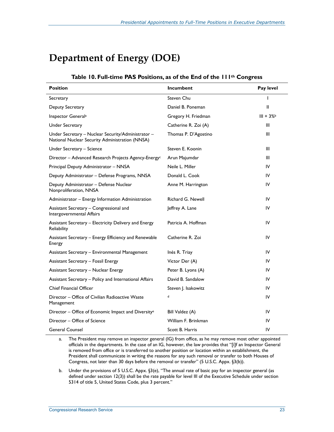## **Department of Energy (DOE)**

#### **Table 10. Full-time PAS Positions, as of the End of the 111th Congress**

| <b>Position</b>                                                                                       | <b>Incumbent</b>     | Pay level    |
|-------------------------------------------------------------------------------------------------------|----------------------|--------------|
| Secretary                                                                                             | Steven Chu           | $\mathsf{l}$ |
| Deputy Secretary                                                                                      | Daniel B. Poneman    | Ш            |
| Inspector General <sup>a</sup>                                                                        | Gregory H. Friedman  | $III + 3%$   |
| <b>Under Secretary</b>                                                                                | Catherine R. Zoi (A) | Ш            |
| Under Secretary - Nuclear Security/Administrator -<br>National Nuclear Security Administration (NNSA) | Thomas P. D'Agostino | Ш            |
| Under Secretary - Science                                                                             | Steven E. Koonin     | Ш            |
| Director - Advanced Research Projects Agency-Energy <sup>c</sup>                                      | Arun Majumdar        | Ш            |
| Principal Deputy Administrator - NNSA                                                                 | Neile L. Miller      | IV           |
| Deputy Administrator - Defense Programs, NNSA                                                         | Donald L. Cook       | IV           |
| Deputy Administrator - Defense Nuclear<br>Nonproliferation, NNSA                                      | Anne M. Harrington   | IV           |
| Administrator – Energy Information Administration                                                     | Richard G. Newell    | IV           |
| Assistant Secretary - Congressional and<br>Intergovernmental Affairs                                  | Jeffrey A. Lane      | IV           |
| Assistant Secretary – Electricity Delivery and Energy<br>Reliability                                  | Patricia A. Hoffman  | IV           |
| Assistant Secretary - Energy Efficiency and Renewable<br>Energy                                       | Catherine R. Zoi     | IV           |
| Assistant Secretary - Environmental Management                                                        | Inés R. Triay        | IV           |
| <b>Assistant Secretary - Fossil Energy</b>                                                            | Victor Der (A)       | IV           |
| <b>Assistant Secretary - Nuclear Energy</b>                                                           | Peter B. Lyons (A)   | IV           |
| Assistant Secretary - Policy and International Affairs                                                | David B. Sandalow    | IV           |
| <b>Chief Financial Officer</b>                                                                        | Steven J. Isakowitz  | IV           |
| Director – Office of Civilian Radioactive Waste<br>Management                                         | d                    | IV           |
| Director - Office of Economic Impact and Diversity <sup>e</sup>                                       | Bill Valdez (A)      | IV           |
| Director - Office of Science                                                                          | William F. Brinkman  | IV           |
| <b>General Counsel</b>                                                                                | Scott B. Harris      | IV           |

a. The President may remove an inspector general (IG) from office, as he may remove most other appointed officials in the departments. In the case of an IG, however, the law provides that "[i]f an Inspector General is removed from office or is transferred to another position or location within an establishment, the President shall communicate in writing the reasons for any such removal or transfer to both Houses of Congress, not later than 30 days before the removal or transfer" (5 U.S.C. Appx. §3(b)).

b. Under the provisions of 5 U.S.C. Appx. §3(e), "The annual rate of basic pay for an inspector general (as defined under section 12(3)) shall be the rate payable for level III of the Executive Schedule under section 5314 of title 5, United States Code, plus 3 percent."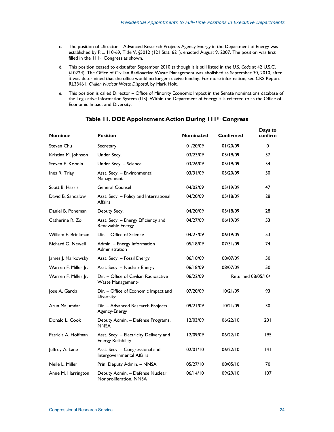- c. The position of Director Advanced Research Projects Agency-Energy in the Department of Energy was established by P.L. 110-69, Title V, §5012 (121 Stat. 621), enacted August 9, 2007. The position was first filled in the 111th Congress as shown.
- d. This position ceased to exist after September 2010 (although it is still listed in the *U.S. Code* at 42 U.S.C. §10224). The Office of Civilian Radioactive Waste Management was abolished as September 30, 2010, after it was determined that the office would no longer receive funding. For more information, see CRS Report RL33461, *Civilian Nuclear Waste Disposal*, by Mark Holt.
- e. This position is called Director Office of Minority Economic Impact in the Senate nominations database of the Legislative Information System (LIS). Within the Department of Energy it is referred to as the Office of Economic Impact and Diversity.

| <b>Nominee</b>       | <b>Position</b>                                                        | <b>Nominated</b> | Confirmed          | Days to<br>confirm |
|----------------------|------------------------------------------------------------------------|------------------|--------------------|--------------------|
| Steven Chu           | Secretary                                                              | 01/20/09         | 01/20/09           | $\Omega$           |
| Kristina M. Johnson  | Under Secy.                                                            | 03/23/09         | 05/19/09           | 57                 |
| Steven E. Koonin     | Under Secy. - Science                                                  | 03/26/09         | 05/19/09           | 54                 |
| Inés R. Triay        | Asst. Secy. - Environmental<br>Management                              | 03/31/09         | 05/20/09           | 50                 |
| Scott B. Harris      | <b>General Counsel</b>                                                 | 04/02/09         | 05/19/09           | 47                 |
| David B. Sandalow    | Asst. Secy. - Policy and International<br><b>Affairs</b>               | 04/20/09         | 05/18/09           | 28                 |
| Daniel B. Poneman    | Deputy Secy.                                                           | 04/20/09         | 05/18/09           | 28                 |
| Catherine R. Zoi     | Asst. Secy. - Energy Efficiency and<br>Renewable Energy                | 04/27/09         | 06/19/09           | 53                 |
| William F. Brinkman  | Dir. - Office of Science                                               | 04/27/09         | 06/19/09           | 53                 |
| Richard G. Newell    | Admin. - Energy Information<br>Administration                          | 05/18/09         | 07/31/09           | 74                 |
| James J. Markowsky   | Asst. Secy. - Fossil Energy                                            | 06/18/09         | 08/07/09           | 50                 |
| Warren F. Miller Jr. | Asst. Secy. - Nuclear Energy                                           | 06/18/09         | 08/07/09           | 50                 |
| Warren F. Miller Jr. | Dir. - Office of Civilian Radioactive<br>Waste Management <sup>a</sup> | 06/22/09         | Returned 08/05/10b |                    |
| Jose A. Garcia       | Dir. - Office of Economic Impact and<br>Diversity <sup>c</sup>         | 07/20/09         | 10/21/09           | 93                 |
| Arun Majumdar        | Dir. - Advanced Research Projects<br>Agency-Energy                     | 09/21/09         | 10/21/09           | 30                 |
| Donald L. Cook       | Deputy Admin. - Defense Programs,<br><b>NNSA</b>                       | 12/03/09         | 06/22/10           | 201                |
| Patricia A. Hoffman  | Asst. Secy. - Electricity Delivery and<br><b>Energy Reliability</b>    | 12/09/09         | 06/22/10           | 195                |
| Jeffrey A. Lane      | Asst. Secy. - Congressional and<br>Intergovernmental Affairs           | 02/01/10         | 06/22/10           | 4                  |
| Neile L. Miller      | Prin. Deputy Admin. - NNSA                                             | 05/27/10         | 08/05/10           | 70                 |
| Anne M. Harrington   | Deputy Admin. - Defense Nuclear<br>Nonproliferation, NNSA              | 06/14/10         | 09/29/10           | 107                |

#### **Table 11. DOE Appointment Action During 111th Congress**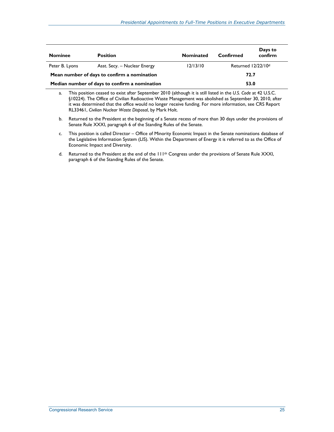| <b>Nominee</b>                                | <b>Position</b>              | <b>Nominated</b> | Confirmed                      | Days to<br>confirm |
|-----------------------------------------------|------------------------------|------------------|--------------------------------|--------------------|
| Peter B. Lyons                                | Asst. Secy. – Nuclear Energy | 12/13/10         | Returned 12/22/10 <sup>d</sup> |                    |
| Mean number of days to confirm a nomination   |                              |                  | 72.7                           |                    |
| Median number of days to confirm a nomination |                              |                  | 53.0                           |                    |

a. This position ceased to exist after September 2010 (although it is still listed in the *U.S. Code* at 42 U.S.C. §10224). The Office of Civilian Radioactive Waste Management was abolished as September 30, 2010, after it was determined that the office would no longer receive funding. For more information, see CRS Report RL33461, *Civilian Nuclear Waste Disposal*, by Mark Holt.

b. Returned to the President at the beginning of a Senate recess of more than 30 days under the provisions of Senate Rule XXXI, paragraph 6 of the Standing Rules of the Senate.

c. This position is called Director – Office of Minority Economic Impact in the Senate nominations database of the Legislative Information System (LIS). Within the Department of Energy it is referred to as the Office of Economic Impact and Diversity.

d. Returned to the President at the end of the 111<sup>th</sup> Congress under the provisions of Senate Rule XXXI, paragraph 6 of the Standing Rules of the Senate.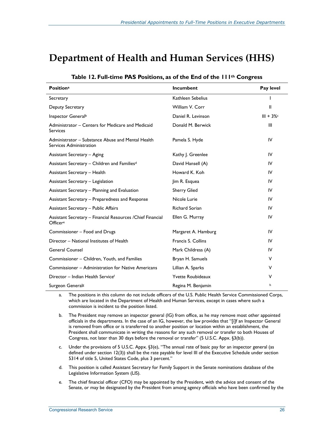### **Department of Health and Human Services (HHS)**

| <b>Positiona</b>                                                             | <b>Incumbent</b>         | Pay level   |
|------------------------------------------------------------------------------|--------------------------|-------------|
| Secretary                                                                    | Kathleen Sebelius        |             |
| Deputy Secretary                                                             | William V. Corr          | Ш           |
| Inspector General <sup>b</sup>                                               | Daniel R. Levinson       | $III + 3\%$ |
| Administrator – Centers for Medicare and Medicaid<br><b>Services</b>         | Donald M. Berwick        | Ш           |
| Administrator – Substance Abuse and Mental Health<br>Services Administration | Pamela S. Hyde           | IV          |
| Assistant Secretary - Aging                                                  | Kathy J. Greenlee        | IV          |
| Assistant Secretary - Children and Families <sup>d</sup>                     | David Hansell (A)        | IV          |
| Assistant Secretary - Health                                                 | Howard K. Koh            | IV          |
| Assistant Secretary - Legislation                                            | Jim R. Esquea            | IV          |
| Assistant Secretary - Planning and Evaluation                                | <b>Sherry Glied</b>      | IV          |
| Assistant Secretary - Preparedness and Response                              | Nicole Lurie             | IV          |
| <b>Assistant Secretary - Public Affairs</b>                                  | <b>Richard Sorian</b>    | IV          |
| Assistant Secretary - Financial Resources / Chief Financial<br>Officere      | Ellen G. Murray          | IV          |
| Commissioner - Food and Drugs                                                | Margaret A. Hamburg      | IV          |
| Director - National Institutes of Health                                     | Francis S. Collins       | IV          |
| <b>General Counsel</b>                                                       | Mark Childress (A)       | IV          |
| Commissioner - Children, Youth, and Families                                 | Bryan H. Samuels         | V           |
| Commissioner – Administration for Native Americans                           | Lillian A. Sparks        | ۷           |
| Director - Indian Health Servicef                                            | <b>Yvette Roubideaux</b> | V           |
| Surgeon Generals                                                             | Regina M. Benjamin       | h           |

#### **Table 12. Full-time PAS Positions, as of the End of the 111th Congress**

a. The positions in this column do not include officers of the U.S. Public Health Service Commissioned Corps, which are located in the Department of Health and Human Services, except in cases where such a commission is incident to the position listed.

b. The President may remove an inspector general (IG) from office, as he may remove most other appointed officials in the departments. In the case of an IG, however, the law provides that "[i]f an Inspector General is removed from office or is transferred to another position or location within an establishment, the President shall communicate in writing the reasons for any such removal or transfer to both Houses of Congress, not later than 30 days before the removal or transfer" (5 U.S.C. Appx. §3(b)).

- c. Under the provisions of 5 U.S.C. Appx.  $\S3(e)$ , "The annual rate of basic pay for an inspector general (as defined under section 12(3)) shall be the rate payable for level III of the Executive Schedule under section 5314 of title 5, United States Code, plus 3 percent."
- d. This position is called Assistant Secretary for Family Support in the Senate nominations database of the Legislative Information System (LIS).
- e. The chief financial officer (CFO) may be appointed by the President, with the advice and consent of the Senate, or may be designated by the President from among agency officials who have been confirmed by the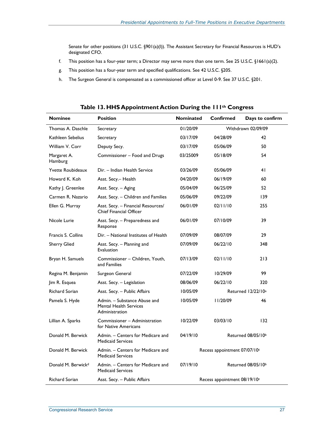Senate for other positions (31 U.S.C. §901(a)(l)). The Assistant Secretary for Financial Resources is HUD's designated CFO.

- f. This position has a four-year term; a Director may serve more than one term. See 25 U.S.C. §1661(a)(2).
- g. This position has a four-year term and specified qualifications. See 42 U.S.C. §205.
- h. The Surgeon General is compensated as a commissioned officer at Level 0-9. See 37 U.S.C. §201.

| <b>Nominee</b>                 | <b>Position</b>                                                                 | <b>Nominated</b>               | Confirmed          | Days to confirm                |
|--------------------------------|---------------------------------------------------------------------------------|--------------------------------|--------------------|--------------------------------|
| Thomas A. Daschle              | Secretary                                                                       | 01/20/09                       | Withdrawn 02/09/09 |                                |
| Kathleen Sebelius              | Secretary                                                                       | 03/17/09                       | 04/28/09           | 42                             |
| William V. Corr                | Deputy Secy.                                                                    | 03/17/09                       | 05/06/09           | 50                             |
| Margaret A.<br>Hamburg         | Commissioner - Food and Drugs                                                   | 03/25009                       | 05/18/09           | 54                             |
| <b>Yvette Roubideaux</b>       | Dir. - Indian Health Service                                                    | 03/26/09                       | 05/06/09           | 41                             |
| Howard K. Koh                  | Asst. Secy.- Health                                                             | 04/20/09                       | 06/19/09           | 60                             |
| Kathy J. Greenlee              | Asst. Secy. - Aging                                                             | 05/04/09                       | 06/25/09           | 52                             |
| Carmen R. Nazario              | Asst. Secy. - Children and Families                                             | 05/06/09                       | 09/22/09           | 139                            |
| Ellen G. Murray                | Asst. Secy. - Financial Resources/<br><b>Chief Financial Officer</b>            | 06/01/09                       | 02/11/10           | 255                            |
| Nicole Lurie                   | Asst. Secy. - Preparedness and<br>Response                                      | 06/01/09                       | 07/10/09           | 39                             |
| Francis S. Collins             | Dir. - National Institutes of Health                                            | 07/09/09                       | 08/07/09           | 29                             |
| <b>Sherry Glied</b>            | Asst. Secy. - Planning and<br><b>Evaluation</b>                                 | 07/09/09                       | 06/22/10           | 348                            |
| Bryan H. Samuels               | Commissioner - Children, Youth,<br>and Families                                 | 07/13/09                       | 02/11/10           | 213                            |
| Regina M. Benjamin             | Surgeon General                                                                 | 07/22/09                       | 10/29/09           | 99                             |
| Jim R. Esquea                  | Asst. Secy. - Legislation                                                       | 08/06/09                       | 06/22/10           | 320                            |
| <b>Richard Sorian</b>          | Asst. Secy. - Public Affairs                                                    | 10/05/09                       |                    | Returned 12/22/10 <sup>a</sup> |
| Pamela S. Hyde                 | Admin. – Substance Abuse and<br><b>Mental Health Services</b><br>Administration | 10/05/09                       | 11/20/09           | 46                             |
| Lillian A. Sparks              | Commissioner - Administration<br>for Native Americans                           | 10/22/09                       | 03/03/10           | 132                            |
| Donald M. Berwick              | Admin. - Centers for Medicare and<br><b>Medicaid Services</b>                   | 04/19/10                       | Returned 08/05/10b |                                |
| Donald M. Berwick              | Admin. - Centers for Medicare and<br><b>Medicaid Services</b>                   | Recess appointment 07/07/10c   |                    |                                |
| Donald M. Berwick <sup>d</sup> | Admin. - Centers for Medicare and<br><b>Medicaid Services</b>                   | 07/19/10<br>Returned 08/05/10b |                    |                                |
| Richard Sorian                 | Asst. Secy. - Public Affairs                                                    | Recess appointment 08/19/10 c  |                    |                                |

**Table 13. HHS Appointment Action During the 111th Congress**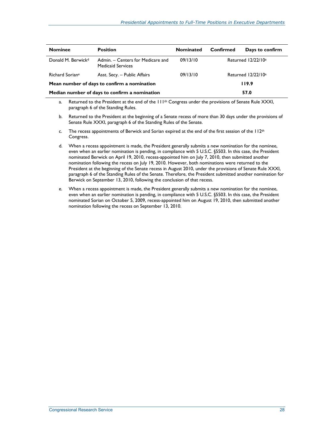| <b>Nominee</b>                                | <b>Position</b>                                               | <b>Nominated</b> | Confirmed                      | Days to confirm |
|-----------------------------------------------|---------------------------------------------------------------|------------------|--------------------------------|-----------------|
| Donald M. Berwick <sup>d</sup>                | Admin. - Centers for Medicare and<br><b>Medicaid Services</b> | 09/13/10         | Returned 12/22/10 <sup>a</sup> |                 |
| Richard Soriane                               | Asst. Secy. - Public Affairs                                  | 09/13/10         | Returned 12/22/10 <sup>a</sup> |                 |
| Mean number of days to confirm a nomination   |                                                               |                  | 119.9                          |                 |
| Median number of days to confirm a nomination |                                                               |                  | 57.0                           |                 |

- a. Returned to the President at the end of the 111<sup>th</sup> Congress under the provisions of Senate Rule XXXI, paragraph 6 of the Standing Rules.
- b. Returned to the President at the beginning of a Senate recess of more than 30 days under the provisions of Senate Rule XXXI, paragraph 6 of the Standing Rules of the Senate.
- c. The recess appointments of Berwick and Sorian expired at the end of the first session of the  $112<sup>th</sup>$ Congress.
- d. When a recess appointment is made, the President generally submits a new nomination for the nominee, even when an earlier nomination is pending, in compliance with 5 U.S.C. §5503. In this case, the President nominated Berwick on April 19, 2010, recess-appointed him on July 7, 2010, then submitted another nomination following the recess on July 19, 2010. However, both nominations were returned to the President at the beginning of the Senate recess in August 2010, under the provisions of Senate Rule XXXI, paragraph 6 of the Standing Rules of the Senate. Therefore, the President submitted another nomination for Berwick on September 13, 2010, following the conclusion of that recess.
- e. When a recess appointment is made, the President generally submits a new nomination for the nominee, even when an earlier nomination is pending, in compliance with 5 U.S.C. §5503. In this case, the President nominated Sorian on October 5, 2009, recess-appointed him on August 19, 2010, then submitted another nomination following the recess on September 13, 2010.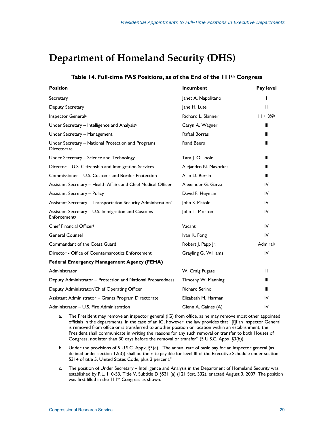## **Department of Homeland Security (DHS)**

| <b>Position</b>                                                    | <b>Incumbent</b>      | Pay level  |
|--------------------------------------------------------------------|-----------------------|------------|
| Secretary                                                          | Janet A. Napolitano   |            |
| Deputy Secretary                                                   | Jane H. Lute          | Ш          |
| Inspector General <sup>a</sup>                                     | Richard L. Skinner    | $III + 3%$ |
| Under Secretary - Intelligence and Analysisc                       | Caryn A. Wagner       | Ш          |
| Under Secretary - Management                                       | Rafael Borras         | Ш          |
| Under Secretary - National Protection and Programs<br>Directorate  | <b>Rand Beers</b>     | Ш          |
| Under Secretary - Science and Technology                           | Tara J. O'Toole       | Ш          |
| Director - U.S. Citizenship and Immigration Services               | Alejandro N. Mayorkas | Ш          |
| Commissioner – U.S. Customs and Border Protection                  | Alan D. Bersin        | Ш          |
| Assistant Secretary - Health Affairs and Chief Medical Officer     | Alexander G. Garza    | IV         |
| <b>Assistant Secretary - Policy</b>                                | David F. Heyman       | IV         |
| Assistant Secretary - Transportation Security Administrationd      | John S. Pistole       | IV         |
| Assistant Secretary - U.S. Immigration and Customs<br>Enforcemente | John T. Morton        | IV         |
| Chief Financial Officerf                                           | Vacant                | IV         |
| <b>General Counsel</b>                                             | Ivan K. Fong          | IV         |
| Commandant of the Coast Guard                                      | Robert J. Papp Jr.    | Admirals   |
| Director - Office of Counternarcotics Enforcement                  | Grayling G. Williams  | IV         |
| <b>Federal Emergency Management Agency (FEMA)</b>                  |                       |            |
| Administrator                                                      | W. Craig Fugate       | Ш          |
| Deputy Administrator - Protection and National Preparedness        | Timothy W. Manning    | Ш          |
| Deputy Administrator/Chief Operating Officer                       | <b>Richard Serino</b> | Ш          |
| Assistant Administrator - Grants Program Directorate               | Elizabeth M. Harman   | IV         |
| Administrator - U.S. Fire Administration                           | Glenn A. Gaines (A)   | IV         |

#### **Table 14. Full-time PAS Positions, as of the End of the 111th Congress**

a. The President may remove an inspector general (IG) from office, as he may remove most other appointed officials in the departments. In the case of an IG, however, the law provides that "[i]f an Inspector General is removed from office or is transferred to another position or location within an establishment, the President shall communicate in writing the reasons for any such removal or transfer to both Houses of Congress, not later than 30 days before the removal or transfer" (5 U.S.C. Appx. §3(b)).

- b. Under the provisions of 5 U.S.C. Appx. §3(e), "The annual rate of basic pay for an inspector general (as defined under section 12(3)) shall be the rate payable for level III of the Executive Schedule under section 5314 of title 5, United States Code, plus 3 percent."
- c. The position of Under Secretary Intelligence and Analysis in the Department of Homeland Security was established by P.L. 110-53, Title V, Subtitle D §531 (a) (121 Stat. 332), enacted August 3, 2007. The position was first filled in the 111th Congress as shown.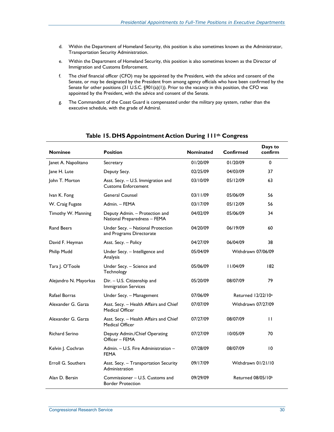- d. Within the Department of Homeland Security, this position is also sometimes known as the Administrator, Transportation Security Administration.
- e. Within the Department of Homeland Security, this position is also sometimes known as the Director of Immigration and Customs Enforcement.
- f. The chief financial officer (CFO) may be appointed by the President, with the advice and consent of the Senate, or may be designated by the President from among agency officials who have been confirmed by the Senate for other positions (31 U.S.C. §901(a)(1)). Prior to the vacancy in this position, the CFO was appointed by the President, with the advice and consent of the Senate.
- g. The Commandant of the Coast Guard is compensated under the military pay system, rather than the executive schedule, with the grade of Admiral.

| <b>Nominee</b>        | <b>Position</b>                                                  | <b>Nominated</b> | Confirmed                      | Days to<br>confirm |
|-----------------------|------------------------------------------------------------------|------------------|--------------------------------|--------------------|
| Janet A. Napolitano   | Secretary                                                        | 01/20/09         | 01/20/09                       | 0                  |
| Jane H. Lute          | Deputy Secy.                                                     | 02/25/09         | 04/03/09                       | 37                 |
| John T. Morton        | Asst. Secy. - U.S. Immigration and<br><b>Customs Enforcement</b> | 03/10/09         | 05/12/09                       | 63                 |
| Ivan K. Fong          | <b>General Counsel</b>                                           | 03/11/09         | 05/06/09                       | 56                 |
| W. Craig Fugate       | Admin. - FEMA                                                    | 03/17/09         | 05/12/09                       | 56                 |
| Timothy W. Manning    | Deputy Admin. - Protection and<br>National Preparedness - FEMA   | 04/02/09         | 05/06/09                       | 34                 |
| <b>Rand Beers</b>     | Under Secy. - National Protection<br>and Programs Directorate    | 04/20/09         | 06/19/09                       | 60                 |
| David F. Heyman       | Asst. Secy. - Policy                                             | 04/27/09         | 06/04/09                       | 38                 |
| Philip Mudd           | Under Secy. - Intelligence and<br>Analysis                       | 05/04/09         | Withdrawn 07/06/09             |                    |
| Tara J. O'Toole       | Under Secy. - Science and<br>Technology                          | 05/06/09         | 11/04/09                       | 182                |
| Alejandro N. Mayorkas | Dir. - U.S. Citizenship and<br><b>Immigration Services</b>       | 05/20/09         | 08/07/09                       | 79                 |
| Rafael Borras         | Under Secy. - Management                                         | 07/06/09         | Returned 12/22/10 <sup>a</sup> |                    |
| Alexander G. Garza    | Asst. Secy. - Health Affairs and Chief<br>Medical Officer        | 07/07/09         | Withdrawn 07/27/09             |                    |
| Alexander G. Garza    | Asst. Secy. - Health Affairs and Chief<br>Medical Officer        | 07/27/09         | 08/07/09                       | $\mathbf{H}$       |
| <b>Richard Serino</b> | Deputy Admin./Chief Operating<br>Officer - FEMA                  | 07/27/09         | 10/05/09                       | 70                 |
| Kelvin J. Cochran     | Admin. - U.S. Fire Administration -<br><b>FEMA</b>               | 07/28/09         | 08/07/09                       | 10                 |
| Erroll G. Southers    | Asst. Secy. - Transportation Security<br>Administration          | 09/17/09         | Withdrawn 01/21/10             |                    |
| Alan D. Bersin        | Commissioner - U.S. Customs and<br><b>Border Protection</b>      | 09/29/09         | Returned 08/05/10b             |                    |

#### **Table 15. DHS Appointment Action During 111th Congress**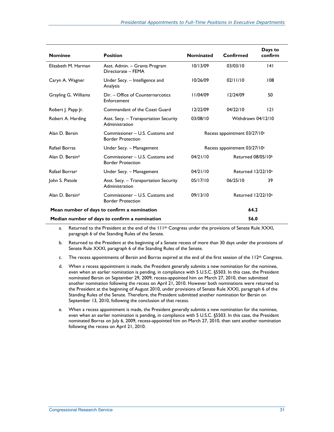| <b>Nominee</b>                                | <b>Position</b>                                             | <b>Nominated</b>             | Confirmed                      | Days to<br>confirm |  |
|-----------------------------------------------|-------------------------------------------------------------|------------------------------|--------------------------------|--------------------|--|
| Elizabeth M. Harman                           | Asst. Admin. - Grants Program<br>Directorate - FEMA         | 10/13/09                     | 03/03/10                       | 4                  |  |
| Caryn A. Wagner                               | Under Secy. - Intelligence and<br>Analysis                  | 10/26/09                     | 02/11/10                       | 108                |  |
| Grayling G. Williams                          | Dir. - Office of Counternarcotics<br>Enforcement            | 11/04/09                     | 12/24/09                       | 50                 |  |
| Robert J. Papp Jr.                            | Commandant of the Coast Guard                               | 12/22/09                     | 04/22/10                       | 2                  |  |
| Robert A. Harding                             | Asst. Secy. – Transportation Security<br>Administration     | 03/08/10                     | Withdrawn 04/12/10             |                    |  |
| Alan D. Bersin                                | Commissioner – U.S. Customs and<br><b>Border Protection</b> | Recess appointment 03/27/10c |                                |                    |  |
| Rafael Borras                                 | Under Secy. - Management                                    | Recess appointment 03/27/10c |                                |                    |  |
| Alan D. Bersind                               | Commissioner - U.S. Customs and<br><b>Border Protection</b> | 04/21/10                     | Returned 08/05/10b             |                    |  |
| Rafael Borrase                                | Under Secy. - Management                                    | 04/21/10                     | Returned 12/22/10 <sup>a</sup> |                    |  |
| John S. Pistole                               | Asst. Secy. - Transportation Security<br>Administration     | 05/17/10                     | 06/25/10                       | 39                 |  |
| Alan D. Bersin <sup>d</sup>                   | Commissioner - U.S. Customs and<br><b>Border Protection</b> | 09/13/10                     | Returned 12/22/10 <sup>a</sup> |                    |  |
| Mean number of days to confirm a nomination   |                                                             |                              | 64.2                           |                    |  |
| Median number of days to confirm a nomination |                                                             |                              | 56.0                           |                    |  |

a. Returned to the President at the end of the 111<sup>th</sup> Congress under the provisions of Senate Rule XXXI, paragraph 6 of the Standing Rules of the Senate.

- b. Returned to the President at the beginning of a Senate recess of more than 30 days under the provisions of Senate Rule XXXI, paragraph 6 of the Standing Rules of the Senate.
- c. The recess appointments of Bersin and Borras expired at the end of the first session of the  $112^{th}$  Congress.
- d. When a recess appointment is made, the President generally submits a new nomination for the nominee, even when an earlier nomination is pending, in compliance with 5 U.S.C. §5503. In this case, the President nominated Bersin on September 29, 2009, recess-appointed him on March 27, 2010, then submitted another nomination following the recess on April 21, 2010. However both nominations were returned to the President at the beginning of August 2010, under provisions of Senate Rule XXXI, paragraph 6 of the Standing Rules of the Senate. Therefore, the President submitted another nomination for Bersin on September 13, 2010, following the conclusion of that recess.
- e. When a recess appointment is made, the President generally submits a new nomination for the nominee, even when an earlier nomination is pending, in compliance with 5 U.S.C. §5503. In this case, the President nominated Borras on July 6, 2009, recess-appointed him on March 27, 2010, then sent another nomination following the recess on April 21, 2010.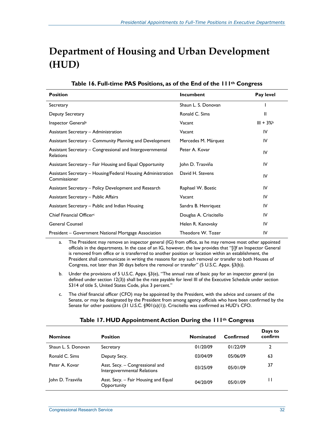# **Department of Housing and Urban Development (HUD)**

| <b>Position</b>                                                              | Incumbent              | Pay level  |
|------------------------------------------------------------------------------|------------------------|------------|
| Secretary                                                                    | Shaun L. S. Donovan    |            |
| Deputy Secretary                                                             | Ronald C. Sims         | Ш          |
| Inspector General <sup>a</sup>                                               | Vacant                 | $III + 3%$ |
| Assistant Secretary - Administration                                         | Vacant                 | IV         |
| Assistant Secretary – Community Planning and Development                     | Mercedes M. Márquez    | IV         |
| Assistant Secretary - Congressional and Intergovernmental<br>Relations       | Peter A. Kovar         | IV         |
| Assistant Secretary – Fair Housing and Equal Opportunity                     | John D. Trasviña       | IV         |
| Assistant Secretary - Housing/Federal Housing Administration<br>Commissioner | David H. Stevens       | IV         |
| Assistant Secretary - Policy Development and Research                        | Raphael W. Bostic      | IV         |
| <b>Assistant Secretary - Public Affairs</b>                                  | Vacant                 | IV         |
| Assistant Secretary - Public and Indian Housing                              | Sandra B. Henriquez    | IV         |
| Chief Financial Officer <sup>c</sup>                                         | Douglas A. Criscitello | IV         |
| <b>General Counsel</b>                                                       | Helen R. Kanovsky      | IV         |
| President – Government National Mortgage Association                         | Theodore W. Tozer      | IV         |

|  |  |  | Table 16. Full-time PAS Positions, as of the End of the 111 <sup>th</sup> Congress |  |  |
|--|--|--|------------------------------------------------------------------------------------|--|--|
|--|--|--|------------------------------------------------------------------------------------|--|--|

a. The President may remove an inspector general (IG) from office, as he may remove most other appointed officials in the departments. In the case of an IG, however, the law provides that "[i]f an Inspector General is removed from office or is transferred to another position or location within an establishment, the President shall communicate in writing the reasons for any such removal or transfer to both Houses of Congress, not later than 30 days before the removal or transfer" (5 U.S.C. Appx. §3(b)).

- b. Under the provisions of 5 U.S.C. Appx. §3(e), "The annual rate of basic pay for an inspector general (as defined under section 12(3)) shall be the rate payable for level III of the Executive Schedule under section 5314 of title 5, United States Code, plus 3 percent."
- c. The chief financial officer (CFO) may be appointed by the President, with the advice and consent of the Senate, or may be designated by the President from among agency officials who have been confirmed by the Senate for other positions (31 U.S.C. §901(a)(1)). Criscitello was confirmed as HUD's CFO.

| <b>Nominee</b>      | <b>Position</b>                                                | <b>Nominated</b> | Confirmed | Days to<br>confirm |
|---------------------|----------------------------------------------------------------|------------------|-----------|--------------------|
| Shaun L. S. Donovan | Secretary                                                      | 01/20/09         | 01/22/09  | 2                  |
| Ronald C. Sims      | Deputy Secy.                                                   | 03/04/09         | 05/06/09  | 63                 |
| Peter A. Kovar      | Asst. Secy. - Congressional and<br>Intergovernmental Relations | 03/25/09         | 05/01/09  | 37                 |
| John D. Trasviña    | Asst. Secy. - Fair Housing and Equal<br>Opportunity            | 04/20/09         | 05/01/09  |                    |

## **Table 17. HUD Appointment Action During the 111th Congress**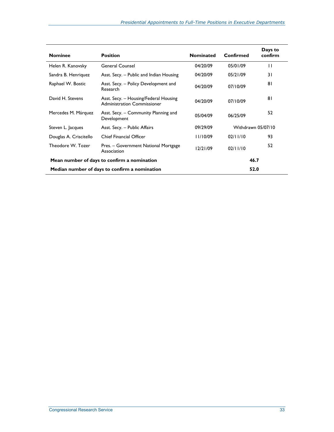| <b>Nominee</b>                                | <b>Position</b>                                                             | <b>Nominated</b> | Confirmed          | Days to<br>confirm |
|-----------------------------------------------|-----------------------------------------------------------------------------|------------------|--------------------|--------------------|
| Helen R. Kanovsky                             | <b>General Counsel</b>                                                      | 04/20/09         | 05/01/09           | П                  |
| Sandra B. Henriquez                           | Asst. Secy. – Public and Indian Housing                                     | 04/20/09         | 05/21/09           | 31                 |
| Raphael W. Bostic                             | Asst. Secy. - Policy Development and<br>Research                            | 04/20/09         | 07/10/09           | 81                 |
| David H. Stevens                              | Asst. Secy. - Housing/Federal Housing<br><b>Administration Commissioner</b> | 04/20/09         | 07/10/09           | 81                 |
| Mercedes M. Márquez                           | Asst. Secy. – Community Planning and<br>Development                         | 05/04/09         | 06/25/09           | 52                 |
| Steven L. Jacques                             | Asst. Secy. - Public Affairs                                                | 09/29/09         | Withdrawn 05/07/10 |                    |
| Douglas A. Criscitello                        | <b>Chief Financial Officer</b>                                              | 11/10/09         | 02/11/10           | 93                 |
| Theodore W. Tozer                             | Pres. - Government National Mortgage<br>Association                         | 12/21/09         | 02/11/10           | 52                 |
| Mean number of days to confirm a nomination   |                                                                             |                  | 46.7               |                    |
| Median number of days to confirm a nomination |                                                                             | 52.0             |                    |                    |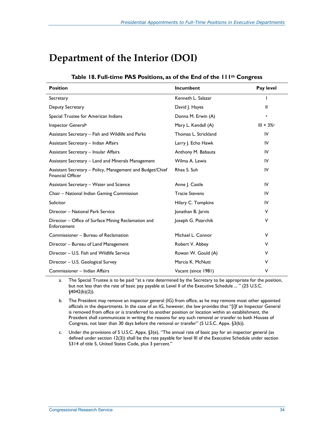# **Department of the Interior (DOI)**

| <b>Position</b>                                                                       | Incumbent             | Pay level    |
|---------------------------------------------------------------------------------------|-----------------------|--------------|
| Secretary                                                                             | Kenneth L. Salazar    |              |
| Deputy Secretary                                                                      | David J. Hayes        | Ш            |
| Special Trustee for American Indians                                                  | Donna M. Erwin (A)    | $\mathbf{a}$ |
| Inspector General <sup>b</sup>                                                        | Mary L. Kendall (A)   | $III + 3\%$  |
| Assistant Secretary - Fish and Wildlife and Parks                                     | Thomas L. Strickland  | IV           |
| Assistant Secretary - Indian Affairs                                                  | Larry J. Echo Hawk    | IV           |
| Assistant Secretary - Insular Affairs                                                 | Anthony M. Babauta    | IV           |
| Assistant Secretary - Land and Minerals Management                                    | Wilma A. Lewis        | IV           |
| Assistant Secretary - Policy, Management and Budget/Chief<br><b>Financial Officer</b> | Rhea S. Suh           | IV           |
| Assistant Secretary - Water and Science                                               | Anne J. Castle        | IV           |
| Chair – National Indian Gaming Commission                                             | <b>Tracie Stevens</b> | IV           |
| Solicitor                                                                             | Hilary C. Tompkins    | IV           |
| Director - National Park Service                                                      | Jonathan B. Jarvis    | ٧            |
| Director – Office of Surface Mining Reclamation and<br>Enforcement                    | Joseph G. Pizarchik   | ٧            |
| Commissioner - Bureau of Reclamation                                                  | Michael L. Connor     | V            |
| Director - Bureau of Land Management                                                  | Robert V. Abbey       | V            |
| Director - U.S. Fish and Wildlife Service                                             | Rowan W. Gould (A)    | v            |
| Director - U.S. Geological Survey                                                     | Marcia K. McNutt      | ٧            |
| Commissioner - Indian Affairs                                                         | Vacant (since 1981)   | ٧            |

## **Table 18. Full-time PAS Positions, as of the End of the 111th Congress**

a. The Special Trustee is to be paid "at a rate determined by the Secretary to be appropriate for the position, but not less than the rate of basic pay payable at Level II of the Executive Schedule ... " (25 U.S.C. §4042(b)(2)).

b. The President may remove an inspector general (IG) from office, as he may remove most other appointed officials in the departments. In the case of an IG, however, the law provides that "[i]f an Inspector General is removed from office or is transferred to another position or location within an establishment, the President shall communicate in writing the reasons for any such removal or transfer to both Houses of Congress, not later than 30 days before the removal or transfer" (5 U.S.C. Appx. §3(b)).

c. Under the provisions of 5 U.S.C. Appx. §3(e), "The annual rate of basic pay for an inspector general (as defined under section 12(3)) shall be the rate payable for level III of the Executive Schedule under section 5314 of title 5, United States Code, plus 3 percent."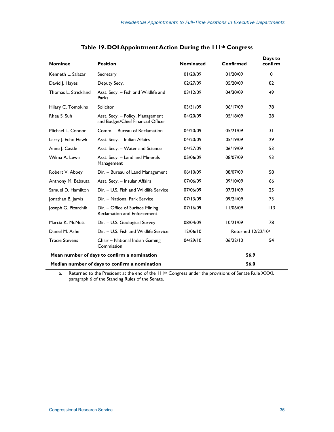| <b>Nominee</b>                                        | <b>Position</b>                                                        | <b>Nominated</b> | Confirmed                      | Days to<br>confirm |
|-------------------------------------------------------|------------------------------------------------------------------------|------------------|--------------------------------|--------------------|
| Kenneth L. Salazar                                    | Secretary                                                              | 01/20/09         | 01/20/09                       | $\mathbf 0$        |
| David J. Hayes                                        | Deputy Secy.                                                           | 02/27/09         | 05/20/09                       | 82                 |
| Thomas L. Strickland                                  | Asst. Secy. - Fish and Wildlife and<br>Parks                           | 03/12/09         | 04/30/09                       | 49                 |
| Hilary C. Tompkins                                    | Solicitor                                                              | 03/31/09         | 06/17/09                       | 78                 |
| Rhea S. Suh                                           | Asst. Secy. - Policy, Management<br>and Budget/Chief Financial Officer | 04/20/09         | 05/18/09                       | 28                 |
| Michael L. Connor                                     | Comm. - Bureau of Reclamation                                          | 04/20/09         | 05/21/09                       | 31                 |
| Larry J. Echo Hawk                                    | Asst. Secy. - Indian Affairs                                           | 04/20/09         | 05/19/09                       | 29                 |
| Anne J. Castle                                        | Asst. Secy. - Water and Science                                        | 04/27/09         | 06/19/09                       | 53                 |
| Wilma A. Lewis                                        | Asst. Secy. - Land and Minerals<br>Management                          | 05/06/09         | 08/07/09                       | 93                 |
| Robert V. Abbey                                       | Dir. - Bureau of Land Management                                       | 06/10/09         | 08/07/09                       | 58                 |
| Anthony M. Babauta                                    | Asst. Secy. - Insular Affairs                                          | 07/06/09         | 09/10/09                       | 66                 |
| Samuel D. Hamilton                                    | Dir. - U.S. Fish and Wildlife Service                                  | 07/06/09         | 07/31/09                       | 25                 |
| Jonathan B. Jarvis                                    | Dir. - National Park Service                                           | 07/13/09         | 09/24/09                       | 73                 |
| Joseph G. Pizarchik                                   | Dir. - Office of Surface Mining<br><b>Reclamation and Enforcement</b>  | 07/16/09         | 11/06/09                       | 113                |
| Marcia K. McNutt                                      | Dir. - U.S. Geological Survey                                          | 08/04/09         | 10/21/09                       | 78                 |
| Daniel M. Ashe                                        | Dir. - U.S. Fish and Wildlife Service                                  | 12/06/10         | Returned 12/22/10 <sup>a</sup> |                    |
| <b>Tracie Stevens</b>                                 | Chair - National Indian Gaming<br>Commission                           | 04/29/10         | 06/22/10                       | 54                 |
|                                                       | Mean number of days to confirm a nomination                            |                  | 56.9                           |                    |
| 56.0<br>Median number of days to confirm a nomination |                                                                        |                  |                                |                    |

|  | Table 19. DOI Appointment Action During the 111th Congress |  |  |
|--|------------------------------------------------------------|--|--|
|--|------------------------------------------------------------|--|--|

a. Returned to the President at the end of the 111<sup>th</sup> Congress under the provisions of Senate Rule XXXI, paragraph 6 of the Standing Rules of the Senate.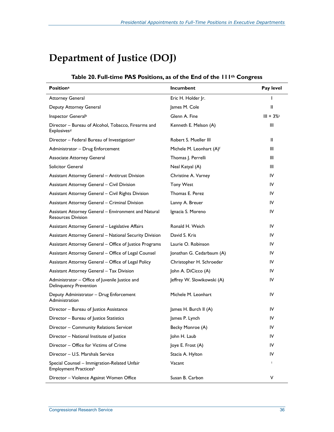# **Department of Justice (DOJ)**

| <b>Positiona</b>                                                                  | Incumbent                  | Pay level   |
|-----------------------------------------------------------------------------------|----------------------------|-------------|
| <b>Attorney General</b>                                                           | Eric H. Holder Jr.         |             |
| Deputy Attorney General                                                           | James M. Cole              | Ш           |
| Inspector General <sup>b</sup>                                                    | Glenn A. Fine              | $III + 3\%$ |
| Director - Bureau of Alcohol, Tobacco, Firearms and<br>Explosives <sup>d</sup>    | Kenneth E. Melson (A)      | Ш           |
| Director - Federal Bureau of Investigation <sup>e</sup>                           | Robert S. Mueller III      | Ш           |
| Administrator - Drug Enforcement                                                  | Michele M. Leonhart (A)f   | III         |
| <b>Associate Attorney General</b>                                                 | Thomas J. Perrelli         | III         |
| Solicitor General                                                                 | Neal Katyal (A)            | Ш           |
| Assistant Attorney General - Antitrust Division                                   | Christine A. Varney        | IV          |
| <b>Assistant Attorney General - Civil Division</b>                                | <b>Tony West</b>           | IV          |
| Assistant Attorney General - Civil Rights Division                                | Thomas E. Perez            | IV          |
| Assistant Attorney General - Criminal Division                                    | Lanny A. Breuer            | IV          |
| Assistant Attorney General - Environment and Natural<br><b>Resources Division</b> | Ignacia S. Moreno          | IV          |
| Assistant Attorney General - Legislative Affairs                                  | Ronald H. Weich            | IV          |
| <b>Assistant Attorney General - National Security Division</b>                    | David S. Kris              | IV          |
| Assistant Attorney General - Office of Justice Programs                           | Laurie O. Robinson         | IV          |
| Assistant Attorney General - Office of Legal Counsel                              | Jonathan G. Cedarbaum (A)  | IV          |
| Assistant Attorney General - Office of Legal Policy                               | Christopher H. Schroeder   | IV          |
| Assistant Attorney General - Tax Division                                         | John A. DiCicco (A)        | IV          |
| Administrator - Office of Juvenile Justice and<br><b>Delinquency Prevention</b>   | Jeffrey W. Slowikowski (A) | IV          |
| Deputy Administrator - Drug Enforcement<br>Administration                         | Michele M. Leonhart        | IV          |
| Director - Bureau of Justice Assistance                                           | James H. Burch II (A)      | IV          |
| Director - Bureau of Justice Statistics                                           | James P. Lynch             | IV          |
| Director - Community Relations Services                                           | Becky Monroe (A)           | IV          |
| Director - National Institute of Justice                                          | John H. Laub               | IV          |
| Director - Office for Victims of Crime                                            | Joye E. Frost (A)          | IV          |
| Director - U.S. Marshals Service                                                  | Stacia A. Hylton           | IV          |
| Special Counsel - Immigration-Related Unfair<br>Employment Practicesh             | Vacant                     | i.          |
| Director - Violence Against Women Office                                          | Susan B. Carbon            | V           |

## **Table 20. Full-time PAS Positions, as of the End of the 111th Congress**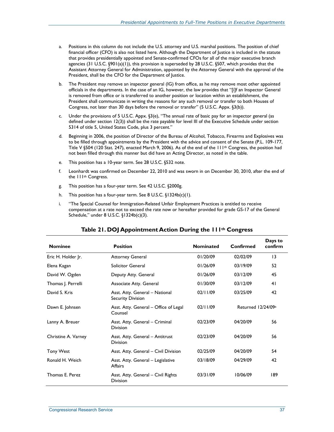- a. Positions in this column do not include the U.S. attorney and U.S. marshal positions. The position of chief financial officer (CFO) is also not listed here. Although the Department of Justice is included in the statute that provides presidentially appointed and Senate-confirmed CFOs for all of the major executive branch agencies (31 U.S.C. §901(a)(1)), this provision is superseded by 28 U.S.C. §507, which provides that the Assistant Attorney General for Administration, appointed by the Attorney General with the approval of the President, shall be the CFO for the Department of Justice.
- b. The President may remove an inspector general (IG) from office, as he may remove most other appointed officials in the departments. In the case of an IG, however, the law provides that "[i]f an Inspector General is removed from office or is transferred to another position or location within an establishment, the President shall communicate in writing the reasons for any such removal or transfer to both Houses of Congress, not later than 30 days before the removal or transfer" (5 U.S.C. Appx. §3(b)).
- c. Under the provisions of 5 U.S.C. Appx. §3(e), "The annual rate of basic pay for an inspector general (as defined under section 12(3)) shall be the rate payable for level III of the Executive Schedule under section 5314 of title 5, United States Code, plus 3 percent."
- d. Beginning in 2006, the position of Director of the Bureau of Alcohol, Tobacco, Firearms and Explosives was to be filled through appointments by the President with the advice and consent of the Senate (P.L. 109-177, Title V §504 (120 Stat. 247), enacted March 9, 2006). As of the end of the 111th Congress, the position had not been filled through this manner but did have an Acting Director, as noted in the table.
- e. This position has a 10-year term. See 28 U.S.C. §532 note.
- f. Leonhardt was confirmed on December 22, 2010 and was sworn in on December 30, 2010, after the end of the 111th Congress.
- g. This position has a four-year term. See 42 U.S.C. §2000g.
- h. This position has a four-year term. See 8 U.S.C. §1324b(c)(1).
- i. "The Special Counsel for Immigration-Related Unfair Employment Practices is entitled to receive compensation at a rate not to exceed the rate now or hereafter provided for grade GS-17 of the General Schedule," under 8 U.S.C. §1324b(c)(3).

| <b>Nominee</b>      | <b>Position</b>                                            | <b>Nominated</b> | Confirmed          | Days to<br>confirm |
|---------------------|------------------------------------------------------------|------------------|--------------------|--------------------|
| Eric H. Holder Jr.  | <b>Attorney General</b>                                    | 01/20/09         | 02/02/09           | $\overline{13}$    |
| Elena Kagan         | <b>Solicitor General</b>                                   | 01/26/09         | 03/19/09           | 52                 |
| David W. Ogden      | Deputy Atty. General                                       | 01/26/09         | 03/12/09           | 45                 |
| Thomas  . Perrelli  | Associate Atty. General                                    | 01/30/09         | 03/12/09           | 41                 |
| David S. Kris       | Asst. Atty. General - National<br><b>Security Division</b> | 02/11/09         | 03/25/09           | 42                 |
| Dawn E. Johnsen     | Asst. Atty. General – Office of Legal<br>Counsel           | 02/11/09         | Returned 12/24/09a |                    |
| Lanny A. Breuer     | Asst. Atty. General - Criminal<br><b>Division</b>          | 02/23/09         | 04/20/09           | 56                 |
| Christine A. Varney | Asst. Atty. General - Antitrust<br><b>Division</b>         | 02/23/09         | 04/20/09           | 56                 |
| <b>Tony West</b>    | Asst. Atty. General - Civil Division                       | 02/25/09         | 04/20/09           | 54                 |
| Ronald H. Weich     | Asst. Atty. General - Legislative<br><b>Affairs</b>        | 03/18/09         | 04/29/09           | 42                 |
| Thomas E. Perez     | Asst. Atty. General - Civil Rights<br><b>Division</b>      | 03/31/09         | 10/06/09           | 189                |

## **Table 21. DOJ Appointment Action During the 111th Congress**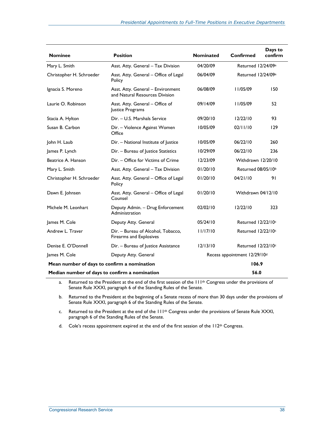| <b>Nominee</b>                                | <b>Position</b>                                                     | <b>Nominated</b> | Confirmed                      | Days to<br>confirm |
|-----------------------------------------------|---------------------------------------------------------------------|------------------|--------------------------------|--------------------|
| Mary L. Smith                                 | Asst. Atty. General - Tax Division                                  | 04/20/09         | Returned 12/24/09 <sup>a</sup> |                    |
| Christopher H. Schroeder                      | Asst. Atty. General - Office of Legal<br>Policy                     | 06/04/09         | Returned 12/24/09a             |                    |
| Ignacia S. Moreno                             | Asst. Atty. General - Environment<br>and Natural Resources Division | 06/08/09         | 11/05/09                       | 150                |
| Laurie O. Robinson                            | Asst. Atty. General - Office of<br>Justice Programs                 | 09/14/09         | 11/05/09                       | 52                 |
| Stacia A. Hylton                              | Dir. - U.S. Marshals Service                                        | 09/20/10         | 12/22/10                       | 93                 |
| Susan B. Carbon                               | Dir. - Violence Against Women<br>Office                             | 10/05/09         | 02/11/10                       | 129                |
| John H. Laub                                  | Dir. - National Institute of Justice                                | 10/05/09         | 06/22/10                       | 260                |
| James P. Lynch                                | Dir. - Bureau of Justice Statistics                                 | 10/29/09         | 06/22/10                       | 236                |
| Beatrice A. Hanson                            | Dir. - Office for Victims of Crime                                  | 12/23/09         | Withdrawn 12/20/10             |                    |
| Mary L. Smith                                 | Asst. Atty. General - Tax Division                                  | 01/20/10         | Returned 08/05/10b             |                    |
| Christopher H. Schroeder                      | Asst. Atty. General - Office of Legal<br>Policy                     | 01/20/10         | 04/21/10                       | 91                 |
| Dawn E. Johnsen                               | Asst. Atty. General - Office of Legal<br>Counsel                    | 01/20/10         | Withdrawn 04/12/10             |                    |
| Michele M. Leonhart                           | Deputy Admin. - Drug Enforcement<br>Administration                  | 02/02/10         | 12/22/10                       | 323                |
| James M. Cole                                 | Deputy Atty. General                                                | 05/24/10         | Returned 12/22/10c             |                    |
| Andrew L. Traver                              | Dir. - Bureau of Alcohol, Tobacco,<br>Firearms and Explosives       | 11/17/10         | Returned 12/22/10c             |                    |
| Denise E. O'Donnell                           | Dir. - Bureau of Justice Assistance                                 | 12/13/10         | Returned 12/22/10c             |                    |
| James M. Cole                                 | Deputy Atty. General                                                |                  | Recess appointment 12/29/10d   |                    |
| Mean number of days to confirm a nomination   |                                                                     |                  | 106.9                          |                    |
| Median number of days to confirm a nomination |                                                                     |                  | 56.0                           |                    |

a. Returned to the President at the end of the first session of the 111<sup>th</sup> Congress under the provisions of Senate Rule XXXI, paragraph 6 of the Standing Rules of the Senate.

b. Returned to the President at the beginning of a Senate recess of more than 30 days under the provisions of Senate Rule XXXI, paragraph 6 of the Standing Rules of the Senate.

c. Returned to the President at the end of the 111<sup>th</sup> Congress under the provisions of Senate Rule XXXI, paragraph 6 of the Standing Rules of the Senate.

d. Cole's recess appointment expired at the end of the first session of the 112<sup>th</sup> Congress.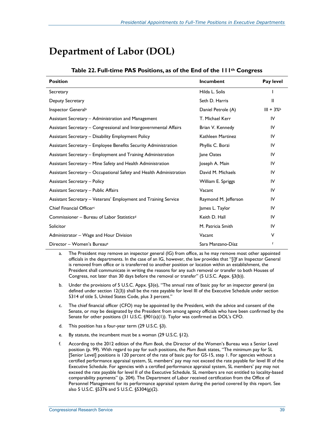# **Department of Labor (DOL)**

| <b>Position</b>                                                     | Incumbent            | Pay level  |
|---------------------------------------------------------------------|----------------------|------------|
| Secretary                                                           | Hilda L. Solis       |            |
| Deputy Secretary                                                    | Seth D. Harris       | Ш          |
| Inspector General <sup>a</sup>                                      | Daniel Petrole (A)   | $III + 3%$ |
| Assistant Secretary - Administration and Management                 | T. Michael Kerr      | IV         |
| Assistant Secretary - Congressional and Intergovernmental Affairs   | Brian V. Kennedy     | IV         |
| Assistant Secretary - Disability Employment Policy                  | Kathleen Martinez    | IV         |
| Assistant Secretary - Employee Benefits Security Administration     | Phyllis C. Borzi     | IV         |
| Assistant Secretary - Employment and Training Administration        | Jane Oates           | IV         |
| Assistant Secretary - Mine Safety and Health Administration         | Joseph A. Main       | IV         |
| Assistant Secretary - Occupational Safety and Health Administration | David M. Michaels    | IV         |
| <b>Assistant Secretary - Policy</b>                                 | William E. Spriggs   | IV         |
| <b>Assistant Secretary - Public Affairs</b>                         | Vacant               | IV         |
| Assistant Secretary - Veterans' Employment and Training Service     | Raymond M. Jefferson | IV         |
| Chief Financial Officer <sup>c</sup>                                | James L. Taylor      | IV         |
| Commissioner - Bureau of Labor Statistics <sup>d</sup>              | Keith D. Hall        | IV         |
| Solicitor                                                           | M. Patricia Smith    | IV         |
| Administrator - Wage and Hour Division                              | Vacant               | V          |
| Director - Women's Bureau <sup>e</sup>                              | Sara Manzano-Díaz    | f          |

#### **Table 22. Full-time PAS Positions, as of the End of the 111th Congress**

a. The President may remove an inspector general (IG) from office, as he may remove most other appointed officials in the departments. In the case of an IG, however, the law provides that "[i]f an Inspector General is removed from office or is transferred to another position or location within an establishment, the President shall communicate in writing the reasons for any such removal or transfer to both Houses of Congress, not later than 30 days before the removal or transfer" (5 U.S.C. Appx. §3(b)).

- b. Under the provisions of 5 U.S.C. Appx. §3(e), "The annual rate of basic pay for an inspector general (as defined under section 12(3)) shall be the rate payable for level III of the Executive Schedule under section 5314 of title 5, United States Code, plus 3 percent."
- c. The chief financial officer (CFO) may be appointed by the President, with the advice and consent of the Senate, or may be designated by the President from among agency officials who have been confirmed by the Senate for other positions (31 U.S.C. §901(a)(1)). Taylor was confirmed as DOL's CFO.
- d. This position has a four-year term (29 U.S.C. §3).
- e. By statute, the incumbent must be a woman (29 U.S.C. §12).
- f. According to the 2012 edition of the *Plum Book*, the Director of the Women's Bureau was a Senior Level position (p. 99). With regard to pay for such positions, the *Plum Book* states, "The minimum pay for SL [Senior Level] positions is 120 percent of the rate of basic pay for GS-15, step 1. For agencies without a certified performance appraisal system, SL members' pay may not exceed the rate payable for level III of the Executive Schedule. For agencies with a certified performance appraisal system, SL members' pay may not exceed the rate payable for level II of the Executive Schedule. SL members are not entitled to locality-based comparability payments" (p. 204). The Department of Labor received certification from the Office of Personnel Management for its performance appraisal system during the period covered by this report. See also 5 U.S.C. §5376 and 5 U.S.C. §5304(g)(2).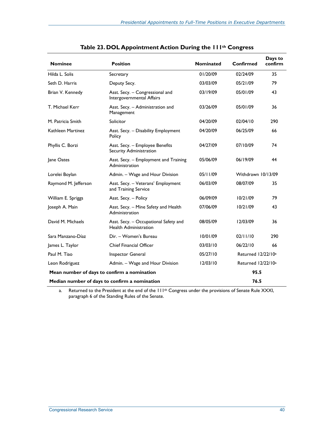| <b>Nominee</b>       | <b>Position</b>                                                       | <b>Nominated</b> | <b>Confirmed</b>               | Days to<br>confirm |
|----------------------|-----------------------------------------------------------------------|------------------|--------------------------------|--------------------|
| Hilda L. Solis       | Secretary                                                             | 01/20/09         | 02/24/09                       | 35                 |
| Seth D. Harris       | Deputy Secy.                                                          | 03/03/09         | 05/21/09                       | 79                 |
| Brian V. Kennedy     | Asst. Secy. - Congressional and<br>Intergovernmental Affairs          | 03/19/09         | 05/01/09                       | 43                 |
| T. Michael Kerr      | Asst. Secy. - Administration and<br>Management                        | 03/26/09         | 05/01/09                       | 36                 |
| M. Patricia Smith    | Solicitor                                                             | 04/20/09         | 02/04/10                       | 290                |
| Kathleen Martinez    | Asst. Secy. - Disability Employment<br>Policy                         | 04/20/09         | 06/25/09                       | 66                 |
| Phyllis C. Borzi     | Asst. Secy. - Employee Benefits<br>Security Administration            | 04/27/09         | 07/10/09                       | 74                 |
| Jane Oates           | Asst. Secy. - Employment and Training<br>Administration               | 05/06/09         | 06/19/09                       | 44                 |
| Lorelei Boylan       | Admin. - Wage and Hour Division                                       | 05/11/09         | Withdrawn 10/13/09             |                    |
| Raymond M. Jefferson | Asst. Secy. - Veterans' Employment<br>and Training Service            | 06/03/09         | 08/07/09                       | 35                 |
| William E. Spriggs   | Asst. Secy. - Policy                                                  | 06/09/09         | 10/21/09                       | 79                 |
| Joseph A. Main       | Asst. Secy. - Mine Safety and Health<br>Administration                | 07/06/09         | 10/21/09                       | 43                 |
| David M. Michaels    | Asst. Secy. - Occupational Safety and<br><b>Health Administration</b> | 08/05/09         | 12/03/09                       | 36                 |
| Sara Manzano-Díaz    | Dir. - Women's Bureau                                                 | 10/01/09         | 02/11/10                       | 290                |
| James L. Taylor      | <b>Chief Financial Officer</b>                                        | 03/03/10         | 06/22/10                       | 66                 |
| Paul M. Tiao         | <b>Inspector General</b>                                              | 05/27/10         | Returned 12/22/10 <sup>a</sup> |                    |
| Leon Rodriguez       | Admin. - Wage and Hour Division                                       | 12/03/10         | Returned 12/22/10 <sup>a</sup> |                    |
|                      | Mean number of days to confirm a nomination                           |                  | 95.5                           |                    |
|                      | Median number of days to confirm a nomination                         |                  | 76.5                           |                    |

|  | Table 23. DOL Appointment Action During the IIIth Congress |  |  |  |
|--|------------------------------------------------------------|--|--|--|
|--|------------------------------------------------------------|--|--|--|

a. Returned to the President at the end of the 111<sup>th</sup> Congress under the provisions of Senate Rule XXXI, paragraph 6 of the Standing Rules of the Senate.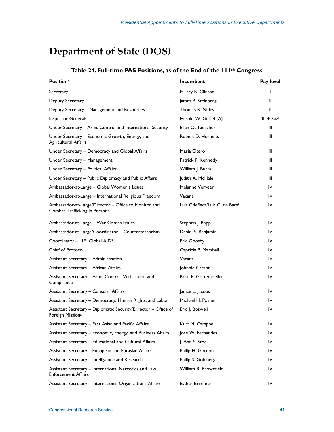# **Department of State (DOS)**

| <b>Positiona</b>                                                                      | Incumbent                     | Pay level               |
|---------------------------------------------------------------------------------------|-------------------------------|-------------------------|
| Secretary                                                                             | Hillary R. Clinton            | $\mathbf{I}$            |
| Deputy Secretary                                                                      | James B. Steinberg            | Ш                       |
| Deputy Secretary - Management and Resources <sup>b</sup>                              | Thomas R. Nides               | Ш                       |
| Inspector General <sup>c</sup>                                                        | Harold W. Geisel (A)          | $III + 3%$ <sup>d</sup> |
| Under Secretary – Arms Control and International Security                             | Ellen O. Tauscher             | Ш                       |
| Under Secretary - Economic Growth, Energy, and<br><b>Agricultural Affairs</b>         | Robert D. Hormats             | Ш                       |
| Under Secretary - Democracy and Global Affairs                                        | María Otero                   | Ш                       |
| Under Secretary - Management                                                          | Patrick F. Kennedy            | Ш                       |
| Under Secretary - Political Affairs                                                   | William J. Burns              | Ш                       |
| Under Secretary - Public Diplomacy and Public Affairs                                 | Judith A. McHale              | Ш                       |
| Ambassador-at-Large - Global Women's Issuese                                          | Melanne Verveer               | IV                      |
| Ambassador-at-Large - International Religious Freedom                                 | Vacant                        | IV                      |
| Ambassador-at-Large/Director - Office to Monitor and<br>Combat Trafficking in Persons | Luis CdeBaca/Luis C. de Bacaf | IV                      |
| Ambassador-at-Large - War Crimes Issues                                               | Stephen J. Rapp               | IV                      |
| Ambassador-at-Large/Coordinator - Counterterrorism                                    | Daniel S. Benjamin            | IV                      |
| Coordinator - U.S. Global AIDS                                                        | <b>Eric Goosby</b>            | IV                      |
| <b>Chief of Protocol</b>                                                              | Capricia P. Marshall          | IV                      |
| Assistant Secretary - Administration                                                  | Vacant                        | IV                      |
| <b>Assistant Secretary - African Affairs</b>                                          | Johnnie Carson                | IV                      |
| Assistant Secretary - Arms Control, Verification and<br>Compliance                    | Rose E. Gottemoeller          | IV                      |
| Assistant Secretary - Consular Affairs                                                | Janice L. Jacobs              | IV                      |
| Assistant Secretary - Democracy, Human Rights, and Labor                              | Michael H. Posner             | IV                      |
| Assistant Secretary - Diplomatic Security/Director - Office of<br>Foreign Missions    | Eric J. Boswell               | IV                      |
| Assistant Secretary - East Asian and Pacific Affairs                                  | Kurt M. Campbell              | IV                      |
| Assistant Secretary - Economic, Energy, and Business Affairs                          | Jose W. Fernandez             | IV                      |
| Assistant Secretary - Educational and Cultural Affairs                                | J. Ann S. Stock               | IV                      |
| Assistant Secretary - European and Eurasian Affairs                                   | Philip H. Gordon              | IV                      |
| Assistant Secretary - Intelligence and Research                                       | Philip S. Goldberg            | IV                      |
| Assistant Secretary - International Narcotics and Law<br><b>Enforcement Affairs</b>   | William R. Brownfield         | IV                      |
| Assistant Secretary - International Organizations Affairs                             | <b>Esther Brimmer</b>         | IV                      |

## **Table 24. Full-time PAS Positions, as of the End of the 111th Congress**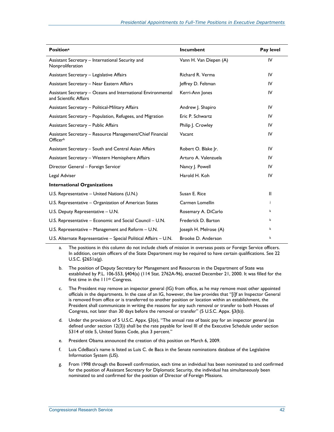| <b>Positiona</b>                                                                       | Incumbent              | Pay level |
|----------------------------------------------------------------------------------------|------------------------|-----------|
| Assistant Secretary - International Security and<br>Nonproliferation                   | Vann H. Van Diepen (A) | IV        |
| Assistant Secretary - Legislative Affairs                                              | Richard R. Verma       | IV        |
| Assistant Secretary - Near Eastern Affairs                                             | Jeffrey D. Feltman     | IV        |
| Assistant Secretary - Oceans and International Environmental<br>and Scientific Affairs | Kerri-Ann Jones        | IV        |
| Assistant Secretary - Political-Military Affairs                                       | Andrew J. Shapiro      | IV        |
| Assistant Secretary - Population, Refugees, and Migration                              | Eric P. Schwartz       | IV        |
| <b>Assistant Secretary - Public Affairs</b>                                            | Philip J. Crowley      | IV        |
| Assistant Secretary - Resource Management/Chief Financial<br>Officerh                  | Vacant                 | IV        |
| Assistant Secretary - South and Central Asian Affairs                                  | Robert O. Blake Jr.    | IV        |
| Assistant Secretary - Western Hemisphere Affairs                                       | Arturo A. Valenzuela   | IV        |
| Director General - Foreign Service                                                     | Nancy J. Powell        | IV        |
| Legal Adviser                                                                          | Harold H. Koh          | IV        |
| <b>International Organizations</b>                                                     |                        |           |
| U.S. Representative - United Nations (U.N.)                                            | Susan E. Rice          | Ш         |
| U.S. Representative – Organization of American States                                  | Carmen Lomellin        | j.        |
| U.S. Deputy Representative - U.N.                                                      | Rosemary A. DiCarlo    | k         |
| U.S. Representative - Economic and Social Council - U.N.                               | Frederick D. Barton    | k         |
| U.S. Representative $-$ Management and Reform $-$ U.N.                                 | Joseph H. Melrose (A)  | k         |
| U.S. Alternate Representative - Special Political Affairs - U.N.                       | Brooke D. Anderson     | k         |

a. The positions in this column do not include chiefs of mission in overseas posts or Foreign Service officers. In addition, certain officers of the State Department may be required to have certain qualifications. See 22 U.S.C. §2651a(g).

- b. The position of Deputy Secretary for Management and Resources in the Department of State was established by P.L. 106-553, §404(a) (114 Stat. 2762A-96), enacted December 21, 2000. It was filled for the first time in the 111th Congress.
- c. The President may remove an inspector general (IG) from office, as he may remove most other appointed officials in the departments. In the case of an IG, however, the law provides that "[i]f an Inspector General is removed from office or is transferred to another position or location within an establishment, the President shall communicate in writing the reasons for any such removal or transfer to both Houses of Congress, not later than 30 days before the removal or transfer" (5 U.S.C. Appx. §3(b)).
- d. Under the provisions of 5 U.S.C. Appx. §3(e), "The annual rate of basic pay for an inspector general (as defined under section 12(3)) shall be the rate payable for level III of the Executive Schedule under section 5314 of title 5, United States Code, plus 3 percent."
- e. President Obama announced the creation of this position on March 6, 2009.
- f. Luis CdeBaca's name is listed as Luis C. de Baca in the Senate nominations database of the Legislative Information System (LIS).
- g. From 1998 through the Boswell confirmation, each time an individual has been nominated to and confirmed for the position of Assistant Secretary for Diplomatic Security, the individual has simultaneously been nominated to and confirmed for the position of Director of Foreign Missions.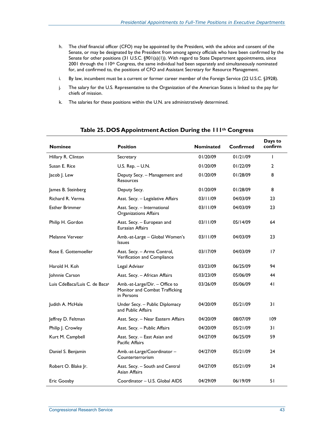- h. The chief financial officer (CFO) may be appointed by the President, with the advice and consent of the Senate, or may be designated by the President from among agency officials who have been confirmed by the Senate for other positions (31 U.S.C. §901(a)(1)). With regard to State Department appointments, since 2001 through the 110<sup>th</sup> Congress, the same individual had been separately and simultaneously nominated for, and confirmed to, the positions of CFO and Assistant Secretary for Resource Management.
- i. By law, incumbent must be a current or former career member of the Foreign Service (22 U.S.C. §3928).
- j. The salary for the U.S. Representative to the Organization of the American States is linked to the pay for chiefs of mission.
- k. The salaries for these positions within the U.N. are administratively determined.

| <b>Nominee</b>                            | <b>Position</b>                                                                | <b>Nominated</b> | Confirmed | Days to<br>confirm |
|-------------------------------------------|--------------------------------------------------------------------------------|------------------|-----------|--------------------|
| Hillary R. Clinton                        | Secretary                                                                      | 01/20/09         | 01/21/09  | T                  |
| Susan E. Rice                             | U.S. $Rep. – U.N.$                                                             | 01/20/09         | 01/22/09  | 2                  |
| Jacob J. Lew                              | Deputy Secy. - Management and<br><b>Resources</b>                              | 01/20/09         | 01/28/09  | 8                  |
| James B. Steinberg                        | Deputy Secy.                                                                   | 01/20/09         | 01/28/09  | 8                  |
| Richard R. Verma                          | Asst. Secy. - Legislative Affairs                                              | 03/11/09         | 04/03/09  | 23                 |
| <b>Esther Brimmer</b>                     | Asst. Secy. - International<br>Organizations Affairs                           | 03/11/09         | 04/03/09  | 23                 |
| Philip H. Gordon                          | Asst. Secy. - European and<br><b>Eurasian Affairs</b>                          | 03/11/09         | 05/14/09  | 64                 |
| Melanne Verveer                           | Amb.-at-Large - Global Women's<br><b>Issues</b>                                | 03/11/09         | 04/03/09  | 23                 |
| Rose E. Gottemoeller                      | Asst. Secy. - Arms Control,<br>Verification and Compliance                     | 03/17/09         | 04/03/09  | 17                 |
| Harold H. Koh                             | Legal Adviser                                                                  | 03/23/09         | 06/25/09  | 94                 |
| Johnnie Carson                            | Asst. Secy. - African Affairs                                                  | 03/23/09         | 05/06/09  | 44                 |
| Luis CdeBaca/Luis C. de Baca <sup>a</sup> | Amb.-at-Large/Dir. - Office to<br>Monitor and Combat Trafficking<br>in Persons | 03/26/09         | 05/06/09  | 41                 |
| Judith A. McHale                          | Under Secy. - Public Diplomacy<br>and Public Affairs                           | 04/20/09         | 05/21/09  | 31                 |
| Jeffrey D. Feltman                        | Asst. Secy. - Near Eastern Affairs                                             | 04/20/09         | 08/07/09  | 109                |
| Philip J. Crowley                         | Asst. Secy. - Public Affairs                                                   | 04/20/09         | 05/21/09  | 31                 |
| Kurt M. Campbell                          | Asst. Secy. - East Asian and<br>Pacific Affairs                                | 04/27/09         | 06/25/09  | 59                 |
| Daniel S. Benjamin                        | Amb.-at-Large/Coordinator -<br>Counterterrorism                                | 04/27/09         | 05/21/09  | 24                 |
| Robert O. Blake Jr.                       | Asst. Secy. - South and Central<br>Asian Affairs                               | 04/27/09         | 05/21/09  | 24                 |
| <b>Eric Goosby</b>                        | Coordinator - U.S. Global AIDS                                                 | 04/29/09         | 06/19/09  | 51                 |

## **Table 25. DOS Appointment Action During the 111th Congress**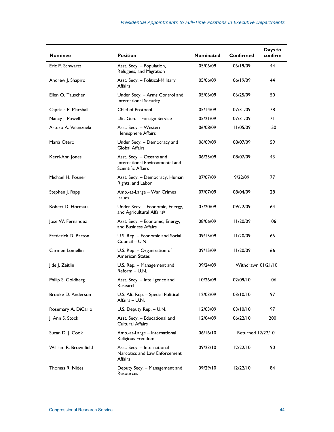| <b>Nominee</b>        | <b>Position</b>                                                                   | Nominated | <b>Confirmed</b>   | Days to<br>confirm |
|-----------------------|-----------------------------------------------------------------------------------|-----------|--------------------|--------------------|
| Eric P. Schwartz      | Asst. Secy. - Population,<br>Refugees, and Migration                              | 05/06/09  | 06/19/09           | 44                 |
| Andrew J. Shapiro     | Asst. Secy. - Political-Military<br><b>Affairs</b>                                | 05/06/09  | 06/19/09           | 44                 |
| Ellen O. Tauscher     | Under Secy. - Arms Control and<br>International Security                          | 05/06/09  | 06/25/09           | 50                 |
| Capricia P. Marshall  | Chief of Protocol                                                                 | 05/14/09  | 07/31/09           | 78                 |
| Nancy J. Powell       | Dir. Gen. - Foreign Service                                                       | 05/21/09  | 07/31/09           | 71                 |
| Arturo A. Valenzuela  | Asst. Secy. - Western<br>Hemisphere Affairs                                       | 06/08/09  | 11/05/09           | 150                |
| María Otero           | Under Secy. - Democracy and<br><b>Global Affairs</b>                              | 06/09/09  | 08/07/09           | 59                 |
| Kerri-Ann Jones       | Asst. Secy. - Oceans and<br>International Environmental and<br>Scientific Affairs | 06/25/09  | 08/07/09           | 43                 |
| Michael H. Posner     | Asst. Secy. - Democracy, Human<br>Rights, and Labor                               | 07/07/09  | 9/22/09            | 77                 |
| Stephen J. Rapp       | Amb.-at-Large - War Crimes<br><b>Issues</b>                                       | 07/07/09  | 08/04/09           | 28                 |
| Robert D. Hormats     | Under Secy. - Economic, Energy,<br>and Agricultural Affairs <sup>b</sup>          | 07/20/09  | 09/22/09           | 64                 |
| Jose W. Fernandez     | Asst. Secy. - Economic, Energy,<br>and Business Affairs                           | 08/06/09  | 11/20/09           | 106                |
| Frederick D. Barton   | U.S. Rep. - Economic and Social<br>Council - U.N.                                 | 09/15/09  | 11/20/09           | 66                 |
| Carmen Lomellin       | U.S. Rep. - Organization of<br><b>American States</b>                             | 09/15/09  | 11/20/09           | 66                 |
| Jide J. Zeitlin       | U.S. Rep. - Management and<br>Reform - U.N.                                       | 09/24/09  | Withdrawn 01/21/10 |                    |
| Philip S. Goldberg    | Asst. Secy. - Intelligence and<br>Research                                        | 10/26/09  | 02/09/10           | 106                |
| Brooke D. Anderson    | U.S. Alt. Rep. - Special Political<br>Affairs - U.N.                              | 12/03/09  | 03/10/10           | 97                 |
| Rosemary A. DiCarlo   | U.S. Deputy Rep. - U.N.                                                           | 12/03/09  | 03/10/10           | 97                 |
| J. Ann S. Stock       | Asst. Secy. - Educational and<br><b>Cultural Affairs</b>                          | 12/04/09  | 06/22/10           | 200                |
| Suzan D. J. Cook      | Amb.-at-Large - International<br>Religious Freedom                                | 06/16/10  | Returned 12/22/10c |                    |
| William R. Brownfield | Asst. Secy. - International<br>Narcotics and Law Enforcement<br>Affairs           | 09/23/10  | 12/22/10           | 90                 |
| Thomas R. Nides       | Deputy Secy. - Management and<br>Resources                                        | 09/29/10  | 12/22/10           | 84                 |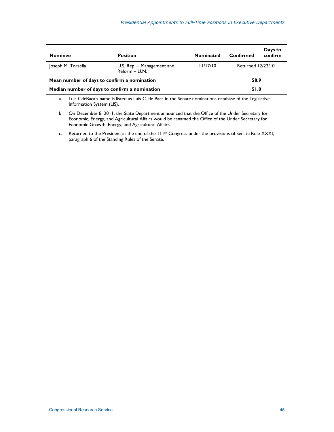| <b>Nominee</b>                                | <b>Position</b>                             | <b>Nominated</b> | Confirmed             | Days to<br>confirm |
|-----------------------------------------------|---------------------------------------------|------------------|-----------------------|--------------------|
| Joseph M. Torsella                            | U.S. Rep. - Management and<br>Reform - U.N. | 11/17/10         | Returned $12/22/10$ c |                    |
| Mean number of days to confirm a nomination   |                                             |                  | 58.9                  |                    |
| Median number of days to confirm a nomination |                                             |                  | 51.0                  |                    |

a. Luis CdeBaca's name is listed as Luis C. de Baca in the Senate nominations database of the Legislative Information System (LIS).

- b. On December 8, 2011, the State Department announced that the Office of the Under Secretary for Economic, Energy, and Agricultural Affairs would be renamed the Office of the Under Secretary for Economic Growth, Energy, and Agricultural Affairs.
- c. Returned to the President at the end of the 111<sup>th</sup> Congress under the provisions of Senate Rule XXXI, paragraph 6 of the Standing Rules of the Senate.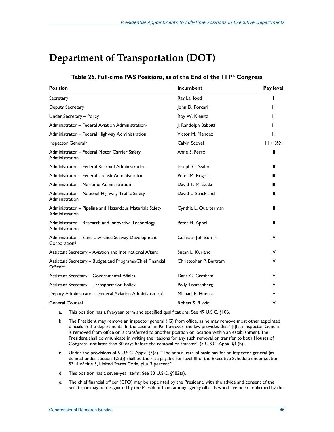# **Department of Transportation (DOT)**

| <b>Position</b>                                                               | <b>Incumbent</b>       | Pay level   |
|-------------------------------------------------------------------------------|------------------------|-------------|
| Secretary                                                                     | Ray LaHood             | I           |
| Deputy Secretary                                                              | John D. Porcari        | Ш           |
| Under Secretary - Policy                                                      | Roy W. Kienitz         | Ш           |
| Administrator - Federal Aviation Administration <sup>a</sup>                  | J. Randolph Babbitt    | Ш           |
| Administrator - Federal Highway Administration                                | Victor M. Mendez       | Ш           |
| Inspector General <sup>b</sup>                                                | Calvin Scovel          | $III + 3\%$ |
| Administrator - Federal Motor Carrier Safety<br>Administration                | Anne S. Ferro          | Ш           |
| Administrator - Federal Railroad Administration                               | Joseph C. Szabo        | Ш           |
| Administrator - Federal Transit Administration                                | Peter M. Rogoff        | Ш           |
| Administrator - Maritime Administration                                       | David T. Matsuda       | Ш           |
| Administrator - National Highway Traffic Safety<br>Administration             | David L. Strickland    | III         |
| Administrator - Pipeline and Hazardous Materials Safety<br>Administration     | Cynthia L. Quarterman  | Ш           |
| Administrator – Research and Innovative Technology<br>Administration          | Peter H. Appel         | Ш           |
| Administrator - Saint Lawrence Seaway Development<br>Corporation <sup>d</sup> | Collister Johnson Jr.  | IV          |
| Assistant Secretary - Aviation and International Affairs                      | Susan L. Kurland       | IV          |
| Assistant Secretary - Budget and Programs/Chief Financial<br>Officere         | Christopher P. Bertram | IV          |
| Assistant Secretary - Governmental Affairs                                    | Dana G. Gresham        | IV          |
| <b>Assistant Secretary - Transportation Policy</b>                            | Polly Trottenberg      | IV          |
| Deputy Administrator - Federal Aviation Administrationf                       | Michael P. Huerta      | IV          |
| <b>General Counsel</b>                                                        | Robert S. Rivkin       | IV          |

## **Table 26. Full-time PAS Positions, as of the End of the 111th Congress**

a. This position has a five-year term and specified qualifications. See 49 U.S.C. §106.

- b. The President may remove an inspector general (IG) from office, as he may remove most other appointed officials in the departments. In the case of an IG, however, the law provides that "[i]f an Inspector General is removed from office or is transferred to another position or location within an establishment, the President shall communicate in writing the reasons for any such removal or transfer to both Houses of Congress, not later than 30 days before the removal or transfer" (5 U.S.C. Appx. §3 (b)).
- c. Under the provisions of 5 U.S.C. Appx. §3(e), "The annual rate of basic pay for an inspector general (as defined under section 12(3)) shall be the rate payable for level III of the Executive Schedule under section 5314 of title 5, United States Code, plus 3 percent."
- d. This position has a seven-year term. See 33 U.S.C. §982(a).
- e. The chief financial officer (CFO) may be appointed by the President, with the advice and consent of the Senate, or may be designated by the President from among agency officials who have been confirmed by the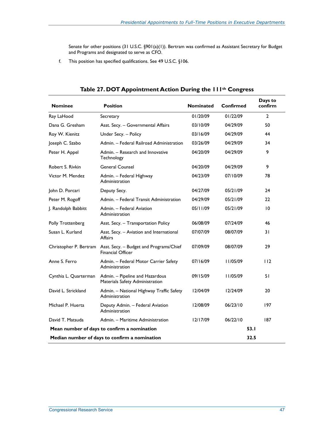Senate for other positions (31 U.S.C. §901(a)(1)). Bertram was confirmed as Assistant Secretary for Budget and Programs and designated to serve as CFO.

f. This position has specified qualifications. See 49 U.S.C. §106.

| <b>Nominee</b>           | <b>Position</b>                                                     | <b>Nominated</b> | Confirmed | Days to<br>confirm |
|--------------------------|---------------------------------------------------------------------|------------------|-----------|--------------------|
| Ray LaHood               | Secretary                                                           | 01/20/09         | 01/22/09  | $\overline{2}$     |
| Dana G. Gresham          | Asst. Secy. - Governmental Affairs                                  | 03/10/09         | 04/29/09  | 50                 |
| Roy W. Kienitz           | Under Secy. - Policy                                                | 03/16/09         | 04/29/09  | 44                 |
| Joseph C. Szabo          | Admin. - Federal Railroad Administration                            | 03/26/09         | 04/29/09  | 34                 |
| Peter H. Appel           | Admin. - Research and Innovative<br>Technology                      | 04/20/09         | 04/29/09  | 9                  |
| Robert S. Rivkin         | <b>General Counsel</b>                                              | 04/20/09         | 04/29/09  | 9                  |
| Victor M. Mendez         | Admin. - Federal Highway<br>Administration                          | 04/23/09         | 07/10/09  | 78                 |
| John D. Porcari          | Deputy Secy.                                                        | 04/27/09         | 05/21/09  | 24                 |
| Peter M. Rogoff          | Admin. - Federal Transit Administration                             | 04/29/09         | 05/21/09  | 22                 |
| J. Randolph Babbitt      | Admin. - Federal Aviation<br>Administration                         | 05/11/09         | 05/21/09  | 10                 |
| <b>Polly Trottenberg</b> | Asst. Secy. - Transportation Policy                                 | 06/08/09         | 07/24/09  | 46                 |
| Susan L. Kurland         | Asst. Secy. - Aviation and International<br><b>Affairs</b>          | 07/07/09         | 08/07/09  | 31                 |
| Christopher P. Bertram   | Asst. Secy. - Budget and Programs/Chief<br><b>Financial Officer</b> | 07/09/09         | 08/07/09  | 29                 |
| Anne S. Ferro            | Admin. - Federal Motor Carrier Safety<br>Administration             | 07/16/09         | 11/05/09  | 112                |
| Cynthia L. Quarterman    | Admin. - Pipeline and Hazardous<br>Materials Safety Administration  | 09/15/09         | 11/05/09  | 51                 |
| David L. Strickland      | Admin. - National Highway Traffic Safety<br>Administration          | 12/04/09         | 12/24/09  | 20                 |
| Michael P. Huerta        | Deputy Admin. - Federal Aviation<br>Administration                  | 12/08/09         | 06/23/10  | 197                |
| David T. Matsuda         | Admin. - Maritime Administration                                    | 12/17/09         | 06/22/10  | 187                |
|                          | Mean number of days to confirm a nomination                         |                  | 53.1      |                    |
|                          | Median number of days to confirm a nomination                       |                  | 32.5      |                    |

## **Table 27. DOT Appointment Action During the 111th Congress**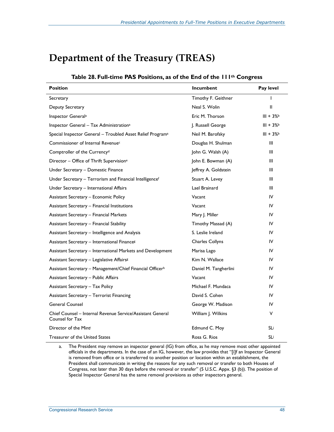# **Department of the Treasury (TREAS)**

| <b>Position</b>                                                               | Incumbent              | Pay level  |
|-------------------------------------------------------------------------------|------------------------|------------|
| Secretary                                                                     | Timothy F. Geithner    | ı          |
| Deputy Secretary                                                              | Neal S. Wolin          | Ш          |
| Inspector General <sup>a</sup>                                                | Eric M. Thorson        | $III + 3%$ |
| Inspector General - Tax Administration <sup>a</sup>                           | J. Russell George      | $III + 3%$ |
| Special Inspector General - Troubled Asset Relief Program <sup>a</sup>        | Neil M. Barofsky       | $III + 3%$ |
| Commissioner of Internal Revenue <sup>c</sup>                                 | Douglas H. Shulman     | Ш          |
| Comptroller of the Currency <sup>d</sup>                                      | John G. Walsh (A)      | Ш          |
| Director - Office of Thrift Supervision <sup>e</sup>                          | John E. Bowman (A)     | Ш          |
| Under Secretary - Domestic Finance                                            | Jeffrey A. Goldstein   | Ш          |
| Under Secretary - Terrorism and Financial Intelligencef                       | Stuart A. Levey        | Ш          |
| Under Secretary - International Affairs                                       | Lael Brainard          | Ш          |
| <b>Assistant Secretary - Economic Policy</b>                                  | Vacant                 | IV         |
| Assistant Secretary - Financial Institutions                                  | Vacant                 | IV         |
| <b>Assistant Secretary - Financial Markets</b>                                | Mary J. Miller         | IV         |
| <b>Assistant Secretary - Financial Stability</b>                              | Timothy Massad (A)     | IV         |
| Assistant Secretary - Intelligence and Analysis                               | S. Leslie Ireland      | IV         |
| Assistant Secretary - International Finances                                  | <b>Charles Collyns</b> | IV         |
| Assistant Secretary - International Markets and Development                   | Marisa Lago            | IV         |
| Assistant Secretary - Legislative Affairs&                                    | Kim N. Wallace         | IV         |
| Assistant Secretary - Management/Chief Financial Officerh                     | Daniel M. Tangherlini  | IV         |
| <b>Assistant Secretary - Public Affairs</b>                                   | Vacant                 | IV         |
| <b>Assistant Secretary - Tax Policy</b>                                       | Michael F. Mundaca     | IV         |
| <b>Assistant Secretary - Terrorist Financing</b>                              | David S. Cohen         | IV         |
| <b>General Counsel</b>                                                        | George W. Madison      | IV         |
| Chief Counsel – Internal Revenue Service/Assistant General<br>Counsel for Tax | William J. Wilkins     | V          |
| Director of the Minti                                                         | Edmund C. Moy          | SLi        |
| Treasurer of the United States                                                | Rosa G. Rios           | SLi        |

## **Table 28. Full-time PAS Positions, as of the End of the 111th Congress**

a. The President may remove an inspector general (IG) from office, as he may remove most other appointed officials in the departments. In the case of an IG, however, the law provides that "[i]f an Inspector General is removed from office or is transferred to another position or location within an establishment, the President shall communicate in writing the reasons for any such removal or transfer to both Houses of Congress, not later than 30 days before the removal or transfer" (5 U.S.C. Appx. §3 (b)). The position of Special Inspector General has the same removal provisions as other inspectors general.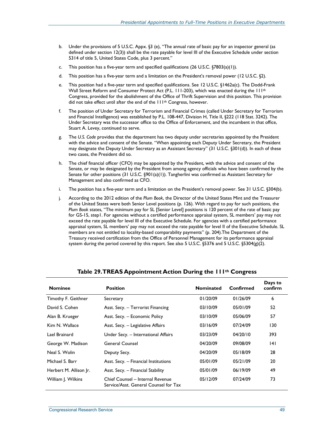- b. Under the provisions of 5 U.S.C. Appx. §3 (e), "The annual rate of basic pay for an inspector general (as defined under section 12(3)) shall be the rate payable for level III of the Executive Schedule under section 5314 of title 5, United States Code, plus 3 percent."
- c. This position has a five-year term and specified qualifications  $(26 \text{ U.S.C. } §7803(a)(1))$ .
- d. This position has a five-year term and a limitation on the President's removal power (12 U.S.C. §2).
- e. This position had a five-year term and specified qualifications. See 12 U.S.C. §1462a(c). The Dodd-Frank Wall Street Reform and Consumer Protect Act (P.L. 111-203), which was enacted during the 111<sup>th</sup> Congress, provided for the abolishment of the Office of Thrift Supervision and this position. This provision did not take effect until after the end of the 111th Congress, however.
- f. The position of Under Secretary for Terrorism and Financial Crimes (called Under Secretary for Terrorism and Financial Intelligence) was established by P.L. 108-447, Division H, Title II, §222 (118 Stat. 3242). The Under Secretary was the successor office to the Office of Enforcement, and the incumbent in that office, Stuart A. Levey, continued to serve.
- g. The *U.S. Code* provides that the department has two deputy under secretaries appointed by the President with the advice and consent of the Senate. "When appointing each Deputy Under Secretary, the President may designate the Deputy Under Secretary as an Assistant Secretary" (31 U.S.C. §301(d)). In each of these two cases, the President did so.
- h. The chief financial officer (CFO) may be appointed by the President, with the advice and consent of the Senate, or may be designated by the President from among agency officials who have been confirmed by the Senate for other positions (31 U.S.C. §901(a)(1)). Tangherlini was confirmed as Assistant Secretary for Management and also confirmed as CFO.
- i. The position has a five-year term and a limitation on the President's removal power. See 31 U.S.C. §304(b).
- j. According to the 2012 edition of the *Plum Book*, the Director of the United States Mint and the Treasurer of the United States were both Senior Level positions (p. 126). With regard to pay for such positions, the *Plum Book* states, "The minimum pay for SL [Senior Level] positions is 120 percent of the rate of basic pay for GS-15, step1. For agencies without a certified performance appraisal system, SL members' pay may not exceed the rate payable for level III of the Executive Schedule. For agencies with a certified performance appraisal system, SL members' pay may not exceed the rate payable for level II of the Executive Schedule. SL members are not entitled to locality-based comparability payments" (p. 204).The Department of the Treasury received certification from the Office of Personnel Management for its performance appraisal system during the period covered by this report. See also 5 U.S.C. §5376 and 5 U.S.C. §5304(g)(2).

| <b>Nominee</b>         | <b>Position</b>                                                           | <b>Nominated</b> | Confirmed | Days to<br>confirm |
|------------------------|---------------------------------------------------------------------------|------------------|-----------|--------------------|
| Timothy F. Geithner    | Secretary                                                                 | 01/20/09         | 01/26/09  | 6                  |
| David S. Cohen         | Asst. Secy. - Terrorist Financing                                         | 03/10/09         | 05/01/09  | 52                 |
| Alan B. Krueger        | Asst. Secy. - Economic Policy                                             | 03/10/09         | 05/06/09  | 57                 |
| Kim N. Wallace         | Asst. Secy. - Legislative Affairs                                         | 03/16/09         | 07/24/09  | 130                |
| Lael Brainard          | Under Secy. - International Affairs                                       | 03/23/09         | 04/20/10  | 393                |
| George W. Madison      | General Counsel                                                           | 04/20/09         | 09/08/09  | 141                |
| Neal S. Wolin          | Deputy Secy.                                                              | 04/20/09         | 05/18/09  | 28                 |
| Michael S. Barr        | Asst. Secy. - Financial Institutions                                      | 05/01/09         | 05/21/09  | 20                 |
| Herbert M. Allison Jr. | Asst. Secy. - Financial Stability                                         | 05/01/09         | 06/19/09  | 49                 |
| William J. Wilkins     | Chief Counsel - Internal Revenue<br>Service/Asst. General Counsel for Tax | 05/12/09         | 07/24/09  | 73                 |

## **Table 29. TREAS Appointment Action During the 111th Congress**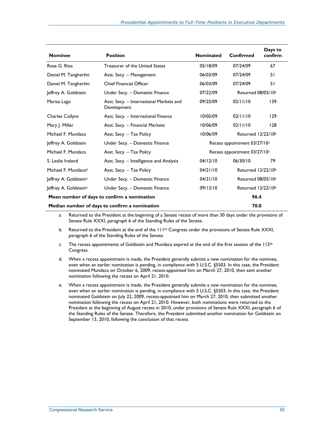| <b>Nominee</b>                    | <b>Position</b>                                        | <b>Nominated</b>               | Confirmed                      | Days to<br>confirm |
|-----------------------------------|--------------------------------------------------------|--------------------------------|--------------------------------|--------------------|
| Rosa G. Rios                      | Treasurer of the United States                         | 05/18/09                       | 07/24/09                       | 67                 |
| Daniel M. Tangherlini             | Asst. Secy. - Management                               | 06/03/09                       | 07/24/09                       | 51                 |
| Daniel M. Tangherlini             | <b>Chief Financial Officer</b>                         | 06/03/09                       | 07/24/09                       | 51                 |
| Jeffrey A. Goldstein              | Under Secy. - Domestic Finance                         | 07/22/09                       | Returned 08/05/10 <sup>a</sup> |                    |
| Marisa Lago                       | Asst. Secy. - International Markets and<br>Development | 09/25/09                       | 02/11/10                       | 139                |
| Charles Collyns                   | Asst. Secy. - International Finance                    | 10/05/09                       | 02/11/10                       | 129                |
| Mary J. Miller                    | Asst. Secy. - Financial Markets                        | 10/06/09                       | 02/11/10                       | 128                |
| Michael F. Mundaca                | Asst. Secy. – Tax Policy                               | 10/06/09<br>Returned 12/22/10b |                                |                    |
| Jeffrey A. Goldstein              | Under Secy. - Domestic Finance                         | Recess appointment 03/27/10c   |                                |                    |
| Michael F. Mundaca                | Asst. Secy. - Tax Policy                               | Recess appointment 03/27/10c   |                                |                    |
| S. Leslie Ireland                 | Asst. Secy. - Intelligence and Analysis                | 04/12/10                       | 06/30/10                       | 79                 |
| Michael F. Mundacad               | Asst. Secy. - Tax Policy                               | 04/21/10                       | Returned 12/22/10b             |                    |
| Jeffrey A. Goldstein <sup>e</sup> | Under Secy. - Domestic Finance                         | 04/21/10                       | Returned 08/05/10a             |                    |
| Jeffrey A. Goldsteine             | Under Secy. - Domestic Finance                         | 09/13/10                       | Returned 12/22/10b             |                    |
|                                   | Mean number of days to confirm a nomination            |                                | 96.4                           |                    |
|                                   | Median number of days to confirm a nomination          |                                | 70.0                           |                    |

a. Returned to the President at the beginning of a Senate recess of more than 30 days under the provisions of Senate Rule XXXI, paragraph 6 of the Standing Rules of the Senate.

- b. Returned to the President at the end of the 111<sup>th</sup> Congress under the provisions of Senate Rule XXXI, paragraph 6 of the Standing Rules of the Senate.
- c. The recess appointments of Goldstein and Mundaca expired at the end of the first session of the  $112<sup>th</sup>$ Congress.
- d. When a recess appointment is made, the President generally submits a new nomination for the nominee, even when an earlier nomination is pending, in compliance with 5 U.S.C. §5503. In this case, the President nominated Mundaca on October 6, 2009, recess-appointed him on March 27, 2010, then sent another nomination following the recess on April 21, 2010.
- e. When a recess appointment is made, the President generally submits a new nomination for the nominee, even when an earlier nomination is pending, in compliance with 5 U.S.C. §5503. In this case, the President nominated Goldstein on July 22, 2009, recess-appointed him on March 27, 2010, then submitted another nomination following the recess on April 21, 2010. However, both nominations were returned to the President at the beginning of August recess in 2010, under provisions of Senate Rule XXXI, paragraph 6 of the Standing Rules of the Senate. Therefore, the President submitted another nomination for Goldstein on September 13, 2010, following the conclusion of that recess.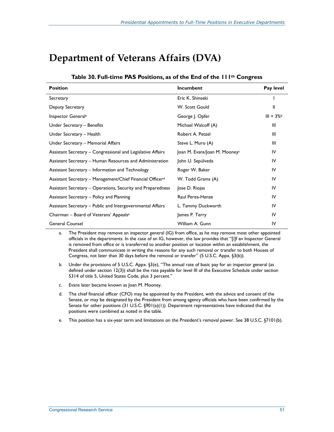# **Department of Veterans Affairs (DVA)**

| Table 30. Full-time PAS Positions, as of the End of the 111 <sup>th</sup> Congress |  |  |
|------------------------------------------------------------------------------------|--|--|
|------------------------------------------------------------------------------------|--|--|

| <b>Position</b>                                                       | Incumbent                     | Pay level  |
|-----------------------------------------------------------------------|-------------------------------|------------|
| Secretary                                                             | Eric K. Shinseki              |            |
| Deputy Secretary                                                      | W. Scott Gould                | Ш          |
| Inspector General <sup>a</sup>                                        | George J. Opfer               | $III + 3%$ |
| Under Secretary - Benefits                                            | Michael Walcoff (A)           | Ш          |
| Under Secretary - Health                                              | Robert A. Petzel              | Ш          |
| Under Secretary - Memorial Affairs                                    | Steve L. Muro (A)             | Ш          |
| Assistant Secretary - Congressional and Legislative Affairs           | Joan M. Evans/Joan M. Mooneyc | IV         |
| Assistant Secretary - Human Resources and Administration              | John U. Sepúlveda             | IV         |
| Assistant Secretary - Information and Technology                      | Roger W. Baker                | IV         |
| Assistant Secretary - Management/Chief Financial Officer <sup>d</sup> | W. Todd Grams (A)             | IV         |
| Assistant Secretary – Operations, Security and Preparedness           | Jose D. Riojas                | IV         |
| Assistant Secretary - Policy and Planning                             | Raul Perea-Henze              | IV         |
| Assistant Secretary - Public and Intergovernmental Affairs            | L. Tammy Duckworth            | IV         |
| Chairman - Board of Veterans' Appealse                                | James P. Terry                | IV         |
| <b>General Counsel</b>                                                | William A. Gunn               | IV         |

a. The President may remove an inspector general (IG) from office, as he may remove most other appointed officials in the departments. In the case of an IG, however, the law provides that "[i]f an Inspector General is removed from office or is transferred to another position or location within an establishment, the President shall communicate in writing the reasons for any such removal or transfer to both Houses of Congress, not later than 30 days before the removal or transfer" (5 U.S.C. Appx. §3(b)).

- b. Under the provisions of 5 U.S.C. Appx. §3(e), "The annual rate of basic pay for an inspector general (as defined under section 12(3)) shall be the rate payable for level III of the Executive Schedule under section 5314 of title 5, United States Code, plus 3 percent."
- c. Evans later became known as Joan M. Mooney.
- d. The chief financial officer (CFO) may be appointed by the President, with the advice and consent of the Senate, or may be designated by the President from among agency officials who have been confirmed by the Senate for other positions (31 U.S.C. §901(a)(1)). Department representatives have indicated that the positions were combined as noted in the table.
- e. This position has a six-year term and limitations on the President's removal power. See 38 U.S.C. §7101(b).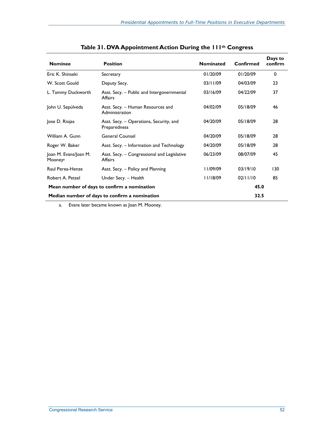| <b>Nominee</b>                                | <b>Position</b>                                               | <b>Nominated</b> | <b>Confirmed</b> | Days to<br>confirm |
|-----------------------------------------------|---------------------------------------------------------------|------------------|------------------|--------------------|
| Eric K. Shinseki                              | Secretary                                                     | 01/20/09         | 01/20/09         | 0                  |
| W. Scott Gould                                | Deputy Secy.                                                  | 03/11/09         | 04/03/09         | 23                 |
| L. Tammy Duckworth                            | Asst. Secy. - Public and Intergovernmental<br><b>Affairs</b>  | 03/16/09         | 04/22/09         | 37                 |
| John U. Sepúlveda                             | Asst. Secy. - Human Resources and<br>Administration           | 04/02/09         | 05/18/09         | 46                 |
| Jose D. Riojas                                | Asst. Secy. – Operations, Security, and<br>Preparedness       | 04/20/09         | 05/18/09         | 28                 |
| William A. Gunn                               | <b>General Counsel</b>                                        | 04/20/09         | 05/18/09         | 28                 |
| Roger W. Baker                                | Asst. Secy. – Information and Technology                      | 04/20/09         | 05/18/09         | 28                 |
| Joan M. Evans/Joan M.<br>Mooney <sup>a</sup>  | Asst. Secy. – Congressional and Legislative<br><b>Affairs</b> | 06/23/09         | 08/07/09         | 45                 |
| Raul Perea-Henze                              | Asst. Secy. - Policy and Planning                             | 11/09/09         | 03/19/10         | 130                |
| Robert A. Petzel                              | Under Secy. – Health                                          | 11/18/09         | 02/11/10         | 85                 |
| Mean number of days to confirm a nomination   |                                                               |                  | 45.0             |                    |
| Median number of days to confirm a nomination |                                                               |                  | 32.5             |                    |

a. Evans later became known as Joan M. Mooney.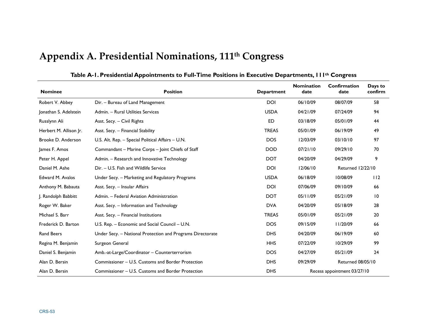# **Appendix A. Presidential Nominations, 111th Congress**

| <b>Nominee</b>         | <b>Position</b>                                            | <b>Department</b> | <b>Nomination</b><br>date | <b>Confirmation</b><br>date | Days to<br>confirm |
|------------------------|------------------------------------------------------------|-------------------|---------------------------|-----------------------------|--------------------|
| Robert V. Abbey        | Dir. - Bureau of Land Management                           | <b>DOI</b>        | 06/10/09                  | 08/07/09                    | 58                 |
| Jonathan S. Adelstein  | Admin. - Rural Utilities Services                          | <b>USDA</b>       | 04/21/09                  | 07/24/09                    | 94                 |
| Russlynn Ali           | Asst. Secy. - Civil Rights                                 | <b>ED</b>         | 03/18/09                  | 05/01/09                    | 44                 |
| Herbert M. Allison Jr. | Asst. Secy. - Financial Stability                          | <b>TREAS</b>      | 05/01/09                  | 06/19/09                    | 49                 |
| Brooke D. Anderson     | U.S. Alt. Rep. - Special Political Affairs - U.N.          | <b>DOS</b>        | 12/03/09                  | 03/10/10                    | 97                 |
| James F. Amos          | Commandant - Marine Corps - Joint Chiefs of Staff          | <b>DOD</b>        | 07/21/10                  | 09/29/10                    | 70                 |
| Peter H. Appel         | Admin. - Research and Innovative Technology                | <b>DOT</b>        | 04/20/09                  | 04/29/09                    | 9                  |
| Daniel M. Ashe         | Dir. - U.S. Fish and Wildlife Service                      | <b>DOI</b>        | 12/06/10                  | <b>Returned 12/22/10</b>    |                    |
| Edward M. Avalos       | Under Secy. - Marketing and Regulatory Programs            | <b>USDA</b>       | 06/18/09                  | 10/08/09                    | 112                |
| Anthony M. Babauta     | Asst. Secy. - Insular Affairs                              | <b>DOI</b>        | 07/06/09                  | 09/10/09                    | 66                 |
| J. Randolph Babbitt    | Admin. - Federal Aviation Administration                   | <b>DOT</b>        | 05/11/09                  | 05/21/09                    | $\overline{10}$    |
| Roger W. Baker         | Asst. Secy. - Information and Technology                   | <b>DVA</b>        | 04/20/09                  | 05/18/09                    | 28                 |
| Michael S. Barr        | Asst. Secy. - Financial Institutions                       | <b>TREAS</b>      | 05/01/09                  | 05/21/09                    | 20                 |
| Frederick D. Barton    | U.S. Rep. - Economic and Social Council - U.N.             | <b>DOS</b>        | 09/15/09                  | 11/20/09                    | 66                 |
| <b>Rand Beers</b>      | Under Secy. - National Protection and Programs Directorate | <b>DHS</b>        | 04/20/09                  | 06/19/09                    | 60                 |
| Regina M. Benjamin     | Surgeon General                                            | <b>HHS</b>        | 07/22/09                  | 10/29/09                    | 99                 |
| Daniel S. Benjamin     | Amb.-at-Large/Coordinator - Counterterrorism               | <b>DOS</b>        | 04/27/09                  | 05/21/09                    | 24                 |
| Alan D. Bersin         | Commissioner – U.S. Customs and Border Protection          | <b>DHS</b>        | 09/29/09                  | <b>Returned 08/05/10</b>    |                    |
| Alan D. Bersin         | Commissioner – U.S. Customs and Border Protection          | <b>DHS</b>        |                           | Recess appointment 03/27/10 |                    |

**Table A-1. Presidential Appointments to Full-Time Positions in Executive Departments, 111th Congress**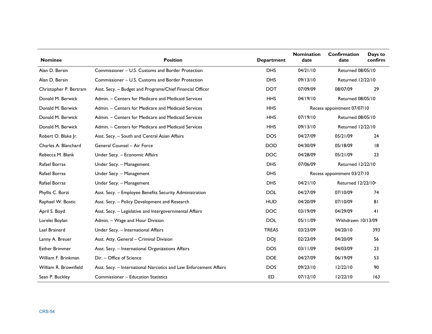| <b>Nominee</b>         | <b>Position</b>                                                   | <b>Department</b> | <b>Nomination</b><br>date | Confirmation<br>date           | Days to<br>confirm |
|------------------------|-------------------------------------------------------------------|-------------------|---------------------------|--------------------------------|--------------------|
| Alan D. Bersin         | Commissioner – U.S. Customs and Border Protection                 | <b>DHS</b>        | 04/21/10                  | Returned 08/05/10              |                    |
| Alan D. Bersin         | Commissioner – U.S. Customs and Border Protection                 | <b>DHS</b>        | 09/13/10                  | <b>Returned 12/22/10</b>       |                    |
| Christopher P. Bertram | Asst. Secy. - Budget and Programs/Chief Financial Officer         | <b>DOT</b>        | 07/09/09                  | 08/07/09                       | 29                 |
| Donald M. Berwick      | Admin. - Centers for Medicare and Medicaid Services               | <b>HHS</b>        | 04/19/10                  | <b>Returned 08/05/10</b>       |                    |
| Donald M. Berwick      | Admin. - Centers for Medicare and Medicaid Services               | <b>HHS</b>        |                           | Recess appointment 07/07/10    |                    |
| Donald M. Berwick      | Admin. - Centers for Medicare and Medicaid Services               | <b>HHS</b>        | 07/19/10                  | <b>Returned 08/05/10</b>       |                    |
| Donald M. Berwick      | Admin. - Centers for Medicare and Medicaid Services               | <b>HHS</b>        | 09/13/10                  | <b>Returned 12/22/10</b>       |                    |
| Robert O. Blake Jr.    | Asst. Secy. - South and Central Asian Affairs                     | <b>DOS</b>        | 04/27/09                  | 05/21/09                       | 24                 |
| Charles A. Blanchard   | General Counsel - Air Force                                       | <b>DOD</b>        | 04/30/09                  | 05/18/09                       | 8                  |
| Rebecca M. Blank       | Under Secy. - Economic Affairs                                    | <b>DOC</b>        | 04/28/09                  | 05/21/09                       | 23                 |
| Rafael Borras          | Under Secy. - Management                                          | <b>DHS</b>        | 07/06/09                  | <b>Returned 12/22/10</b>       |                    |
| Rafael Borras          | Under Secy. - Management                                          | <b>DHS</b>        |                           | Recess appointment 03/27/10    |                    |
| Rafael Borras          | Under Secy. - Management                                          | <b>DHS</b>        | 04/21/10                  | Returned 12/22/10 <sup>a</sup> |                    |
| Phyllis C. Borzi       | Asst. Secy. - Employee Benefits Security Administration           | <b>DOL</b>        | 04/27/09                  | 07/10/09                       | 74                 |
| Raphael W. Bostic      | Asst. Secy. - Policy Development and Research                     | <b>HUD</b>        | 04/20/09                  | 07/10/09                       | 81                 |
| April S. Boyd          | Asst. Secy. - Legislative and Intergovernmental Affairs           | <b>DOC</b>        | 03/19/09                  | 04/29/09                       | 41                 |
| Lorelei Boylan         | Admin. - Wage and Hour Division                                   | <b>DOL</b>        | 05/11/09                  | Withdrawn 10/13/09             |                    |
| Lael Brainard          | Under Secy. - International Affairs                               | <b>TREAS</b>      | 03/23/09                  | 04/20/10                       | 393                |
| Lanny A. Breuer        | Asst. Atty. General - Criminal Division                           | <b>DOI</b>        | 02/23/09                  | 04/20/09                       | 56                 |
| <b>Esther Brimmer</b>  | Asst. Secy. - International Organizations Affairs                 | <b>DOS</b>        | 03/11/09                  | 04/03/09                       | 23                 |
| William F. Brinkman    | Dir. - Office of Science                                          | <b>DOE</b>        | 04/27/09                  | 06/19/09                       | 53                 |
| William R. Brownfield  | Asst. Secy. - International Narcotics and Law Enforcement Affairs | <b>DOS</b>        | 09/23/10                  | 12/22/10                       | 90                 |
| Sean P. Buckley        | Commissioner - Education Statistics                               | <b>ED</b>         | 07/12/10                  | 12/22/10                       | 163                |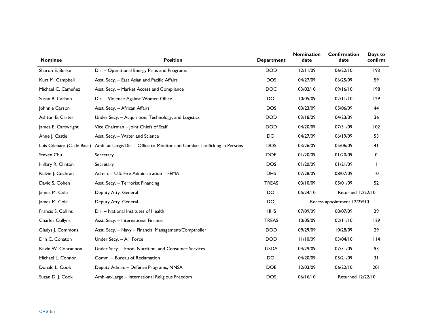| <b>Nominee</b>            | <b>Position</b>                                                          | <b>Department</b> | <b>Nomination</b><br>date | Confirmation<br>date        | Days to<br>confirm |
|---------------------------|--------------------------------------------------------------------------|-------------------|---------------------------|-----------------------------|--------------------|
| Sharon E. Burke           | Dir. - Operational Energy Plans and Programs                             | <b>DOD</b>        | 12/11/09                  | 06/22/10                    | 193                |
| Kurt M. Campbell          | Asst. Secy. - East Asian and Pacific Affairs                             | <b>DOS</b>        | 04/27/09                  | 06/25/09                    | 59                 |
| Michael C. Camuñez        | Asst. Secy. - Market Access and Compliance                               | <b>DOC</b>        | 03/02/10                  | 09/16/10                    | 198                |
| Susan B. Carbon           | Dir. - Violence Against Women Office                                     | <b>DOJ</b>        | 10/05/09                  | 02/11/10                    | 129                |
| Johnnie Carson            | Asst. Secy. - African Affairs                                            | <b>DOS</b>        | 03/23/09                  | 05/06/09                    | 44                 |
| Ashton B. Carter          | Under Secy. - Acquisition, Technology, and Logistics                     | <b>DOD</b>        | 03/18/09                  | 04/23/09                    | 36                 |
| James E. Cartwright       | Vice Chairman - Joint Chiefs of Staff                                    | <b>DOD</b>        | 04/20/09                  | 07/31/09                    | 102                |
| Anne J. Castle            | Asst. Secy. - Water and Science                                          | <b>DOI</b>        | 04/27/09                  | 06/19/09                    | 53                 |
| Luis Cdebaca (C. de Baca) | Amb.-at-Large/Dir. - Office to Monitor and Combat Trafficking in Persons | <b>DOS</b>        | 03/26/09                  | 05/06/09                    | 41                 |
| Steven Chu                | Secretary                                                                | <b>DOE</b>        | 01/20/09                  | 01/20/09                    | 0                  |
| Hillary R. Clinton        | Secretary                                                                | <b>DOS</b>        | 01/20/09                  | 01/21/09                    |                    |
| Kelvin J. Cochran         | Admin. - U.S. Fire Administration - FEMA                                 | <b>DHS</b>        | 07/28/09                  | 08/07/09                    | 10                 |
| David S. Cohen            | Asst. Secy. - Terrorist Financing                                        | <b>TREAS</b>      | 03/10/09                  | 05/01/09                    | 52                 |
| James M. Cole             | Deputy Atty. General                                                     | <b>DOJ</b>        | 05/24/10                  | Returned 12/22/10           |                    |
| James M. Cole             | Deputy Atty. General                                                     | <b>DOJ</b>        |                           | Recess appointment 12/29/10 |                    |
| Francis S. Collins        | Dir. - National Institutes of Health                                     | <b>HHS</b>        | 07/09/09                  | 08/07/09                    | 29                 |
| Charles Collyns           | Asst. Secy. - International Finance                                      | <b>TREAS</b>      | 10/05/09                  | 02/11/10                    | 129                |
| Gladys J. Commons         | Asst. Secy. - Navy - Financial Management/Comptroller                    | <b>DOD</b>        | 09/29/09                  | 10/28/09                    | 29                 |
| Erin C. Conaton           | Under Secy. - Air Force                                                  | <b>DOD</b>        | 11/10/09                  | 03/04/10                    | 114                |
| Kevin W. Concannon        | Under Secy. - Food, Nutrition, and Consumer Services                     | <b>USDA</b>       | 04/29/09                  | 07/31/09                    | 93                 |
| Michael L. Connor         | Comm. - Bureau of Reclamation                                            | <b>DOI</b>        | 04/20/09                  | 05/21/09                    | 31                 |
| Donald L. Cook            | Deputy Admin. - Defense Programs, NNSA                                   | <b>DOE</b>        | 12/03/09                  | 06/22/10                    | 201                |
| Suzan D. J. Cook          | Amb.-at-Large - International Religious Freedom                          | <b>DOS</b>        | 06/16/10                  | <b>Returned 12/22/10</b>    |                    |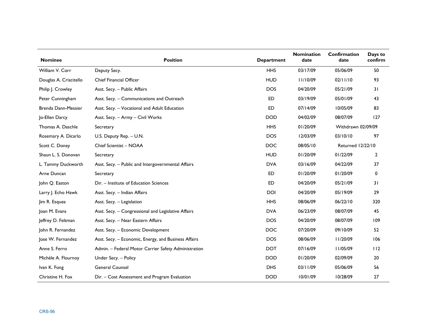| <b>Nominee</b>         | <b>Position</b>                                      | <b>Department</b> | <b>Nomination</b><br>date | Confirmation<br>date | Days to<br>confirm |
|------------------------|------------------------------------------------------|-------------------|---------------------------|----------------------|--------------------|
| William V. Corr        | Deputy Secy.                                         | <b>HHS</b>        | 03/17/09                  | 05/06/09             | 50                 |
| Douglas A. Criscitello | <b>Chief Financial Officer</b>                       | <b>HUD</b>        | 11/10/09                  | 02/11/10             | 93                 |
| Philip J. Crowley      | Asst. Secy. - Public Affairs                         | <b>DOS</b>        | 04/20/09                  | 05/21/09             | 31                 |
| Peter Cunningham       | Asst. Secy. - Communications and Outreach            | ED                | 03/19/09                  | 05/01/09             | 43                 |
| Brenda Dann-Messier    | Asst. Secy. - Vocational and Adult Education         | <b>ED</b>         | 07/14/09                  | 10/05/09             | 83                 |
| Jo-Ellen Darcy         | Asst. Secy. - Army - Civil Works                     | <b>DOD</b>        | 04/02/09                  | 08/07/09             | 127                |
| Thomas A. Daschle      | Secretary                                            | <b>HHS</b>        | 01/20/09                  | Withdrawn 02/09/09   |                    |
| Rosemary A. Dicarlo    | U.S. Deputy Rep. - U.N.                              | <b>DOS</b>        | 12/03/09                  | 03/10/10             | 97                 |
| Scott C. Doney         | Chief Scientist - NOAA                               | <b>DOC</b>        | 08/05/10                  | Returned 12/22/10    |                    |
| Shaun L. S. Donovan    | Secretary                                            | <b>HUD</b>        | 01/20/09                  | 01/22/09             | $\overline{2}$     |
| L. Tammy Duckworth     | Asst. Secy. - Public and Intergovernmental Affairs   | <b>DVA</b>        | 03/16/09                  | 04/22/09             | 37                 |
| Arne Duncan            | Secretary                                            | <b>ED</b>         | 01/20/09                  | 01/20/09             | 0                  |
| John Q. Easton         | Dir. - Institute of Education Sciences               | <b>ED</b>         | 04/20/09                  | 05/21/09             | 31                 |
| Larry J. Echo Hawk     | Asst. Secy. - Indian Affairs                         | <b>DOI</b>        | 04/20/09                  | 05/19/09             | 29                 |
| Jim R. Esquea          | Asst. Secy. - Legislation                            | <b>HHS</b>        | 08/06/09                  | 06/22/10             | 320                |
| Joan M. Evans          | Asst. Secy. - Congressional and Legislative Affairs  | <b>DVA</b>        | 06/23/09                  | 08/07/09             | 45                 |
| Jeffrey D. Feltman     | Asst. Secy. - Near Eastern Affairs                   | <b>DOS</b>        | 04/20/09                  | 08/07/09             | 109                |
| John R. Fernandez      | Asst. Secy. - Economic Development                   | <b>DOC</b>        | 07/20/09                  | 09/10/09             | 52                 |
| Jose W. Fernandez      | Asst. Secy. - Economic, Energy, and Business Affairs | <b>DOS</b>        | 08/06/09                  | 11/20/09             | 106                |
| Anne S. Ferro          | Admin. - Federal Motor Carrier Safety Administration | <b>DOT</b>        | 07/16/09                  | 11/05/09             | 112                |
| Michèle A. Flournoy    | Under Secy. - Policy                                 | <b>DOD</b>        | 01/20/09                  | 02/09/09             | 20                 |
| Ivan K. Fong           | <b>General Counsel</b>                               | <b>DHS</b>        | 03/11/09                  | 05/06/09             | 56                 |
| Christine H. Fox       | Dir. - Cost Assessment and Program Evaluation        | <b>DOD</b>        | 10/01/09                  | 10/28/09             | 27                 |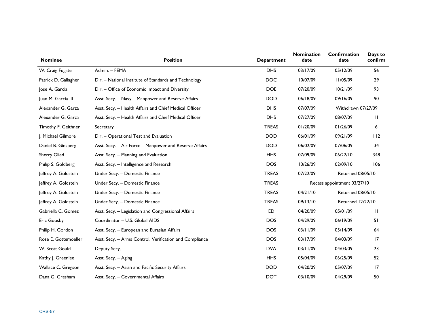| <b>Nominee</b>       | <b>Position</b>                                         | <b>Department</b> | <b>Nomination</b><br>date | Confirmation<br>date        | Days to<br>confirm |
|----------------------|---------------------------------------------------------|-------------------|---------------------------|-----------------------------|--------------------|
| W. Craig Fugate      | Admin. - FEMA                                           | <b>DHS</b>        | 03/17/09                  | 05/12/09                    | 56                 |
| Patrick D. Gallagher | Dir. - National Institute of Standards and Technology   | <b>DOC</b>        | 10/07/09                  | 11/05/09                    | 29                 |
| Jose A. Garcia       | Dir. - Office of Economic Impact and Diversity          | <b>DOE</b>        | 07/20/09                  | 10/21/09                    | 93                 |
| Juan M. Garcia III   | Asst. Secy. - Navy - Manpower and Reserve Affairs       | <b>DOD</b>        | 06/18/09                  | 09/16/09                    | 90                 |
| Alexander G. Garza   | Asst. Secy. - Health Affairs and Chief Medical Officer  | <b>DHS</b>        | 07/07/09                  | Withdrawn 07/27/09          |                    |
| Alexander G. Garza   | Asst. Secy. - Health Affairs and Chief Medical Officer  | <b>DHS</b>        | 07/27/09                  | 08/07/09                    | $\mathbf{H}$       |
| Timothy F. Geithner  | Secretary                                               | <b>TREAS</b>      | 01/20/09                  | 01/26/09                    | 6                  |
| J. Michael Gilmore   | Dir. - Operational Test and Evaluation                  | <b>DOD</b>        | 06/01/09                  | 09/21/09                    | 112                |
| Daniel B. Ginsberg   | Asst. Secy. - Air Force - Manpower and Reserve Affairs  | <b>DOD</b>        | 06/02/09                  | 07/06/09                    | 34                 |
| <b>Sherry Glied</b>  | Asst. Secy. - Planning and Evaluation                   | <b>HHS</b>        | 07/09/09                  | 06/22/10                    | 348                |
| Philip S. Goldberg   | Asst. Secy. - Intelligence and Research                 | <b>DOS</b>        | 10/26/09                  | 02/09/10                    | 106                |
| Jeffrey A. Goldstein | Under Secy. - Domestic Finance                          | <b>TREAS</b>      | 07/22/09                  | <b>Returned 08/05/10</b>    |                    |
| Jeffrey A. Goldstein | Under Secy. - Domestic Finance                          | <b>TREAS</b>      |                           | Recess appointment 03/27/10 |                    |
| Jeffrey A. Goldstein | Under Secy. - Domestic Finance                          | <b>TREAS</b>      | 04/21/10                  | <b>Returned 08/05/10</b>    |                    |
| Jeffrey A. Goldstein | Under Secy. - Domestic Finance                          | <b>TREAS</b>      | 09/13/10                  | <b>Returned 12/22/10</b>    |                    |
| Gabriella C. Gomez   | Asst. Secy. - Legislation and Congressional Affairs     | <b>ED</b>         | 04/20/09                  | 05/01/09                    | $\mathbf{H}$       |
| <b>Eric Goosby</b>   | Coordinator - U.S. Global AIDS                          | <b>DOS</b>        | 04/29/09                  | 06/19/09                    | 51                 |
| Philip H. Gordon     | Asst. Secy. - European and Eurasian Affairs             | <b>DOS</b>        | 03/11/09                  | 05/14/09                    | 64                 |
| Rose E. Gottemoeller | Asst. Secy. - Arms Control, Verification and Compliance | <b>DOS</b>        | 03/17/09                  | 04/03/09                    | 17                 |
| W. Scott Gould       | Deputy Secy.                                            | <b>DVA</b>        | 03/11/09                  | 04/03/09                    | 23                 |
| Kathy J. Greenlee    | Asst. Secy. - Aging                                     | <b>HHS</b>        | 05/04/09                  | 06/25/09                    | 52                 |
| Wallace C. Gregson   | Asst. Secy. - Asian and Pacific Security Affairs        | <b>DOD</b>        | 04/20/09                  | 05/07/09                    | 17                 |
| Dana G. Gresham      | Asst. Secy. - Governmental Affairs                      | <b>DOT</b>        | 03/10/09                  | 04/29/09                    | 50                 |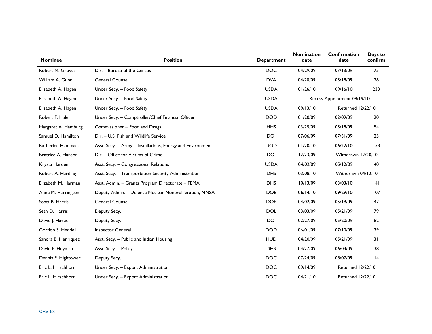| <b>Nominee</b>      | <b>Position</b>                                            | <b>Department</b> | <b>Nomination</b><br>date | Confirmation<br>date        | Days to<br>confirm |
|---------------------|------------------------------------------------------------|-------------------|---------------------------|-----------------------------|--------------------|
| Robert M. Groves    | Dir. - Bureau of the Census                                | <b>DOC</b>        | 04/29/09                  | 07/13/09                    | 75                 |
| William A. Gunn     | <b>General Counsel</b>                                     | <b>DVA</b>        | 04/20/09                  | 05/18/09                    | 28                 |
| Elisabeth A. Hagen  | Under Secy. - Food Safety                                  | <b>USDA</b>       | 01/26/10                  | 09/16/10                    | 233                |
| Elisabeth A. Hagen  | Under Secy. - Food Safety                                  | <b>USDA</b>       |                           | Recess Appointment 08/19/10 |                    |
| Elisabeth A. Hagen  | Under Secy. - Food Safety                                  | <b>USDA</b>       | 09/13/10                  | Returned 12/22/10           |                    |
| Robert F. Hale      | Under Secy. - Comptroller/Chief Financial Officer          | <b>DOD</b>        | 01/20/09                  | 02/09/09                    | 20                 |
| Margaret A. Hamburg | Commissioner - Food and Drugs                              | <b>HHS</b>        | 03/25/09                  | 05/18/09                    | 54                 |
| Samuel D. Hamilton  | Dir. - U.S. Fish and Wildlife Service                      | <b>DOI</b>        | 07/06/09                  | 07/31/09                    | 25                 |
| Katherine Hammack   | Asst. Secy. - Army - Installations, Energy and Environment | <b>DOD</b>        | 01/20/10                  | 06/22/10                    | 153                |
| Beatrice A. Hanson  | Dir. - Office for Victims of Crime                         | <b>DOI</b>        | 12/23/09                  | Withdrawn 12/20/10          |                    |
| Krysta Harden       | Asst. Secy. - Congressional Relations                      | <b>USDA</b>       | 04/02/09                  | 05/12/09                    | 40                 |
| Robert A. Harding   | Asst. Secy. - Transportation Security Administration       | <b>DHS</b>        | 03/08/10                  | Withdrawn 04/12/10          |                    |
| Elizabeth M. Harman | Asst. Admin. - Grants Program Directorate - FEMA           | <b>DHS</b>        | 10/13/09                  | 03/03/10                    | 4                  |
| Anne M. Harrington  | Deputy Admin. - Defense Nuclear Nonproliferation, NNSA     | <b>DOE</b>        | 06/14/10                  | 09/29/10                    | 107                |
| Scott B. Harris     | <b>General Counsel</b>                                     | <b>DOE</b>        | 04/02/09                  | 05/19/09                    | 47                 |
| Seth D. Harris      | Deputy Secy.                                               | <b>DOL</b>        | 03/03/09                  | 05/21/09                    | 79                 |
| David J. Hayes      | Deputy Secy.                                               | <b>DOI</b>        | 02/27/09                  | 05/20/09                    | 82                 |
| Gordon S. Heddell   | Inspector General                                          | <b>DOD</b>        | 06/01/09                  | 07/10/09                    | 39                 |
| Sandra B. Henriquez | Asst. Secy. - Public and Indian Housing                    | <b>HUD</b>        | 04/20/09                  | 05/21/09                    | 31                 |
| David F. Heyman     | Asst. Secy. - Policy                                       | <b>DHS</b>        | 04/27/09                  | 06/04/09                    | 38                 |
| Dennis F. Hightower | Deputy Secy.                                               | <b>DOC</b>        | 07/24/09                  | 08/07/09                    | 4                  |
| Eric L. Hirschhorn  | Under Secy. - Export Administration                        | <b>DOC</b>        | 09/14/09                  | <b>Returned 12/22/10</b>    |                    |
| Eric L. Hirschhorn  | Under Secy. - Export Administration                        | <b>DOC</b>        | 04/21/10                  | <b>Returned 12/22/10</b>    |                    |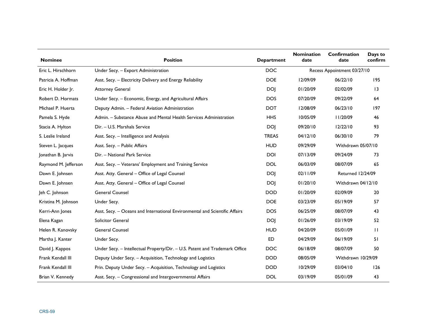| <b>Nominee</b>       | <b>Position</b>                                                             | <b>Department</b> | <b>Nomination</b><br>date | Confirmation<br>date        | Days to<br>confirm |
|----------------------|-----------------------------------------------------------------------------|-------------------|---------------------------|-----------------------------|--------------------|
| Eric L. Hirschhorn   | Under Secy. - Export Administration                                         | <b>DOC</b>        |                           | Recess Appointment 03/27/10 |                    |
| Patricia A. Hoffman  | Asst. Secy. - Electricity Delivery and Energy Reliability                   | <b>DOE</b>        | 12/09/09                  | 06/22/10                    | 195                |
| Eric H. Holder Jr.   | <b>Attorney General</b>                                                     | <b>DOJ</b>        | 01/20/09                  | 02/02/09                    | 3                  |
| Robert D. Hormats    | Under Secy. - Economic, Energy, and Agricultural Affairs                    | <b>DOS</b>        | 07/20/09                  | 09/22/09                    | 64                 |
| Michael P. Huerta    | Deputy Admin. - Federal Aviation Administration                             | <b>DOT</b>        | 12/08/09                  | 06/23/10                    | 197                |
| Pamela S. Hyde       | Admin. - Substance Abuse and Mental Health Services Administration          | <b>HHS</b>        | 10/05/09                  | II/20/09                    | 46                 |
| Stacia A. Hylton     | Dir. - U.S. Marshals Service                                                | <b>DOJ</b>        | 09/20/10                  | 12/22/10                    | 93                 |
| S. Leslie Ireland    | Asst. Secy. - Intelligence and Analysis                                     | <b>TREAS</b>      | 04/12/10                  | 06/30/10                    | 79                 |
| Steven L. Jacques    | Asst. Secy. - Public Affairs                                                | <b>HUD</b>        | 09/29/09                  | Withdrawn 05/07/10          |                    |
| Jonathan B. Jarvis   | Dir. - National Park Service                                                | <b>DOI</b>        | 07/13/09                  | 09/24/09                    | 73                 |
| Raymond M. Jefferson | Asst. Secy. - Veterans' Employment and Training Service                     | <b>DOL</b>        | 06/03/09                  | 08/07/09                    | 65                 |
| Dawn E. Johnsen      | Asst. Atty. General - Office of Legal Counsel                               | <b>DOJ</b>        | 02/11/09                  | Returned 12/24/09           |                    |
| Dawn E. Johnsen      | Asst. Atty. General - Office of Legal Counsel                               | <b>DOJ</b>        | 01/20/10                  | Withdrawn 04/12/10          |                    |
| Jeh C. Johnson       | <b>General Counsel</b>                                                      | <b>DOD</b>        | 01/20/09                  | 02/09/09                    | 20                 |
| Kristina M. Johnson  | Under Secy.                                                                 | <b>DOE</b>        | 03/23/09                  | 05/19/09                    | 57                 |
| Kerri-Ann Jones      | Asst. Secy. - Oceans and International Environmental and Scientific Affairs | <b>DOS</b>        | 06/25/09                  | 08/07/09                    | 43                 |
| Elena Kagan          | Solicitor General                                                           | <b>DOJ</b>        | 01/26/09                  | 03/19/09                    | 52                 |
| Helen R. Kanovsky    | <b>General Counsel</b>                                                      | <b>HUD</b>        | 04/20/09                  | 05/01/09                    | $\mathbf{H}$       |
| Martha J. Kanter     | Under Secy.                                                                 | <b>ED</b>         | 04/29/09                  | 06/19/09                    | 51                 |
| David J. Kappos      | Under Secy. - Intellectual Property/Dir. - U.S. Patent and Trademark Office | <b>DOC</b>        | 06/18/09                  | 08/07/09                    | 50                 |
| Frank Kendall III    | Deputy Under Secy. - Acquisition, Technology and Logistics                  | <b>DOD</b>        | 08/05/09                  | Withdrawn 10/29/09          |                    |
| Frank Kendall III    | Prin. Deputy Under Secy. - Acquisition, Technology and Logistics            | <b>DOD</b>        | 10/29/09                  | 03/04/10                    | 126                |
| Brian V. Kennedy     | Asst. Secy. - Congressional and Intergovernmental Affairs                   | <b>DOL</b>        | 03/19/09                  | 05/01/09                    | 43                 |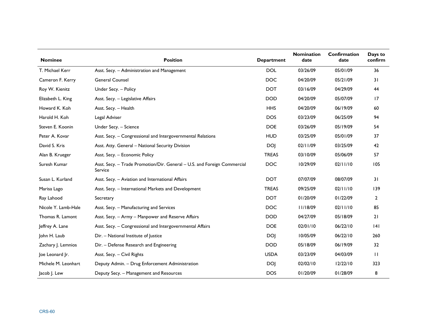| <b>Nominee</b>      | <b>Position</b>                                                                     | <b>Department</b> | <b>Nomination</b><br>date | Confirmation<br>date | Days to<br>confirm |
|---------------------|-------------------------------------------------------------------------------------|-------------------|---------------------------|----------------------|--------------------|
| T. Michael Kerr     | Asst. Secy. - Administration and Management                                         | <b>DOL</b>        | 03/26/09                  | 05/01/09             | 36                 |
| Cameron F. Kerry    | <b>General Counsel</b>                                                              | <b>DOC</b>        | 04/20/09                  | 05/21/09             | 31                 |
| Roy W. Kienitz      | Under Secy. - Policy                                                                | <b>DOT</b>        | 03/16/09                  | 04/29/09             | 44                 |
| Elizabeth L. King   | Asst. Secy. - Legislative Affairs                                                   | <b>DOD</b>        | 04/20/09                  | 05/07/09             | 17                 |
| Howard K. Koh       | Asst. Secy. - Health                                                                | <b>HHS</b>        | 04/20/09                  | 06/19/09             | 60                 |
| Harold H. Koh       | Legal Adviser                                                                       | <b>DOS</b>        | 03/23/09                  | 06/25/09             | 94                 |
| Steven E. Koonin    | Under Secy. - Science                                                               | <b>DOE</b>        | 03/26/09                  | 05/19/09             | 54                 |
| Peter A. Kovar      | Asst. Secy. - Congressional and Intergovernmental Relations                         | <b>HUD</b>        | 03/25/09                  | 05/01/09             | 37                 |
| David S. Kris       | Asst. Atty. General - National Security Division                                    | <b>DOJ</b>        | 02/11/09                  | 03/25/09             | 42                 |
| Alan B. Krueger     | Asst. Secy. - Economic Policy                                                       | <b>TREAS</b>      | 03/10/09                  | 05/06/09             | 57                 |
| Suresh Kumar        | Asst. Secy. - Trade Promotion/Dir. General - U.S. and Foreign Commercial<br>Service | <b>DOC</b>        | 10/29/09                  | 02/11/10             | 105                |
| Susan L. Kurland    | Asst. Secy. - Aviation and International Affairs                                    | <b>DOT</b>        | 07/07/09                  | 08/07/09             | 31                 |
| Marisa Lago         | Asst. Secy. - International Markets and Development                                 | <b>TREAS</b>      | 09/25/09                  | 02/11/10             | 139                |
| Ray Lahood          | Secretary                                                                           | <b>DOT</b>        | 01/20/09                  | 01/22/09             | $\overline{2}$     |
| Nicole Y. Lamb-Hale | Asst. Secy. - Manufacturing and Services                                            | <b>DOC</b>        | 11/18/09                  | 02/11/10             | 85                 |
| Thomas R. Lamont    | Asst. Secy. - Army - Manpower and Reserve Affairs                                   | <b>DOD</b>        | 04/27/09                  | 05/18/09             | 21                 |
| Jeffrey A. Lane     | Asst. Secy. - Congressional and Intergovernmental Affairs                           | <b>DOE</b>        | 02/01/10                  | 06/22/10             | 4                  |
| John H. Laub        | Dir. - National Institute of Justice                                                | <b>DOJ</b>        | 10/05/09                  | 06/22/10             | 260                |
| Zachary J. Lemnios  | Dir. - Defense Research and Engineering                                             | <b>DOD</b>        | 05/18/09                  | 06/19/09             | 32                 |
| Joe Leonard Jr.     | Asst. Secy. - Civil Rights                                                          | <b>USDA</b>       | 03/23/09                  | 04/03/09             | $\mathbf{H}$       |
| Michele M. Leonhart | Deputy Admin. - Drug Enforcement Administration                                     | <b>DOJ</b>        | 02/02/10                  | 12/22/10             | 323                |
| Jacob J. Lew        | Deputy Secy. - Management and Resources                                             | <b>DOS</b>        | 01/20/09                  | 01/28/09             | 8                  |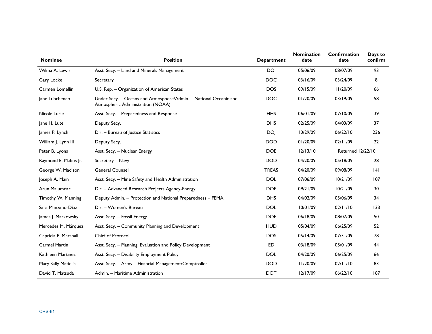| <b>Nominee</b>       | <b>Position</b>                                                                                        | <b>Department</b> | <b>Nomination</b><br>date | <b>Confirmation</b><br>date | Days to<br>confirm |
|----------------------|--------------------------------------------------------------------------------------------------------|-------------------|---------------------------|-----------------------------|--------------------|
| Wilma A. Lewis       | Asst. Secy. - Land and Minerals Management                                                             | <b>DOI</b>        | 05/06/09                  | 08/07/09                    | 93                 |
| Gary Locke           | Secretary                                                                                              | <b>DOC</b>        | 03/16/09                  | 03/24/09                    | 8                  |
| Carmen Lomellin      | U.S. Rep. - Organization of American States                                                            | <b>DOS</b>        | 09/15/09                  | 11/20/09                    | 66                 |
| Jane Lubchenco       | Under Secy. - Oceans and Atmosphere/Admin. - National Oceanic and<br>Atmospheric Administration (NOAA) | <b>DOC</b>        | 01/20/09                  | 03/19/09                    | 58                 |
| Nicole Lurie         | Asst. Secy. - Preparedness and Response                                                                | <b>HHS</b>        | 06/01/09                  | 07/10/09                    | 39                 |
| Jane H. Lute         | Deputy Secy.                                                                                           | <b>DHS</b>        | 02/25/09                  | 04/03/09                    | 37                 |
| James P. Lynch       | Dir. - Bureau of Justice Statistics                                                                    | <b>DOJ</b>        | 10/29/09                  | 06/22/10                    | 236                |
| William J. Lynn III  | Deputy Secy.                                                                                           | <b>DOD</b>        | 01/20/09                  | 02/11/09                    | 22                 |
| Peter B. Lyons       | Asst. Secy. - Nuclear Energy                                                                           | <b>DOE</b>        | 12/13/10                  | <b>Returned 12/22/10</b>    |                    |
| Raymond E. Mabus Jr. | Secretary - Navy                                                                                       | <b>DOD</b>        | 04/20/09                  | 05/18/09                    | 28                 |
| George W. Madison    | <b>General Counsel</b>                                                                                 | <b>TREAS</b>      | 04/20/09                  | 09/08/09                    | 4                  |
| Joseph A. Main       | Asst. Secy. - Mine Safety and Health Administration                                                    | <b>DOL</b>        | 07/06/09                  | 10/21/09                    | 107                |
| Arun Majumdar        | Dir. - Advanced Research Projects Agency-Energy                                                        | <b>DOE</b>        | 09/21/09                  | 10/21/09                    | 30                 |
| Timothy W. Manning   | Deputy Admin. - Protection and National Preparedness - FEMA                                            | <b>DHS</b>        | 04/02/09                  | 05/06/09                    | 34                 |
| Sara Manzano-Díaz    | Dir. - Women's Bureau                                                                                  | <b>DOL</b>        | 10/01/09                  | 02/11/10                    | 133                |
| James J. Markowsky   | Asst. Secy. - Fossil Energy                                                                            | <b>DOE</b>        | 06/18/09                  | 08/07/09                    | 50                 |
| Mercedes M. Márquez  | Asst. Secy. - Community Planning and Development                                                       | <b>HUD</b>        | 05/04/09                  | 06/25/09                    | 52                 |
| Capricia P. Marshall | Chief of Protocol                                                                                      | <b>DOS</b>        | 05/14/09                  | 07/31/09                    | 78                 |
| <b>Carmel Martin</b> | Asst. Secy. - Planning, Evaluation and Policy Development                                              | ED.               | 03/18/09                  | 05/01/09                    | 44                 |
| Kathleen Martinez    | Asst. Secy. - Disability Employment Policy                                                             | <b>DOL</b>        | 04/20/09                  | 06/25/09                    | 66                 |
| Mary Sally Matiella  | Asst. Secy. - Army - Financial Management/Comptroller                                                  | <b>DOD</b>        | 11/20/09                  | 02/11/10                    | 83                 |
| David T. Matsuda     | Admin. - Maritime Administration                                                                       | <b>DOT</b>        | 12/17/09                  | 06/22/10                    | 187                |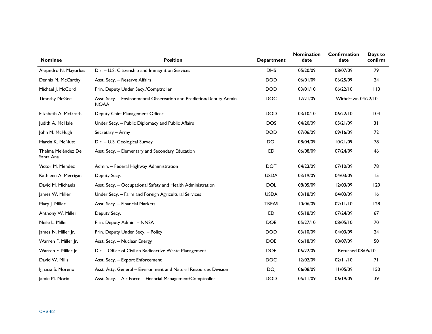| <b>Nominee</b>                  | <b>Position</b>                                                                       | <b>Department</b> | <b>Nomination</b><br>date | <b>Confirmation</b><br>date | Days to<br>confirm |
|---------------------------------|---------------------------------------------------------------------------------------|-------------------|---------------------------|-----------------------------|--------------------|
| Alejandro N. Mayorkas           | Dir. - U.S. Citizenship and Immigration Services                                      | <b>DHS</b>        | 05/20/09                  | 08/07/09                    | 79                 |
| Dennis M. McCarthy              | Asst. Secy. - Reserve Affairs                                                         | <b>DOD</b>        | 06/01/09                  | 06/25/09                    | 24                 |
| Michael J. McCord               | Prin. Deputy Under Secy./Comptroller                                                  | <b>DOD</b>        | 03/01/10                  | 06/22/10                    | 113                |
| <b>Timothy McGee</b>            | Asst. Secy. - Environmental Observation and Prediction/Deputy Admin. -<br><b>NOAA</b> | <b>DOC</b>        | 12/21/09                  | Withdrawn 04/22/10          |                    |
| Elizabeth A. McGrath            | Deputy Chief Management Officer                                                       | <b>DOD</b>        | 03/10/10                  | 06/22/10                    | 104                |
| Judith A. McHale                | Under Secy. - Public Diplomacy and Public Affairs                                     | <b>DOS</b>        | 04/20/09                  | 05/21/09                    | 31                 |
| John M. McHugh                  | Secretary - Army                                                                      | <b>DOD</b>        | 07/06/09                  | 09/16/09                    | 72                 |
| Marcia K. McNutt                | Dir. - U.S. Geological Survey                                                         | <b>DOI</b>        | 08/04/09                  | 10/21/09                    | 78                 |
| Thelma Meléndez De<br>Santa Ana | Asst. Secy. - Elementary and Secondary Education                                      | ED.               | 06/08/09                  | 07/24/09                    | 46                 |
| Victor M. Mendez                | Admin. - Federal Highway Administration                                               | <b>DOT</b>        | 04/23/09                  | 07/10/09                    | 78                 |
| Kathleen A. Merrigan            | Deputy Secy.                                                                          | <b>USDA</b>       | 03/19/09                  | 04/03/09                    | 15                 |
| David M. Michaels               | Asst. Secy. - Occupational Safety and Health Administration                           | <b>DOL</b>        | 08/05/09                  | 12/03/09                    | 120                |
| James W. Miller                 | Under Secy. - Farm and Foreign Agricultural Services                                  | <b>USDA</b>       | 03/18/09                  | 04/03/09                    | 16                 |
| Mary J. Miller                  | Asst. Secy. - Financial Markets                                                       | <b>TREAS</b>      | 10/06/09                  | 02/11/10                    | 128                |
| Anthony W. Miller               | Deputy Secy.                                                                          | <b>ED</b>         | 05/18/09                  | 07/24/09                    | 67                 |
| Neile L. Miller                 | Prin. Deputy Admin. - NNSA                                                            | <b>DOE</b>        | 05/27/10                  | 08/05/10                    | 70                 |
| James N. Miller Jr.             | Prin. Deputy Under Secy. - Policy                                                     | <b>DOD</b>        | 03/10/09                  | 04/03/09                    | 24                 |
| Warren F. Miller Jr.            | Asst. Secy. - Nuclear Energy                                                          | <b>DOE</b>        | 06/18/09                  | 08/07/09                    | 50                 |
| Warren F. Miller Jr.            | Dir. - Office of Civilian Radioactive Waste Management                                | <b>DOE</b>        | 06/22/09                  | <b>Returned 08/05/10</b>    |                    |
| David W. Mills                  | Asst. Secy. - Export Enforcement                                                      | <b>DOC</b>        | 12/02/09                  | 02/11/10                    | 71                 |
| Ignacia S. Moreno               | Asst. Atty. General - Environment and Natural Resources Division                      | DOJ               | 06/08/09                  | 11/05/09                    | 150                |
| Jamie M. Morin                  | Asst. Secy. - Air Force - Financial Management/Comptroller                            | <b>DOD</b>        | 05/11/09                  | 06/19/09                    | 39                 |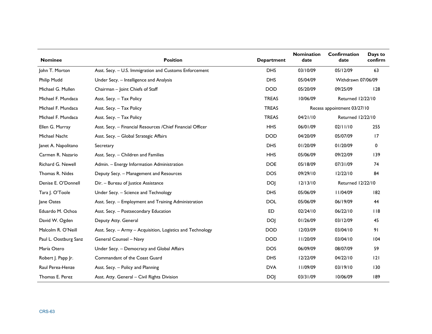| <b>Nominee</b>        | <b>Position</b>                                             | <b>Department</b> | <b>Nomination</b><br>date | Confirmation<br>date        | Days to<br>confirm |
|-----------------------|-------------------------------------------------------------|-------------------|---------------------------|-----------------------------|--------------------|
| John T. Morton        | Asst. Secy. - U.S. Immigration and Customs Enforcement      | <b>DHS</b>        | 03/10/09                  | 05/12/09                    | 63                 |
| Philip Mudd           | Under Secy. - Intelligence and Analysis                     | <b>DHS</b>        | 05/04/09                  | Withdrawn 07/06/09          |                    |
| Michael G. Mullen     | Chairman - Joint Chiefs of Staff                            | <b>DOD</b>        | 05/20/09                  | 09/25/09                    | 128                |
| Michael F. Mundaca    | Asst. Secy. - Tax Policy                                    | <b>TREAS</b>      | 10/06/09                  | <b>Returned 12/22/10</b>    |                    |
| Michael F. Mundaca    | Asst. Secy. - Tax Policy                                    | <b>TREAS</b>      |                           | Recess appointment 03/27/10 |                    |
| Michael F. Mundaca    | Asst. Secy. - Tax Policy                                    | <b>TREAS</b>      | 04/21/10                  | <b>Returned 12/22/10</b>    |                    |
| Ellen G. Murray       | Asst. Secy. - Financial Resources / Chief Financial Officer | <b>HHS</b>        | 06/01/09                  | 02/11/10                    | 255                |
| Michael Nacht         | Asst. Secy. - Global Strategic Affairs                      | <b>DOD</b>        | 04/20/09                  | 05/07/09                    | 17                 |
| Janet A. Napolitano   | Secretary                                                   | <b>DHS</b>        | 01/20/09                  | 01/20/09                    | 0                  |
| Carmen R. Nazario     | Asst. Secy. - Children and Families                         | <b>HHS</b>        | 05/06/09                  | 09/22/09                    | 139                |
| Richard G. Newell     | Admin. - Energy Information Administration                  | <b>DOE</b>        | 05/18/09                  | 07/31/09                    | 74                 |
| Thomas R. Nides       | Deputy Secy. - Management and Resources                     | <b>DOS</b>        | 09/29/10                  | 12/22/10                    | 84                 |
| Denise E. O'Donnell   | Dir. - Bureau of Justice Assistance                         | <b>DOJ</b>        | 12/13/10                  | Returned 12/22/10           |                    |
| Tara J. O'Toole       | Under Secy. - Science and Technology                        | <b>DHS</b>        | 05/06/09                  | 11/04/09                    | 182                |
| Jane Oates            | Asst. Secy. - Employment and Training Administration        | <b>DOL</b>        | 05/06/09                  | 06/19/09                    | 44                 |
| Eduardo M. Ochoa      | Asst. Secy. - Postsecondary Education                       | <b>ED</b>         | 02/24/10                  | 06/22/10                    | 118                |
| David W. Ogden        | Deputy Atty. General                                        | <b>DOJ</b>        | 01/26/09                  | 03/12/09                    | 45                 |
| Malcolm R. O'Neill    | Asst. Secy. - Army - Acquisition, Logistics and Technology  | <b>DOD</b>        | 12/03/09                  | 03/04/10                    | 91                 |
| Paul L. Oostburg Sanz | General Counsel - Navy                                      | <b>DOD</b>        | 11/20/09                  | 03/04/10                    | 104                |
| María Otero           | Under Secy. - Democracy and Global Affairs                  | <b>DOS</b>        | 06/09/09                  | 08/07/09                    | 59                 |
| Robert J. Papp Jr.    | Commandant of the Coast Guard                               | <b>DHS</b>        | 12/22/09                  | 04/22/10                    | 2                  |
| Raul Perea-Henze      | Asst. Secy. - Policy and Planning                           | <b>DVA</b>        | 11/09/09                  | 03/19/10                    | 130                |
| Thomas E. Perez       | Asst. Atty. General - Civil Rights Division                 | <b>DOJ</b>        | 03/31/09                  | 10/06/09                    | 189                |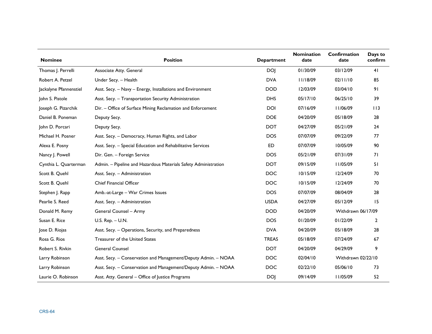| <b>Nominee</b>         | <b>Position</b>                                                 | <b>Department</b> | <b>Nomination</b><br>date | Confirmation<br>date | Days to<br>confirm |
|------------------------|-----------------------------------------------------------------|-------------------|---------------------------|----------------------|--------------------|
| Thomas J. Perrelli     | Associate Atty. General                                         | <b>DOJ</b>        | 01/30/09                  | 03/12/09             | 41                 |
| Robert A. Petzel       | Under Secy. - Health                                            | <b>DVA</b>        | 11/18/09                  | 02/11/10             | 85                 |
| Jackalyne Pfannenstiel | Asst. Secy. - Navy - Energy, Installations and Environment      | <b>DOD</b>        | 12/03/09                  | 03/04/10             | 91                 |
| John S. Pistole        | Asst. Secy. - Transportation Security Administration            | <b>DHS</b>        | 05/17/10                  | 06/25/10             | 39                 |
| Joseph G. Pizarchik    | Dir. - Office of Surface Mining Reclamation and Enforcement     | <b>DOI</b>        | 07/16/09                  | 11/06/09             | 113                |
| Daniel B. Poneman      | Deputy Secy.                                                    | <b>DOE</b>        | 04/20/09                  | 05/18/09             | 28                 |
| John D. Porcari        | Deputy Secy.                                                    | <b>DOT</b>        | 04/27/09                  | 05/21/09             | 24                 |
| Michael H. Posner      | Asst. Secy. - Democracy, Human Rights, and Labor                | <b>DOS</b>        | 07/07/09                  | 09/22/09             | 77                 |
| Alexa E. Posny         | Asst. Secy. - Special Education and Rehabilitative Services     | <b>ED</b>         | 07/07/09                  | 10/05/09             | 90                 |
| Nancy J. Powell        | Dir. Gen. - Foreign Service                                     | <b>DOS</b>        | 05/21/09                  | 07/31/09             | 71                 |
| Cynthia L. Quarterman  | Admin. - Pipeline and Hazardous Materials Safety Administration | <b>DOT</b>        | 09/15/09                  | 11/05/09             | 51                 |
| Scott B. Quehl         | Asst. Secy. - Administration                                    | <b>DOC</b>        | 10/15/09                  | 12/24/09             | 70                 |
| Scott B. Quehl         | Chief Financial Officer                                         | <b>DOC</b>        | 10/15/09                  | 12/24/09             | 70                 |
| Stephen J. Rapp        | Amb.-at-Large - War Crimes Issues                               | <b>DOS</b>        | 07/07/09                  | 08/04/09             | 28                 |
| Pearlie S. Reed        | Asst. Secy. - Administration                                    | <b>USDA</b>       | 04/27/09                  | 05/12/09             | 15                 |
| Donald M. Remy         | General Counsel - Army                                          | <b>DOD</b>        | 04/20/09                  | Withdrawn 06/17/09   |                    |
| Susan E. Rice          | U.S. Rep. - U.N.                                                | <b>DOS</b>        | 01/20/09                  | 01/22/09             | $\overline{2}$     |
| Jose D. Riojas         | Asst. Secy. - Operations, Security, and Preparedness            | <b>DVA</b>        | 04/20/09                  | 05/18/09             | 28                 |
| Rosa G. Rios           | Treasurer of the United States                                  | <b>TREAS</b>      | 05/18/09                  | 07/24/09             | 67                 |
| Robert S. Rivkin       | <b>General Counsel</b>                                          | <b>DOT</b>        | 04/20/09                  | 04/29/09             | 9                  |
| Larry Robinson         | Asst. Secy. - Conservation and Management/Deputy Admin. - NOAA  | <b>DOC</b>        | 02/04/10                  | Withdrawn 02/22/10   |                    |
| Larry Robinson         | Asst. Secy. - Conservation and Management/Deputy Admin. - NOAA  | <b>DOC</b>        | 02/22/10                  | 05/06/10             | 73                 |
| Laurie O. Robinson     | Asst. Atty. General - Office of Justice Programs                | <b>DOJ</b>        | 09/14/09                  | II/05/09             | 52                 |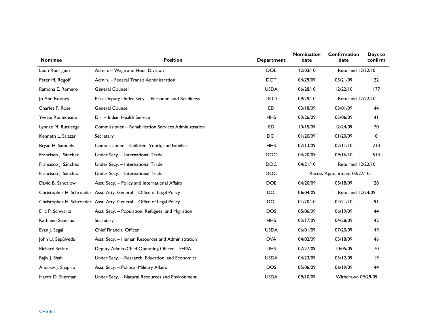| <b>Nominee</b>        | <b>Position</b>                                                       | <b>Department</b> | <b>Nomination</b><br>date | Confirmation<br>date        | Days to<br>confirm |
|-----------------------|-----------------------------------------------------------------------|-------------------|---------------------------|-----------------------------|--------------------|
| Leon Rodriguez        | Admin. - Wage and Hour Division                                       | <b>DOL</b>        | 12/03/10                  | Returned 12/22/10           |                    |
| Peter M. Rogoff       | Admin. - Federal Transit Administration                               | <b>DOT</b>        | 04/29/09                  | 05/21/09                    | 22                 |
| Ramona E. Romero      | <b>General Counsel</b>                                                | <b>USDA</b>       | 06/28/10                  | 12/22/10                    | 177                |
| Jo Ann Rooney         | Prin. Deputy Under Secy. - Personnel and Readiness                    | <b>DOD</b>        | 09/29/10                  | Returned 12/22/10           |                    |
| Charles P. Rose       | <b>General Counsel</b>                                                | <b>ED</b>         | 03/18/09                  | 05/01/09                    | 44                 |
| Yvette Roubideaux     | Dir. - Indian Health Service                                          | <b>HHS</b>        | 03/26/09                  | 05/06/09                    | 41                 |
| Lynnae M. Ruttledge   | Commissioner - Rehabilitation Services Administration                 | <b>ED</b>         | 10/15/09                  | 12/24/09                    | 70                 |
| Kenneth L. Salazar    | Secretary                                                             | <b>DOI</b>        | 01/20/09                  | 01/20/09                    | 0                  |
| Bryan H. Samuels      | Commissioner - Children, Youth, and Families                          | <b>HHS</b>        | 07/13/09                  | 02/11/10                    | 213                |
| Francisco J. Sánchez  | Under Secy. - International Trade                                     | <b>DOC</b>        | 04/20/09                  | 09/16/10                    | 514                |
| Francisco J. Sánchez  | Under Secy. - International Trade                                     | <b>DOC</b>        | 04/21/10                  | <b>Returned 12/22/10</b>    |                    |
| Francisco J. Sánchez  | Under Secy. - International Trade                                     | <b>DOC</b>        |                           | Recess Appointment 03/27/10 |                    |
| David B. Sandalow     | Asst. Secy. - Policy and International Affairs                        | <b>DOE</b>        | 04/20/09                  | 05/18/09                    | 28                 |
|                       | Christopher H. Schroeder Asst. Atty. General - Office of Legal Policy | <b>DOJ</b>        | 06/04/09                  | Returned 12/24/09           |                    |
|                       | Christopher H. Schroeder Asst. Atty. General - Office of Legal Policy | <b>DOJ</b>        | 01/20/10                  | 04/21/10                    | 91                 |
| Eric P. Schwartz      | Asst. Secy. - Population, Refugees, and Migration                     | <b>DOS</b>        | 05/06/09                  | 06/19/09                    | 44                 |
| Kathleen Sebelius     | Secretary                                                             | <b>HHS</b>        | 03/17/09                  | 04/28/09                    | 42                 |
| Evan J. Segal         | <b>Chief Financial Officer</b>                                        | <b>USDA</b>       | 06/01/09                  | 07/20/09                    | 49                 |
| John U. Sepúlveda     | Asst. Secy. - Human Resources and Administration                      | <b>DVA</b>        | 04/02/09                  | 05/18/09                    | 46                 |
| <b>Richard Serino</b> | Deputy Admin./Chief Operating Officer - FEMA                          | <b>DHS</b>        | 07/27/09                  | 10/05/09                    | 70                 |
| Rajiv J. Shah         | Under Secy. - Research, Education, and Economics                      | <b>USDA</b>       | 04/23/09                  | 05/12/09                    | 9                  |
| Andrew J. Shapiro     | Asst. Secy. - Political-Military Affairs                              | <b>DOS</b>        | 05/06/09                  | 06/19/09                    | 44                 |
| Harris D. Sherman     | Under Secy. - Natural Resources and Environment                       | <b>USDA</b>       | 09/10/09                  | Withdrawn 09/29/09          |                    |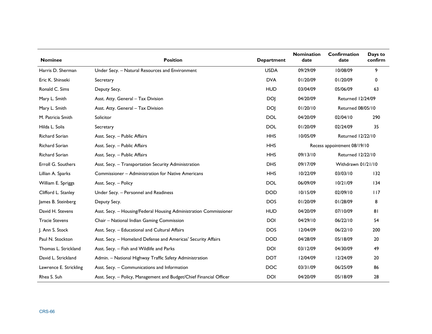| <b>Nominee</b>         | <b>Position</b>                                                     | <b>Department</b> | <b>Nomination</b><br>date | Confirmation<br>date        | Days to<br>confirm |  |
|------------------------|---------------------------------------------------------------------|-------------------|---------------------------|-----------------------------|--------------------|--|
| Harris D. Sherman      | Under Secy. - Natural Resources and Environment                     | <b>USDA</b>       | 09/29/09                  | 10/08/09                    | 9                  |  |
| Eric K. Shinseki       | Secretary                                                           | <b>DVA</b>        | 01/20/09                  | 01/20/09                    | $\mathbf 0$        |  |
| Ronald C. Sims         | Deputy Secy.                                                        | <b>HUD</b>        | 03/04/09                  | 05/06/09                    | 63                 |  |
| Mary L. Smith          | Asst. Atty. General - Tax Division                                  | <b>DOJ</b>        | 04/20/09                  | Returned 12/24/09           |                    |  |
| Mary L. Smith          | Asst. Atty. General - Tax Division                                  | <b>DOJ</b>        | 01/20/10                  | <b>Returned 08/05/10</b>    |                    |  |
| M. Patricia Smith      | Solicitor                                                           | <b>DOL</b>        | 04/20/09                  | 02/04/10                    | 290                |  |
| Hilda L. Solis         | Secretary                                                           | <b>DOL</b>        | 01/20/09                  | 02/24/09                    | 35                 |  |
| <b>Richard Sorian</b>  | Asst. Secy. - Public Affairs                                        | <b>HHS</b>        | 10/05/09                  | Returned 12/22/10           |                    |  |
| Richard Sorian         | Asst. Secy. - Public Affairs                                        | <b>HHS</b>        |                           | Recess appointment 08/19/10 |                    |  |
| Richard Sorian         | Asst. Secy. - Public Affairs                                        | <b>HHS</b>        | 09/13/10                  | Returned 12/22/10           |                    |  |
| Erroll G. Southers     | Asst. Secy. - Transportation Security Administration                | <b>DHS</b>        | 09/17/09                  | Withdrawn 01/21/10          |                    |  |
| Lillian A. Sparks      | Commissioner - Administration for Native Americans                  | <b>HHS</b>        | 10/22/09                  | 03/03/10                    | 132                |  |
| William E. Spriggs     | Asst. Secy. - Policy                                                | <b>DOL</b>        | 06/09/09                  | 10/21/09                    | 134                |  |
| Clifford L. Stanley    | Under Secy. - Personnel and Readiness                               | <b>DOD</b>        | 10/15/09                  | 02/09/10                    | 117                |  |
| James B. Steinberg     | Deputy Secy.                                                        | <b>DOS</b>        | 01/20/09                  | 01/28/09                    | 8                  |  |
| David H. Stevens       | Asst. Secy. - Housing/Federal Housing Administration Commissioner   | <b>HUD</b>        | 04/20/09                  | 07/10/09                    | 81                 |  |
| <b>Tracie Stevens</b>  | Chair - National Indian Gaming Commission                           | <b>DOI</b>        | 04/29/10                  | 06/22/10                    | 54                 |  |
| J. Ann S. Stock        | Asst. Secy. - Educational and Cultural Affairs                      | <b>DOS</b>        | 12/04/09                  | 06/22/10                    | 200                |  |
| Paul N. Stockton       | Asst. Secy. - Homeland Defense and Americas' Security Affairs       | <b>DOD</b>        | 04/28/09                  | 05/18/09                    | 20                 |  |
| Thomas L. Strickland   | Asst. Secy. - Fish and Wildlife and Parks                           | <b>DOI</b>        | 03/12/09                  | 04/30/09                    | 49                 |  |
| David L. Strickland    | Admin. - National Highway Traffic Safety Administration             | <b>DOT</b>        | 12/04/09                  | 12/24/09                    | 20                 |  |
| Lawrence E. Strickling | Asst. Secy. - Communications and Information                        | <b>DOC</b>        | 03/31/09                  | 06/25/09                    | 86                 |  |
| Rhea S. Suh            | Asst. Secy. - Policy, Management and Budget/Chief Financial Officer | <b>DOI</b>        | 04/20/09                  | 05/18/09                    | 28                 |  |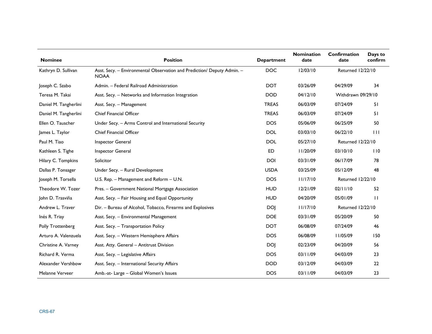| <b>Nominee</b>        | <b>Position</b>                                                                        | <b>Department</b> | <b>Nomination</b><br>date | Confirmation<br>date     | Days to<br>confirm |
|-----------------------|----------------------------------------------------------------------------------------|-------------------|---------------------------|--------------------------|--------------------|
| Kathryn D. Sullivan   | Asst. Secy. - Environmental Observation and Prediction/ Deputy Admin. -<br><b>NOAA</b> | <b>DOC</b>        | 12/03/10                  | <b>Returned 12/22/10</b> |                    |
| Joseph C. Szabo       | Admin. - Federal Railroad Administration                                               | <b>DOT</b>        | 03/26/09                  | 04/29/09                 | 34                 |
| Teresa M. Takai       | Asst. Secy. - Networks and Information Integration                                     | <b>DOD</b>        | 04/12/10                  | Withdrawn 09/29/10       |                    |
| Daniel M. Tangherlini | Asst. Secy. - Management                                                               | <b>TREAS</b>      | 06/03/09                  | 07/24/09                 | 51                 |
| Daniel M. Tangherlini | <b>Chief Financial Officer</b>                                                         | <b>TREAS</b>      | 06/03/09                  | 07/24/09                 | 51                 |
| Ellen O. Tauscher     | Under Secy. - Arms Control and International Security                                  | <b>DOS</b>        | 05/06/09                  | 06/25/09                 | 50                 |
| James L. Taylor       | <b>Chief Financial Officer</b>                                                         | <b>DOL</b>        | 03/03/10                  | 06/22/10                 | $\perp$            |
| Paul M. Tiao          | Inspector General                                                                      | <b>DOL</b>        | 05/27/10                  | <b>Returned 12/22/10</b> |                    |
| Kathleen S. Tighe     | Inspector General                                                                      | <b>ED</b>         | II/20/09                  | 03/10/10                 | 110                |
| Hilary C. Tompkins    | Solicitor                                                                              | <b>DOI</b>        | 03/31/09                  | 06/17/09                 | 78                 |
| Dallas P. Tonsager    | Under Secy. - Rural Development                                                        | <b>USDA</b>       | 03/25/09                  | 05/12/09                 | 48                 |
| Joseph M. Torsella    | U.S. Rep. - Management and Reform - U.N.                                               | <b>DOS</b>        | 11/17/10                  | Returned 12/22/10        |                    |
| Theodore W. Tozer     | Pres. - Government National Mortgage Association                                       | <b>HUD</b>        | 12/21/09                  | 02/11/10                 | 52                 |
| John D. Trasviña      | Asst. Secy. - Fair Housing and Equal Opportunity                                       | <b>HUD</b>        | 04/20/09                  | 05/01/09                 | $\perp$            |
| Andrew L. Traver      | Dir. - Bureau of Alcohol, Tobacco, Firearms and Explosives                             | <b>DOJ</b>        | 11/17/10                  | Returned 12/22/10        |                    |
| Inés R. Triay         | Asst. Secy. - Environmental Management                                                 | <b>DOE</b>        | 03/31/09                  | 05/20/09                 | 50                 |
| Polly Trottenberg     | Asst. Secy. - Transportation Policy                                                    | <b>DOT</b>        | 06/08/09                  | 07/24/09                 | 46                 |
| Arturo A. Valenzuela  | Asst. Secy. - Western Hemisphere Affairs                                               | <b>DOS</b>        | 06/08/09                  | 11/05/09                 | 150                |
| Christine A. Varney   | Asst. Atty. General - Antitrust Division                                               | <b>DOJ</b>        | 02/23/09                  | 04/20/09                 | 56                 |
| Richard R. Verma      | Asst. Secy. - Legislative Affairs                                                      | <b>DOS</b>        | 03/11/09                  | 04/03/09                 | 23                 |
| Alexander Vershbow    | Asst. Secy. - International Security Affairs                                           | <b>DOD</b>        | 03/12/09                  | 04/03/09                 | 22                 |
| Melanne Verveer       | Amb.-at-Large - Global Women's Issues                                                  | <b>DOS</b>        | 03/11/09                  | 04/03/09                 | 23                 |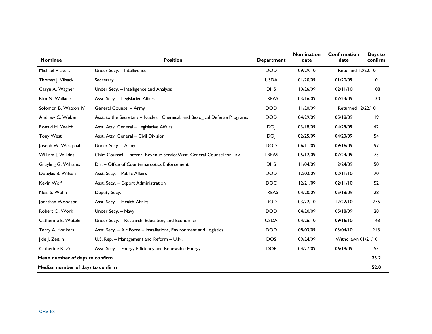| <b>Nominee</b>                   | <b>Position</b>                                                             | <b>Department</b> | <b>Nomination</b><br>date | Confirmation<br>date | Days to<br>confirm |
|----------------------------------|-----------------------------------------------------------------------------|-------------------|---------------------------|----------------------|--------------------|
| <b>Michael Vickers</b>           | Under Secy. - Intelligence                                                  | <b>DOD</b>        | 09/29/10                  | Returned 12/22/10    |                    |
| Thomas J. Vilsack                | Secretary                                                                   | <b>USDA</b>       | 01/20/09                  | 01/20/09             | 0                  |
| Caryn A. Wagner                  | Under Secy. - Intelligence and Analysis                                     | <b>DHS</b>        | 10/26/09                  | 02/11/10             | 108                |
| Kim N. Wallace                   | Asst. Secy. - Legislative Affairs                                           | <b>TREAS</b>      | 03/16/09                  | 07/24/09             | 130                |
| Solomon B. Watson IV             | General Counsel - Army                                                      | <b>DOD</b>        | II/20/09                  | Returned 12/22/10    |                    |
| Andrew C. Weber                  | Asst. to the Secretary - Nuclear, Chemical, and Biological Defense Programs | <b>DOD</b>        | 04/29/09                  | 05/18/09             | 9                  |
| Ronald H. Weich                  | Asst. Atty. General - Legislative Affairs                                   | <b>DOJ</b>        | 03/18/09                  | 04/29/09             | 42                 |
| <b>Tony West</b>                 | Asst. Atty. General - Civil Division                                        | <b>DOI</b>        | 02/25/09                  | 04/20/09             | 54                 |
| Joseph W. Westphal               | Under Secy. - Army                                                          | <b>DOD</b>        | 06/11/09                  | 09/16/09             | 97                 |
| William J. Wilkins               | Chief Counsel – Internal Revenue Service/Asst. General Counsel for Tax      | <b>TREAS</b>      | 05/12/09                  | 07/24/09             | 73                 |
| Grayling G. Williams             | Dir. - Office of Counternarcotics Enforcement                               | <b>DHS</b>        | 11/04/09                  | 12/24/09             | 50                 |
| Douglas B. Wilson                | Asst. Secy. - Public Affairs                                                | <b>DOD</b>        | 12/03/09                  | 02/11/10             | 70                 |
| Kevin Wolf                       | Asst. Secy. - Export Administration                                         | <b>DOC</b>        | 12/21/09                  | 02/11/10             | 52                 |
| Neal S. Wolin                    | Deputy Secy.                                                                | <b>TREAS</b>      | 04/20/09                  | 05/18/09             | 28                 |
| Jonathan Woodson                 | Asst. Secy. - Health Affairs                                                | <b>DOD</b>        | 03/22/10                  | 12/22/10             | 275                |
| Robert O. Work                   | Under Secy. - Navy                                                          | <b>DOD</b>        | 04/20/09                  | 05/18/09             | 28                 |
| Catherine E. Woteki              | Under Secy. - Research, Education, and Economics                            | <b>USDA</b>       | 04/26/10                  | 09/16/10             | 43                 |
| Terry A. Yonkers                 | Asst. Secy. - Air Force - Installations, Environment and Logistics          | <b>DOD</b>        | 08/03/09                  | 03/04/10             | 213                |
| Jide J. Zeitlin                  | U.S. Rep. - Management and Reform - U.N.                                    | <b>DOS</b>        | 09/24/09                  | Withdrawn 01/21/10   |                    |
| Catherine R. Zoi                 | Asst. Secy. - Energy Efficiency and Renewable Energy                        | <b>DOE</b>        | 04/27/09                  | 06/19/09             | 53                 |
| Mean number of days to confirm   |                                                                             |                   |                           | 73.2                 |                    |
| Median number of days to confirm |                                                                             |                   |                           |                      | 52.0               |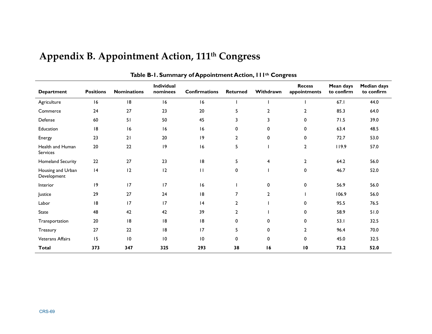| <b>Department</b>                | <b>Positions</b> | <b>Nominations</b> | Individual<br>nominees | <b>Confirmations</b> | <b>Returned</b> | Withdrawn      | <b>Recess</b><br>appointments | Mean days<br>to confirm | <b>Median days</b><br>to confirm |
|----------------------------------|------------------|--------------------|------------------------|----------------------|-----------------|----------------|-------------------------------|-------------------------|----------------------------------|
| Agriculture                      | 16               | 8                  | 16                     | 16                   |                 |                |                               | 67.1                    | 44.0                             |
| Commerce                         | 24               | 27                 | 23                     | 20                   | 5               | $\overline{2}$ | $\overline{2}$                | 85.3                    | 64.0                             |
| Defense                          | 60               | 51                 | 50                     | 45                   | 3               | 3              | 0                             | 71.5                    | 39.0                             |
| Education                        | 8                | 16                 | 16                     | 16                   | 0               | 0              | 0                             | 63.4                    | 48.5                             |
| Energy                           | 23               | 21                 | 20                     | 9                    | 2               | 0              | 0                             | 72.7                    | 53.0                             |
| Health and Human<br>Services     | 20               | 22                 | 9                      | 16                   | 5               |                | $\overline{2}$                | 119.9                   | 57.0                             |
| <b>Homeland Security</b>         | 22               | 27                 | 23                     | 18                   | 5               | 4              | $\mathbf{2}$                  | 64.2                    | 56.0                             |
| Housing and Urban<br>Development | 4                | 12                 | 12                     | $\mathbf{H}$         | 0               |                | 0                             | 46.7                    | 52.0                             |
| Interior                         | 9                | 17                 | 17                     | 16                   |                 | 0              | 0                             | 56.9                    | 56.0                             |
| Justice                          | 29               | 27                 | 24                     | 8                    | 7               | $\overline{2}$ |                               | 106.9                   | 56.0                             |
| Labor                            | 8                | 17                 | 17                     | 4                    | 2               |                | 0                             | 95.5                    | 76.5                             |
| <b>State</b>                     | 48               | 42                 | 42                     | 39                   | $\mathbf{2}$    |                | 0                             | 58.9                    | 51.0                             |
| Transportation                   | 20               | 18                 | 8                      | 8                    | 0               | $\mathbf 0$    | 0                             | 53.1                    | 32.5                             |
| Treasury                         | 27               | 22                 | 18                     | 17                   | 5               | 0              | $\mathbf{2}$                  | 96.4                    | 70.0                             |
| <b>Veterans Affairs</b>          | 15               | 10                 | 10                     | 10                   | 0               | $\mathbf 0$    | $\mathbf 0$                   | 45.0                    | 32.5                             |
| <b>Total</b>                     | 373              | 347                | 325                    | 293                  | 38              | 16             | 10                            | 73.2                    | 52.0                             |

# **Appendix B. Appointment Action, 111th Congress**

**Table B-1. Summary of Appointment Action, 111th Congress**